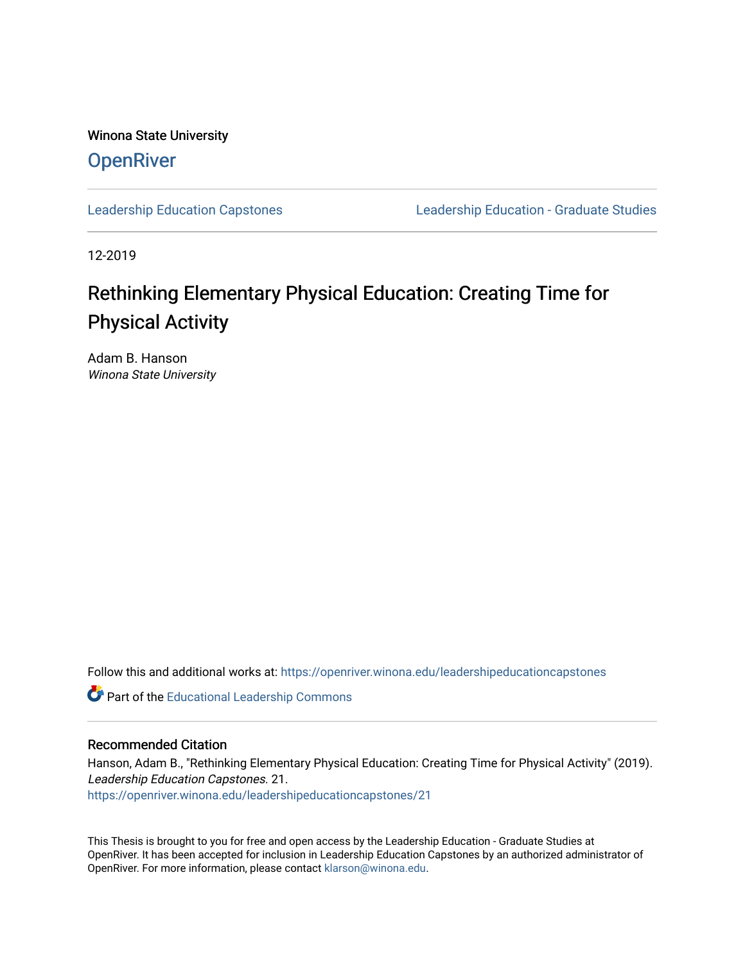Winona State University **OpenRiver** 

[Leadership Education Capstones](https://openriver.winona.edu/leadershipeducationcapstones) [Leadership Education - Graduate Studies](https://openriver.winona.edu/leadershipeducation) 

12-2019

# Rethinking Elementary Physical Education: Creating Time for Physical Activity

Adam B. Hanson Winona State University

Follow this and additional works at: [https://openriver.winona.edu/leadershipeducationcapstones](https://openriver.winona.edu/leadershipeducationcapstones?utm_source=openriver.winona.edu%2Fleadershipeducationcapstones%2F21&utm_medium=PDF&utm_campaign=PDFCoverPages) 

Part of the [Educational Leadership Commons](http://network.bepress.com/hgg/discipline/1230?utm_source=openriver.winona.edu%2Fleadershipeducationcapstones%2F21&utm_medium=PDF&utm_campaign=PDFCoverPages) 

## Recommended Citation

Hanson, Adam B., "Rethinking Elementary Physical Education: Creating Time for Physical Activity" (2019). Leadership Education Capstones. 21. [https://openriver.winona.edu/leadershipeducationcapstones/21](https://openriver.winona.edu/leadershipeducationcapstones/21?utm_source=openriver.winona.edu%2Fleadershipeducationcapstones%2F21&utm_medium=PDF&utm_campaign=PDFCoverPages) 

This Thesis is brought to you for free and open access by the Leadership Education - Graduate Studies at OpenRiver. It has been accepted for inclusion in Leadership Education Capstones by an authorized administrator of OpenRiver. For more information, please contact [klarson@winona.edu](mailto:klarson@winona.edu).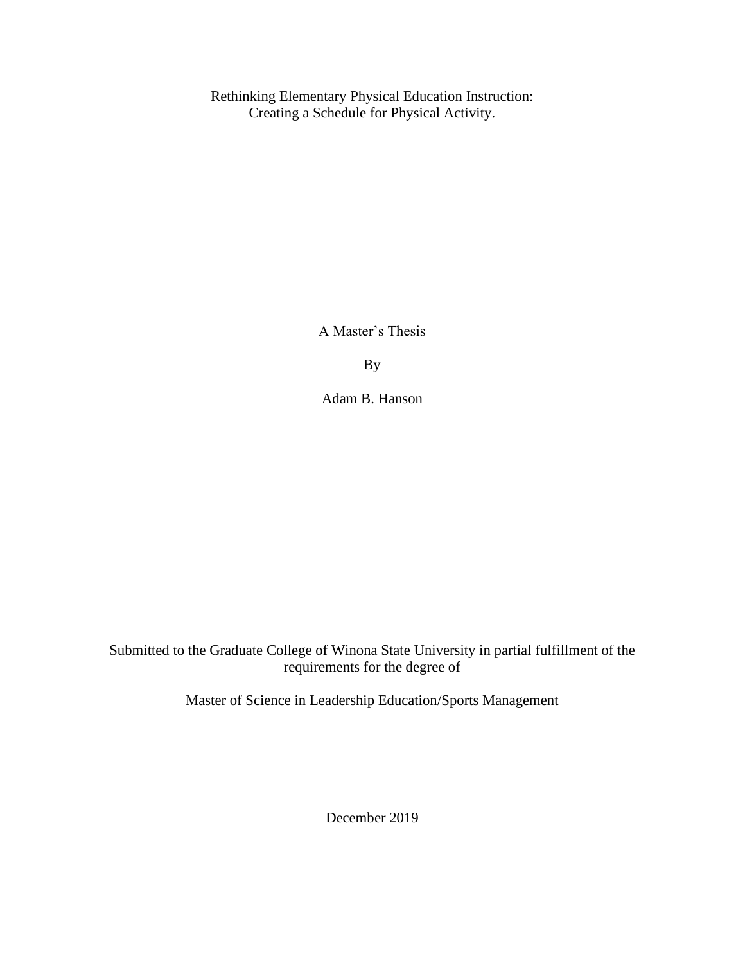Rethinking Elementary Physical Education Instruction: Creating a Schedule for Physical Activity.

A Master's Thesis

By

Adam B. Hanson

Submitted to the Graduate College of Winona State University in partial fulfillment of the requirements for the degree of

Master of Science in Leadership Education/Sports Management

December 2019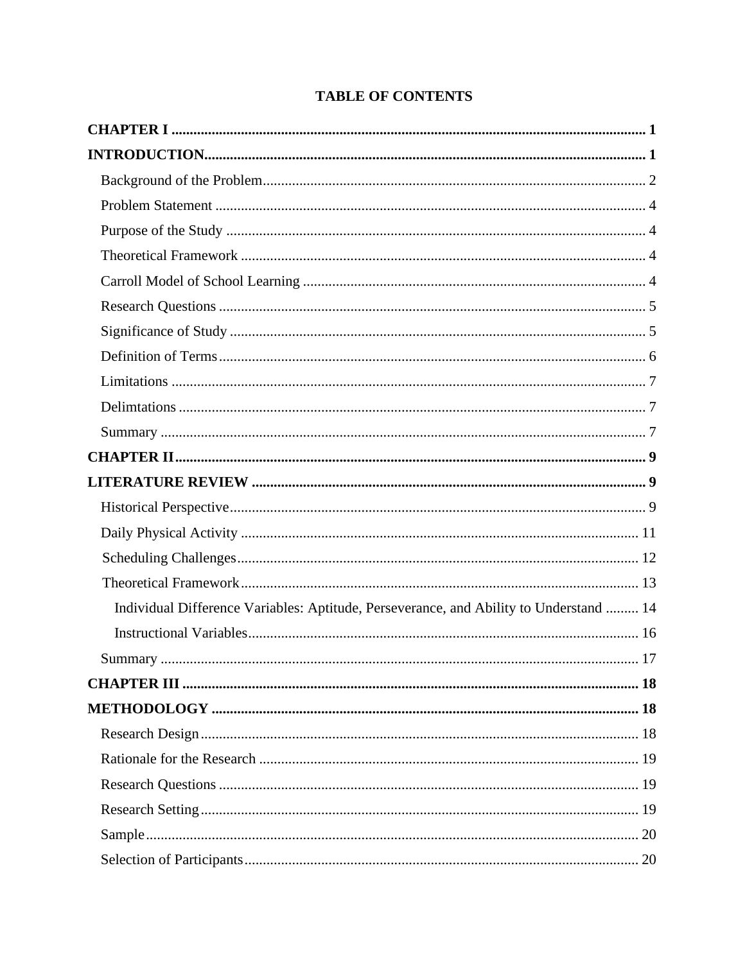## **TABLE OF CONTENTS**

| Individual Difference Variables: Aptitude, Perseverance, and Ability to Understand  14 |
|----------------------------------------------------------------------------------------|
|                                                                                        |
|                                                                                        |
|                                                                                        |
|                                                                                        |
|                                                                                        |
|                                                                                        |
|                                                                                        |
|                                                                                        |
|                                                                                        |
|                                                                                        |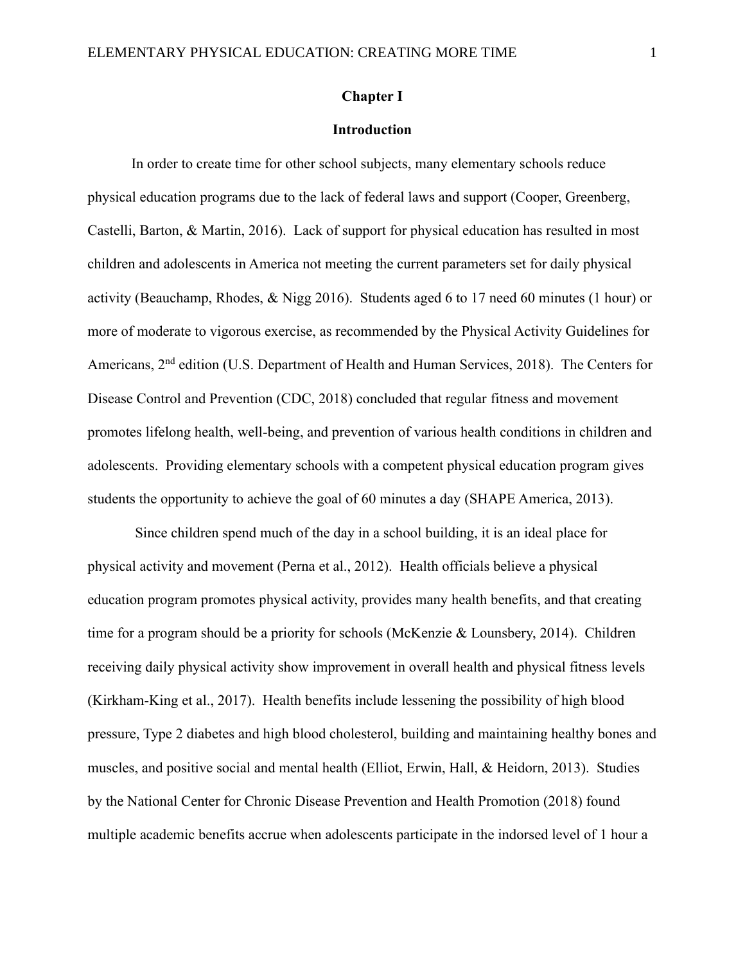#### **Chapter I**

## **Introduction**

In order to create time for other school subjects, many elementary schools reduce physical education programs due to the lack of federal laws and support (Cooper, Greenberg, Castelli, Barton, & Martin, 2016). Lack of support for physical education has resulted in most children and adolescents in America not meeting the current parameters set for daily physical activity (Beauchamp, Rhodes, & Nigg 2016). Students aged 6 to 17 need 60 minutes (1 hour) or more of moderate to vigorous exercise, as recommended by the Physical Activity Guidelines for Americans, 2<sup>nd</sup> edition (U.S. Department of Health and Human Services, 2018). The Centers for Disease Control and Prevention (CDC, 2018) concluded that regular fitness and movement promotes lifelong health, well-being, and prevention of various health conditions in children and adolescents. Providing elementary schools with a competent physical education program gives students the opportunity to achieve the goal of 60 minutes a day (SHAPE America, 2013).

Since children spend much of the day in a school building, it is an ideal place for physical activity and movement (Perna et al., 2012). Health officials believe a physical education program promotes physical activity, provides many health benefits, and that creating time for a program should be a priority for schools (McKenzie & Lounsbery, 2014). Children receiving daily physical activity show improvement in overall health and physical fitness levels (Kirkham-King et al., 2017). Health benefits include lessening the possibility of high blood pressure, Type 2 diabetes and high blood cholesterol, building and maintaining healthy bones and muscles, and positive social and mental health (Elliot, Erwin, Hall, & Heidorn, 2013). Studies by the National Center for Chronic Disease Prevention and Health Promotion (2018) found multiple academic benefits accrue when adolescents participate in the indorsed level of 1 hour a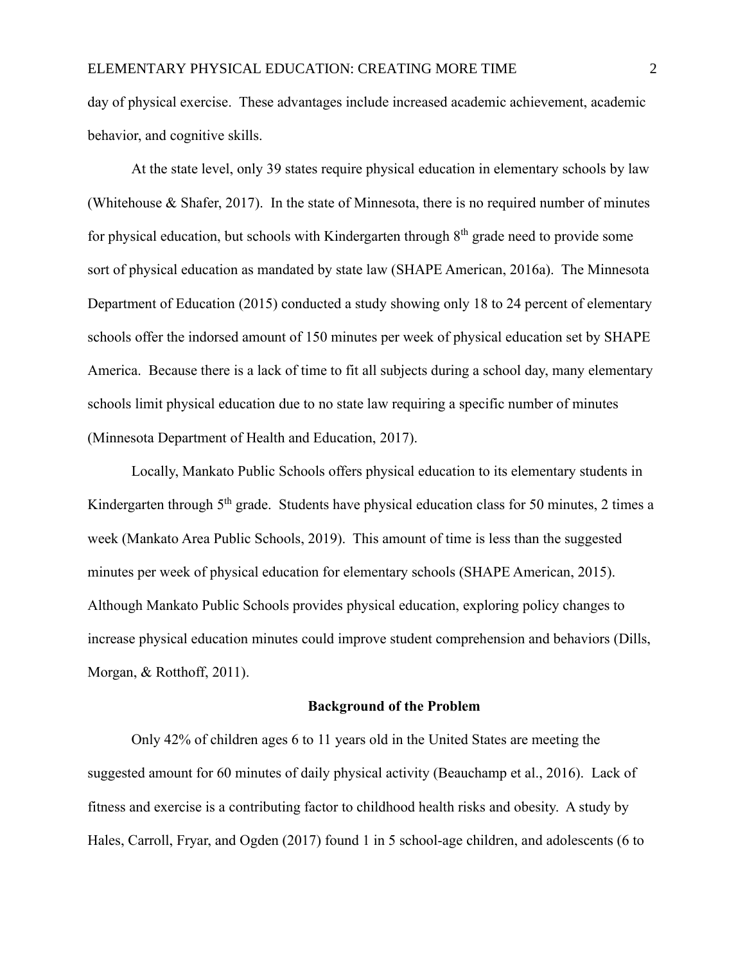day of physical exercise. These advantages include increased academic achievement, academic behavior, and cognitive skills.

At the state level, only 39 states require physical education in elementary schools by law (Whitehouse & Shafer, 2017). In the state of Minnesota, there is no required number of minutes for physical education, but schools with Kindergarten through  $8<sup>th</sup>$  grade need to provide some sort of physical education as mandated by state law (SHAPE American, 2016a). The Minnesota Department of Education (2015) conducted a study showing only 18 to 24 percent of elementary schools offer the indorsed amount of 150 minutes per week of physical education set by SHAPE America. Because there is a lack of time to fit all subjects during a school day, many elementary schools limit physical education due to no state law requiring a specific number of minutes (Minnesota Department of Health and Education, 2017).

Locally, Mankato Public Schools offers physical education to its elementary students in Kindergarten through  $5<sup>th</sup>$  grade. Students have physical education class for 50 minutes, 2 times a week (Mankato Area Public Schools, 2019). This amount of time is less than the suggested minutes per week of physical education for elementary schools (SHAPE American, 2015). Although Mankato Public Schools provides physical education, exploring policy changes to increase physical education minutes could improve student comprehension and behaviors (Dills, Morgan, & Rotthoff, 2011).

## **Background of the Problem**

Only 42% of children ages 6 to 11 years old in the United States are meeting the suggested amount for 60 minutes of daily physical activity (Beauchamp et al., 2016). Lack of fitness and exercise is a contributing factor to childhood health risks and obesity. A study by Hales, Carroll, Fryar, and Ogden (2017) found 1 in 5 school-age children, and adolescents (6 to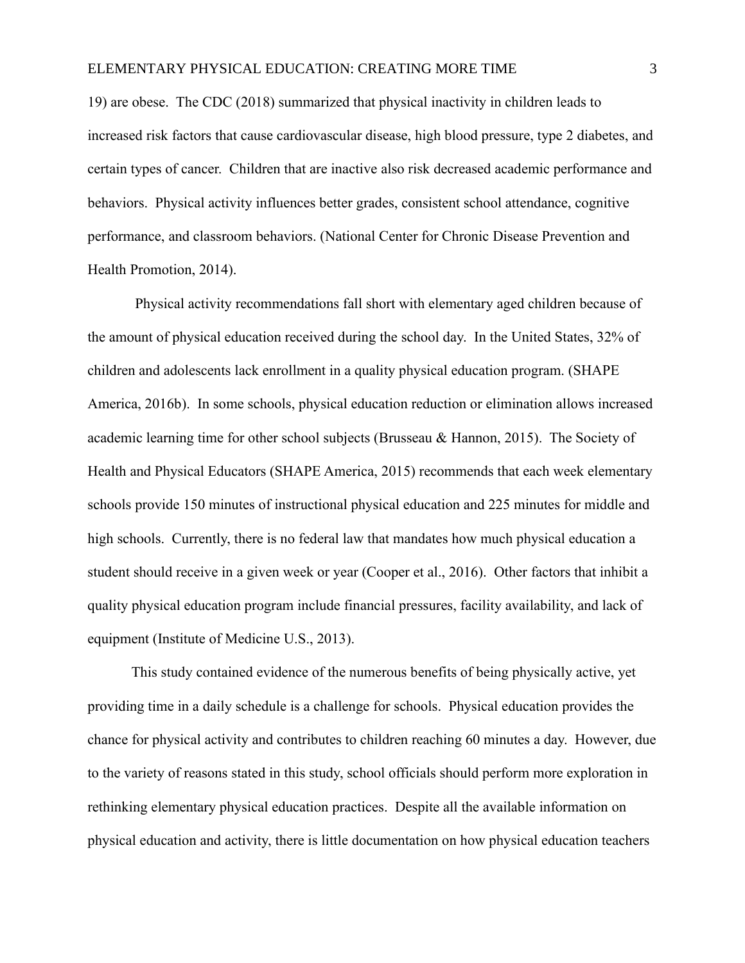19) are obese. The CDC (2018) summarized that physical inactivity in children leads to increased risk factors that cause cardiovascular disease, high blood pressure, type 2 diabetes, and certain types of cancer. Children that are inactive also risk decreased academic performance and behaviors. Physical activity influences better grades, consistent school attendance, cognitive performance, and classroom behaviors. [\(National Center for Chronic Disease Prevention and](https://www.cdc.gov/chronicdisease)  [Health Promotion,](https://www.cdc.gov/chronicdisease) 2014).

Physical activity recommendations fall short with elementary aged children because of the amount of physical education received during the school day. In the United States, 32% of children and adolescents lack enrollment in a quality physical education program. (SHAPE America, 2016b). In some schools, physical education reduction or elimination allows increased academic learning time for other school subjects (Brusseau & Hannon, 2015). The Society of Health and Physical Educators (SHAPE America, 2015) recommends that each week elementary schools provide 150 minutes of instructional physical education and 225 minutes for middle and high schools. Currently, there is no federal law that mandates how much physical education a student should receive in a given week or year (Cooper et al., 2016). Other factors that inhibit a quality physical education program include financial pressures, facility availability, and lack of equipment (Institute of Medicine U.S., 2013).

This study contained evidence of the numerous benefits of being physically active, yet providing time in a daily schedule is a challenge for schools. Physical education provides the chance for physical activity and contributes to children reaching 60 minutes a day. However, due to the variety of reasons stated in this study, school officials should perform more exploration in rethinking elementary physical education practices. Despite all the available information on physical education and activity, there is little documentation on how physical education teachers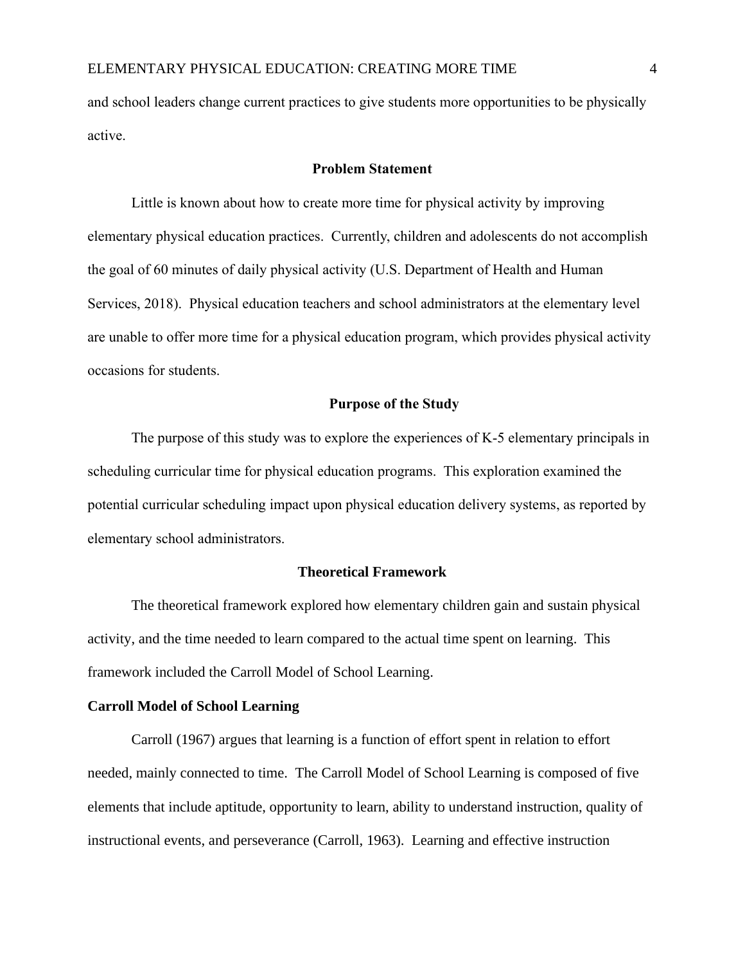and school leaders change current practices to give students more opportunities to be physically active.

## **Problem Statement**

Little is known about how to create more time for physical activity by improving elementary physical education practices. Currently, children and adolescents do not accomplish the goal of 60 minutes of daily physical activity (U.S. Department of Health and Human Services, 2018). Physical education teachers and school administrators at the elementary level are unable to offer more time for a physical education program, which provides physical activity occasions for students.

## **Purpose of the Study**

The purpose of this study was to explore the experiences of K-5 elementary principals in scheduling curricular time for physical education programs. This exploration examined the potential curricular scheduling impact upon physical education delivery systems, as reported by elementary school administrators.

## **Theoretical Framework**

The theoretical framework explored how elementary children gain and sustain physical activity, and the time needed to learn compared to the actual time spent on learning. This framework included the Carroll Model of School Learning.

#### **Carroll Model of School Learning**

Carroll (1967) argues that learning is a function of effort spent in relation to effort needed, mainly connected to time. The Carroll Model of School Learning is composed of five elements that include aptitude, opportunity to learn, ability to understand instruction, quality of instructional events, and perseverance (Carroll, 1963). Learning and effective instruction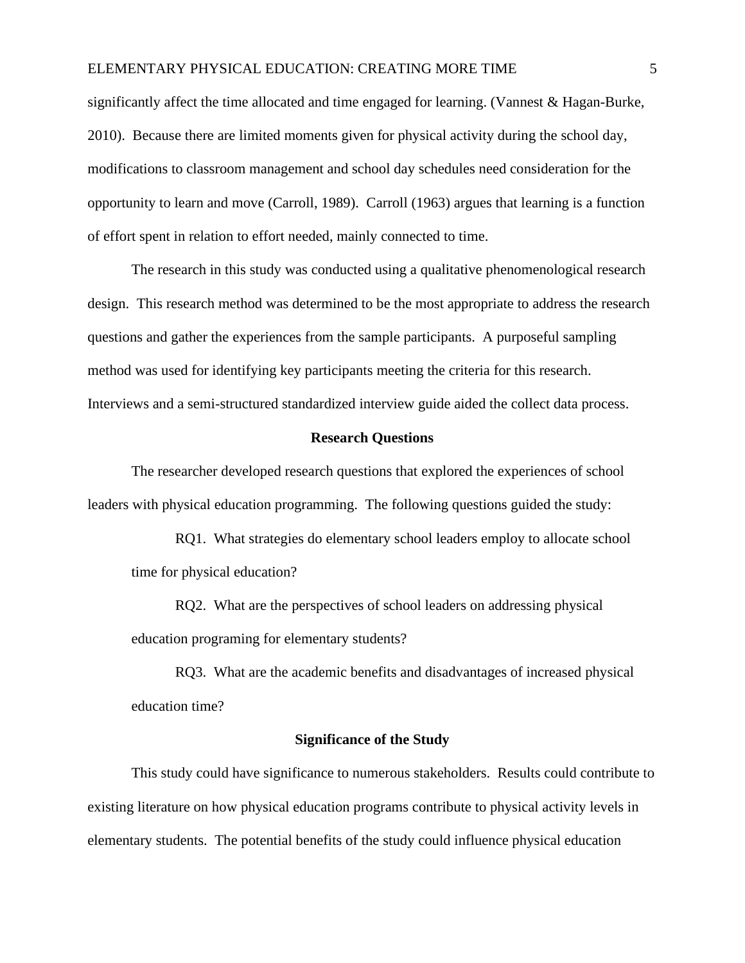## ELEMENTARY PHYSICAL EDUCATION: CREATING MORE TIME 5

significantly affect the time allocated and time engaged for learning. (Vannest & Hagan-Burke, 2010). Because there are limited moments given for physical activity during the school day, modifications to classroom management and school day schedules need consideration for the opportunity to learn and move (Carroll, 1989). Carroll (1963) argues that learning is a function of effort spent in relation to effort needed, mainly connected to time.

The research in this study was conducted using a qualitative phenomenological research design. This research method was determined to be the most appropriate to address the research questions and gather the experiences from the sample participants. A purposeful sampling method was used for identifying key participants meeting the criteria for this research. Interviews and a semi-structured standardized interview guide aided the collect data process.

## **Research Questions**

The researcher developed research questions that explored the experiences of school leaders with physical education programming. The following questions guided the study:

RQ1. What strategies do elementary school leaders employ to allocate school time for physical education?

RQ2. What are the perspectives of school leaders on addressing physical education programing for elementary students?

RQ3. What are the academic benefits and disadvantages of increased physical education time?

## **Significance of the Study**

This study could have significance to numerous stakeholders. Results could contribute to existing literature on how physical education programs contribute to physical activity levels in elementary students. The potential benefits of the study could influence physical education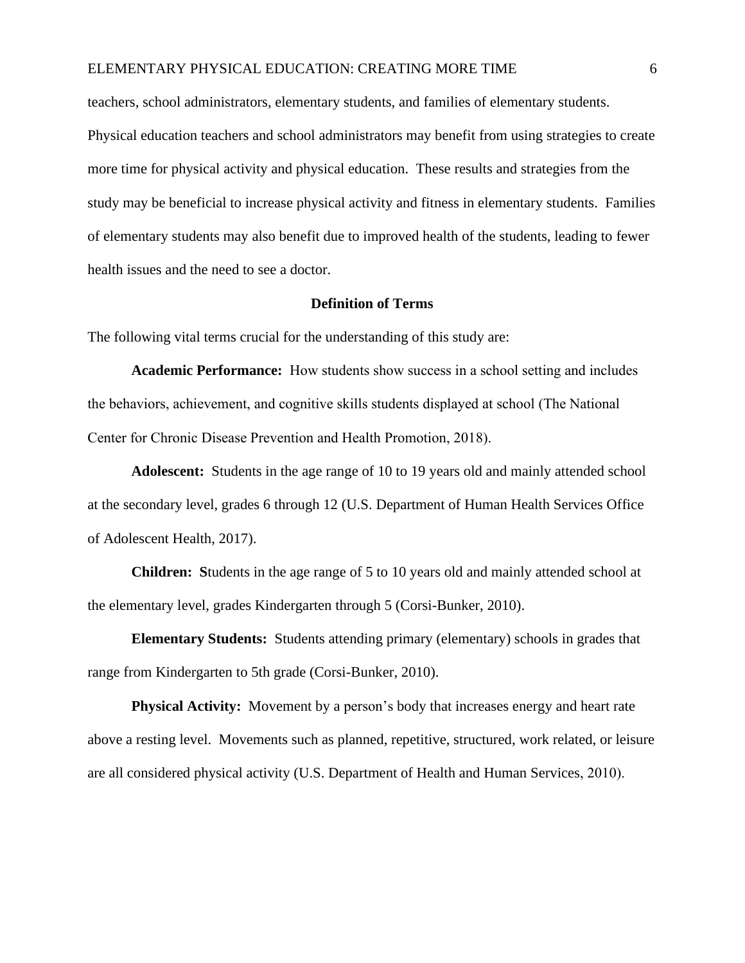## ELEMENTARY PHYSICAL EDUCATION: CREATING MORE TIME 6

teachers, school administrators, elementary students, and families of elementary students.

Physical education teachers and school administrators may benefit from using strategies to create more time for physical activity and physical education. These results and strategies from the study may be beneficial to increase physical activity and fitness in elementary students. Families of elementary students may also benefit due to improved health of the students, leading to fewer health issues and the need to see a doctor.

## **Definition of Terms**

The following vital terms crucial for the understanding of this study are:

**Academic Performance:** How students show success in a school setting and includes the behaviors, achievement, and cognitive skills students displayed at school (The National Center for Chronic Disease Prevention and Health Promotion, 2018).

**Adolescent:** Students in the age range of 10 to 19 years old and mainly attended school at the secondary level, grades 6 through 12 (U.S. Department of Human Health Services Office of Adolescent Health, 2017).

**Children: S**tudents in the age range of 5 to 10 years old and mainly attended school at the elementary level, grades Kindergarten through 5 (Corsi-Bunker, 2010).

**Elementary Students:** Students attending primary (elementary) schools in grades that range from Kindergarten to 5th grade (Corsi-Bunker, 2010).

**Physical Activity:** Movement by a person's body that increases energy and heart rate above a resting level. Movements such as planned, repetitive, structured, work related, or leisure are all considered physical activity (U.S. Department of Health and Human Services, 2010).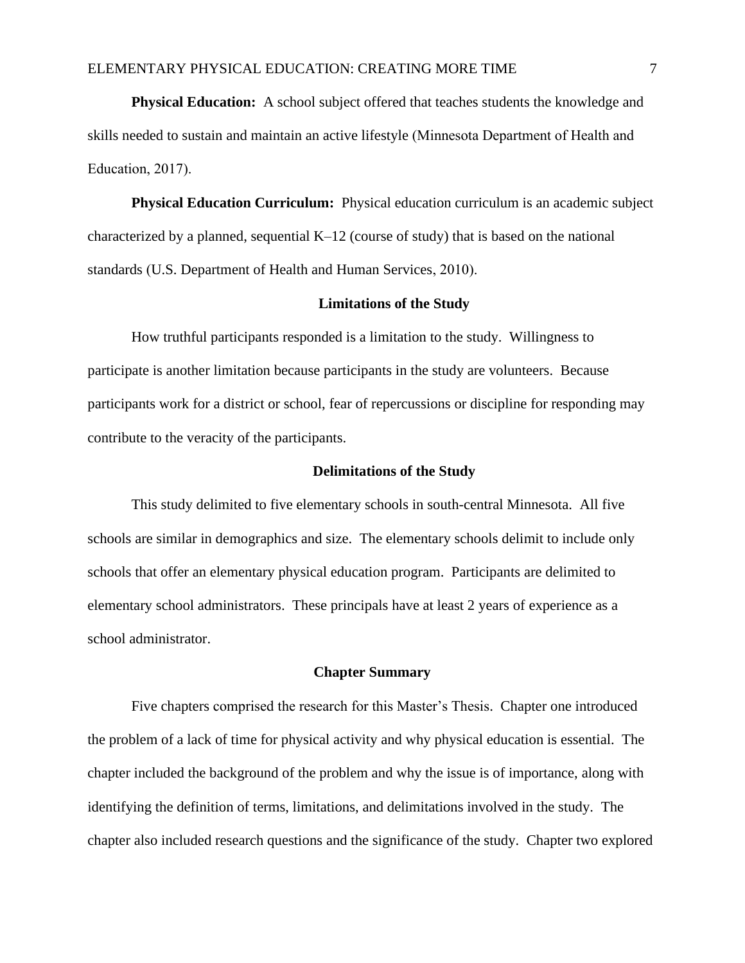**Physical Education:** A school subject offered that teaches students the knowledge and skills needed to sustain and maintain an active lifestyle (Minnesota Department of Health and Education, 2017).

**Physical Education Curriculum:** Physical education curriculum is an academic subject characterized by a planned, sequential K–12 (course of study) that is based on the national standards (U.S. Department of Health and Human Services, 2010).

## **Limitations of the Study**

How truthful participants responded is a limitation to the study. Willingness to participate is another limitation because participants in the study are volunteers. Because participants work for a district or school, fear of repercussions or discipline for responding may contribute to the veracity of the participants.

#### **Delimitations of the Study**

This study delimited to five elementary schools in south-central Minnesota. All five schools are similar in demographics and size. The elementary schools delimit to include only schools that offer an elementary physical education program. Participants are delimited to elementary school administrators. These principals have at least 2 years of experience as a school administrator.

## **Chapter Summary**

Five chapters comprised the research for this Master's Thesis. Chapter one introduced the problem of a lack of time for physical activity and why physical education is essential. The chapter included the background of the problem and why the issue is of importance, along with identifying the definition of terms, limitations, and delimitations involved in the study. The chapter also included research questions and the significance of the study. Chapter two explored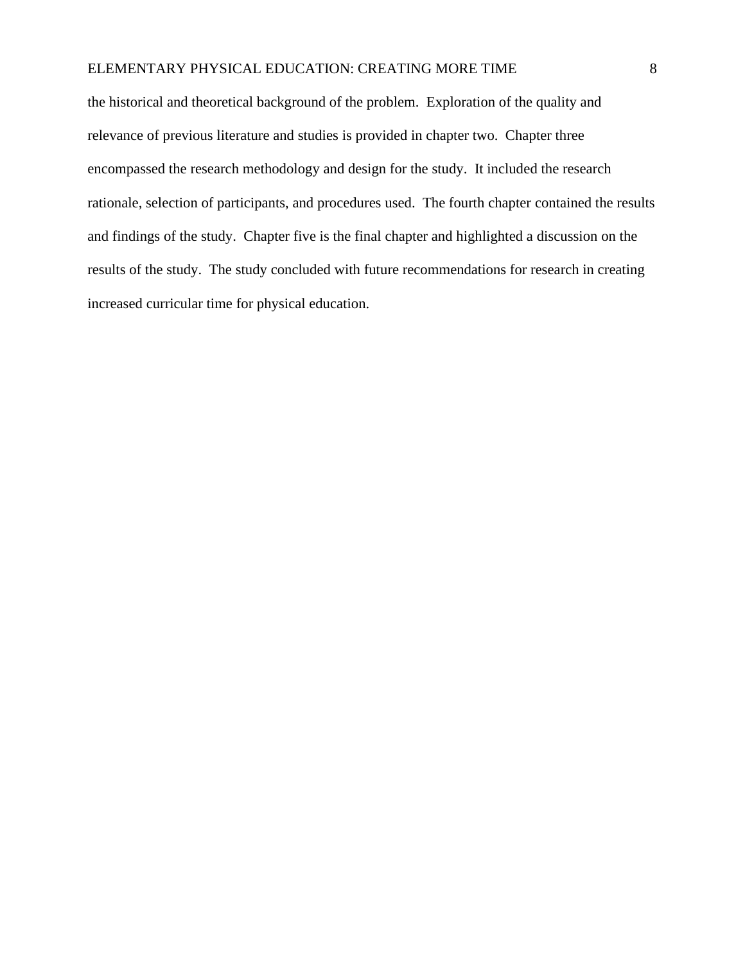## ELEMENTARY PHYSICAL EDUCATION: CREATING MORE TIME 8

the historical and theoretical background of the problem. Exploration of the quality and relevance of previous literature and studies is provided in chapter two. Chapter three encompassed the research methodology and design for the study. It included the research rationale, selection of participants, and procedures used. The fourth chapter contained the results and findings of the study. Chapter five is the final chapter and highlighted a discussion on the results of the study. The study concluded with future recommendations for research in creating increased curricular time for physical education.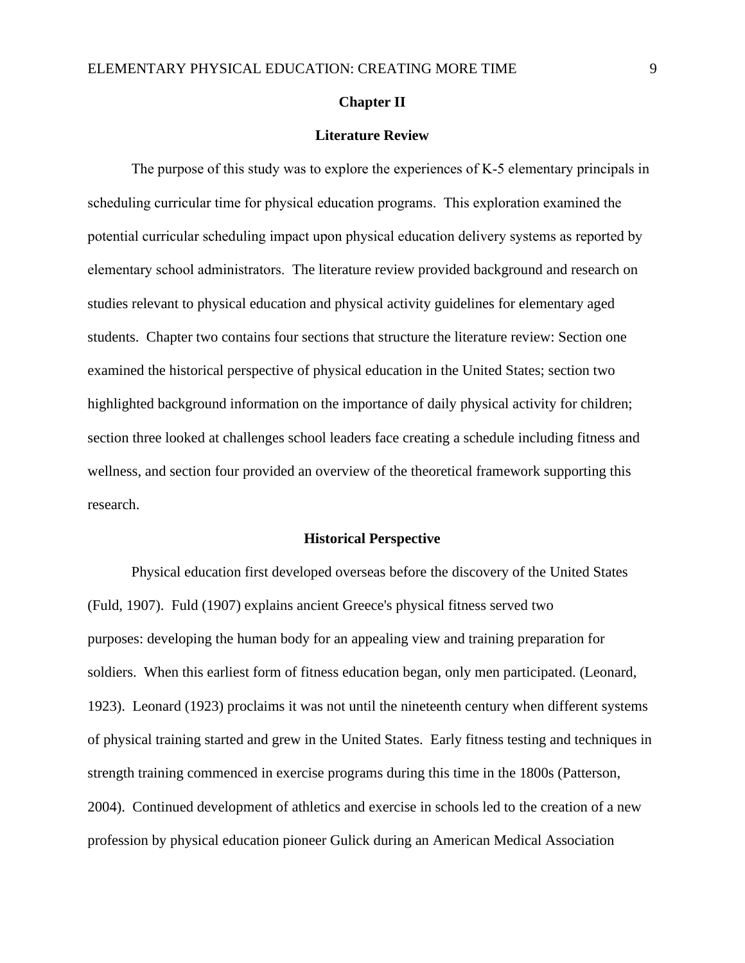#### **Chapter II**

## **Literature Review**

The purpose of this study was to explore the experiences of K-5 elementary principals in scheduling curricular time for physical education programs. This exploration examined the potential curricular scheduling impact upon physical education delivery systems as reported by elementary school administrators. The literature review provided background and research on studies relevant to physical education and physical activity guidelines for elementary aged students. Chapter two contains four sections that structure the literature review: Section one examined the historical perspective of physical education in the United States; section two highlighted background information on the importance of daily physical activity for children; section three looked at challenges school leaders face creating a schedule including fitness and wellness, and section four provided an overview of the theoretical framework supporting this research.

#### **Historical Perspective**

Physical education first developed overseas before the discovery of the United States (Fuld, 1907). Fuld (1907) explains ancient Greece's physical fitness served two purposes: developing the human body for an appealing view and training preparation for soldiers. When this earliest form of fitness education began, only men participated. (Leonard, 1923). Leonard (1923) proclaims it was not until the nineteenth century when different systems of physical training started and grew in the United States. Early fitness testing and techniques in strength training commenced in exercise programs during this time in the 1800s (Patterson, 2004). Continued development of athletics and exercise in schools led to the creation of a new profession by physical education pioneer Gulick during an American Medical Association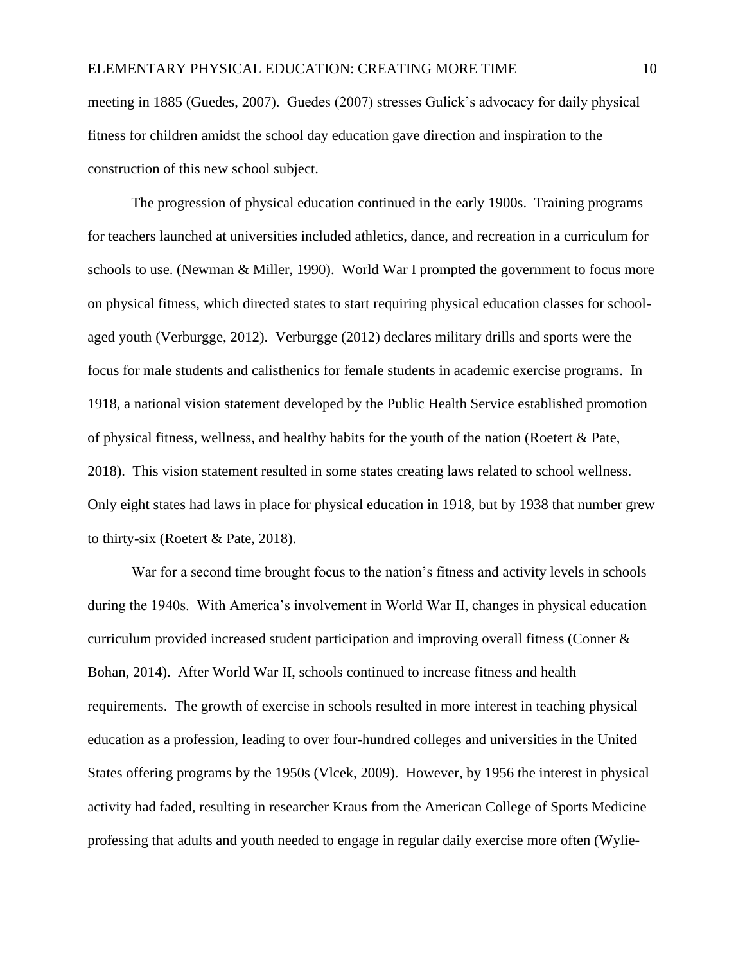meeting in 1885 (Guedes, 2007). Guedes (2007) stresses Gulick's advocacy for daily physical fitness for children amidst the school day education gave direction and inspiration to the construction of this new school subject.

The progression of physical education continued in the early 1900s. Training programs for teachers launched at universities included athletics, dance, and recreation in a curriculum for schools to use. (Newman & Miller, 1990). World War I prompted the government to focus more on physical fitness, which directed states to start requiring physical education classes for schoolaged youth (Verburgge, 2012). Verburgge (2012) declares military drills and sports were the focus for male students and calisthenics for female students in academic exercise programs. In 1918, a national vision statement developed by the Public Health Service established promotion of physical fitness, wellness, and healthy habits for the youth of the nation (Roetert & Pate, 2018). This vision statement resulted in some states creating laws related to school wellness. Only eight states had laws in place for physical education in 1918, but by 1938 that number grew to thirty-six (Roetert & Pate, 2018).

War for a second time brought focus to the nation's fitness and activity levels in schools during the 1940s. With America's involvement in World War II, changes in physical education curriculum provided increased student participation and improving overall fitness (Conner & Bohan, 2014). After World War II, schools continued to increase fitness and health requirements. The growth of exercise in schools resulted in more interest in teaching physical education as a profession, leading to over four-hundred colleges and universities in the United States offering programs by the 1950s (Vlcek, 2009). However, by 1956 the interest in physical activity had faded, resulting in researcher Kraus from the American College of Sports Medicine professing that adults and youth needed to engage in regular daily exercise more often (Wylie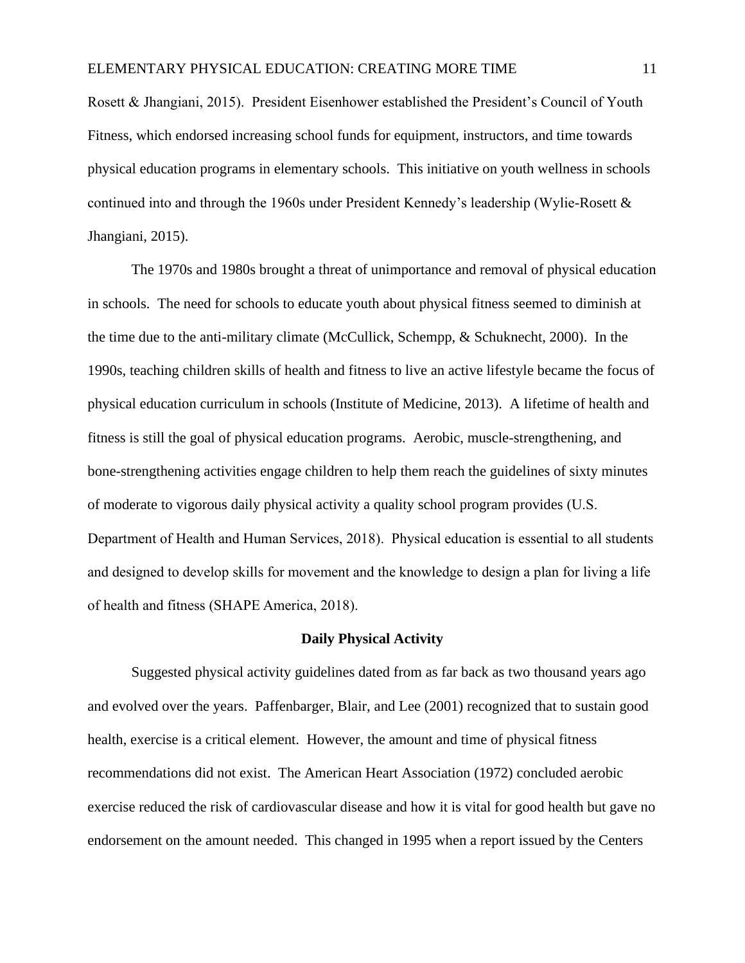Rosett & Jhangiani, 2015). President Eisenhower established the President's Council of Youth Fitness, which endorsed increasing school funds for equipment, instructors, and time towards physical education programs in elementary schools. This initiative on youth wellness in schools continued into and through the 1960s under President Kennedy's leadership (Wylie-Rosett & Jhangiani, 2015).

The 1970s and 1980s brought a threat of unimportance and removal of physical education in schools. The need for schools to educate youth about physical fitness seemed to diminish at the time due to the anti-military climate (McCullick, Schempp, & Schuknecht, 2000). In the 1990s, teaching children skills of health and fitness to live an active lifestyle became the focus of physical education curriculum in schools (Institute of Medicine, 2013). A lifetime of health and fitness is still the goal of physical education programs. Aerobic, muscle-strengthening, and bone-strengthening activities engage children to help them reach the guidelines of sixty minutes of moderate to vigorous daily physical activity a quality school program provides (U.S. Department of Health and Human Services, 2018). Physical education is essential to all students and designed to develop skills for movement and the knowledge to design a plan for living a life of health and fitness (SHAPE America, 2018).

## **Daily Physical Activity**

Suggested physical activity guidelines dated from as far back as two thousand years ago and evolved over the years. Paffenbarger, Blair, and Lee (2001) recognized that to sustain good health, exercise is a critical element. However, the amount and time of physical fitness recommendations did not exist. The American Heart Association (1972) concluded aerobic exercise reduced the risk of cardiovascular disease and how it is vital for good health but gave no endorsement on the amount needed. This changed in 1995 when a report issued by the Centers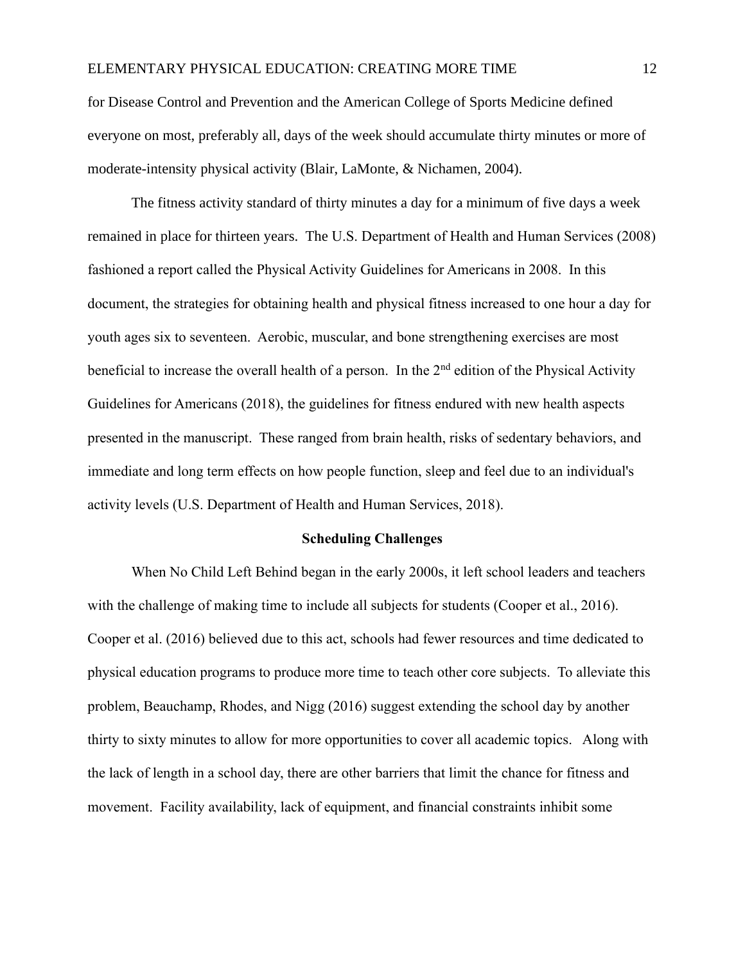for Disease Control and Prevention and the American College of Sports Medicine defined everyone on most, preferably all, days of the week should accumulate thirty minutes or more of moderate-intensity physical activity (Blair, LaMonte, & Nichamen, 2004).

The fitness activity standard of thirty minutes a day for a minimum of five days a week remained in place for thirteen years. The U.S. Department of Health and Human Services (2008) fashioned a report called the Physical Activity Guidelines for Americans in 2008. In this document, the strategies for obtaining health and physical fitness increased to one hour a day for youth ages six to seventeen. Aerobic, muscular, and bone strengthening exercises are most beneficial to increase the overall health of a person. In the  $2<sup>nd</sup>$  edition of the Physical Activity Guidelines for Americans (2018), the guidelines for fitness endured with new health aspects presented in the manuscript. These ranged from brain health, risks of sedentary behaviors, and immediate and long term effects on how people function, sleep and feel due to an individual's activity levels (U.S. Department of Health and Human Services, 2018).

## **Scheduling Challenges**

When No Child Left Behind began in the early 2000s, it left school leaders and teachers with the challenge of making time to include all subjects for students (Cooper et al., 2016). Cooper et al. (2016) believed due to this act, schools had fewer resources and time dedicated to physical education programs to produce more time to teach other core subjects. To alleviate this problem, Beauchamp, Rhodes, and Nigg (2016) suggest extending the school day by another thirty to sixty minutes to allow for more opportunities to cover all academic topics. Along with the lack of length in a school day, there are other barriers that limit the chance for fitness and movement. Facility availability, lack of equipment, and financial constraints inhibit some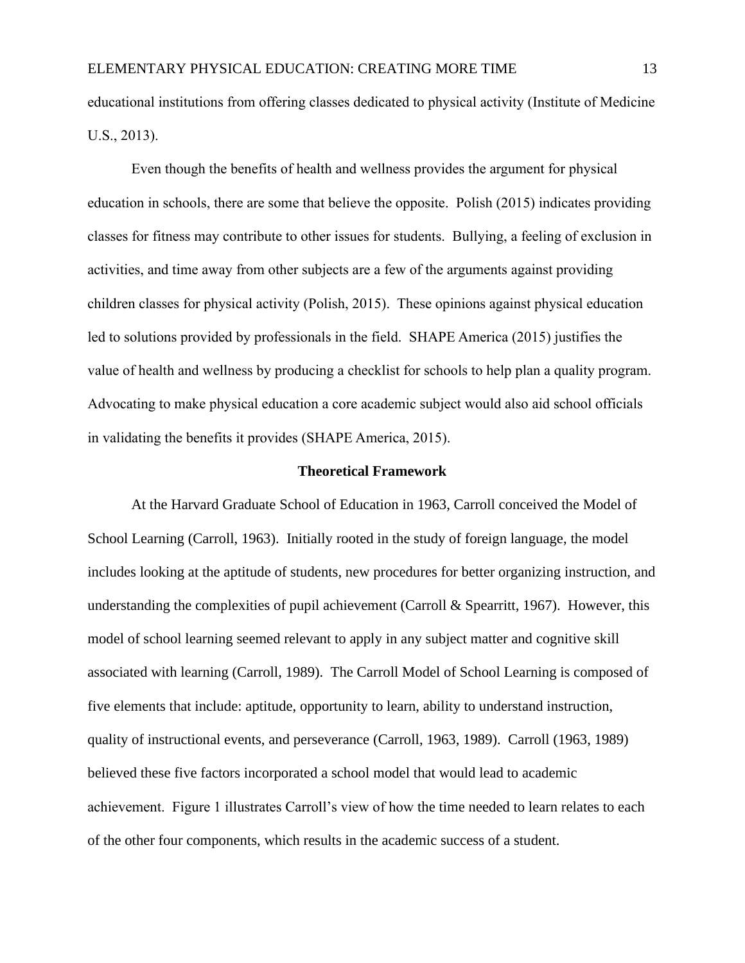educational institutions from offering classes dedicated to physical activity (Institute of Medicine U.S., 2013).

Even though the benefits of health and wellness provides the argument for physical education in schools, there are some that believe the opposite. Polish (2015) indicates providing classes for fitness may contribute to other issues for students. Bullying, a feeling of exclusion in activities, and time away from other subjects are a few of the arguments against providing children classes for physical activity (Polish, 2015). These opinions against physical education led to solutions provided by professionals in the field. SHAPE America (2015) justifies the value of health and wellness by producing a checklist for schools to help plan a quality program. Advocating to make physical education a core academic subject would also aid school officials in validating the benefits it provides (SHAPE America, 2015).

## **Theoretical Framework**

At the Harvard Graduate School of Education in 1963, Carroll conceived the Model of School Learning (Carroll, 1963). Initially rooted in the study of foreign language, the model includes looking at the aptitude of students, new procedures for better organizing instruction, and understanding the complexities of pupil achievement (Carroll & Spearritt, 1967). However, this model of school learning seemed relevant to apply in any subject matter and cognitive skill associated with learning (Carroll, 1989). The Carroll Model of School Learning is composed of five elements that include: aptitude, opportunity to learn, ability to understand instruction, quality of instructional events, and perseverance (Carroll, 1963, 1989). Carroll (1963, 1989) believed these five factors incorporated a school model that would lead to academic achievement. Figure 1 illustrates Carroll's view of how the time needed to learn relates to each of the other four components, which results in the academic success of a student.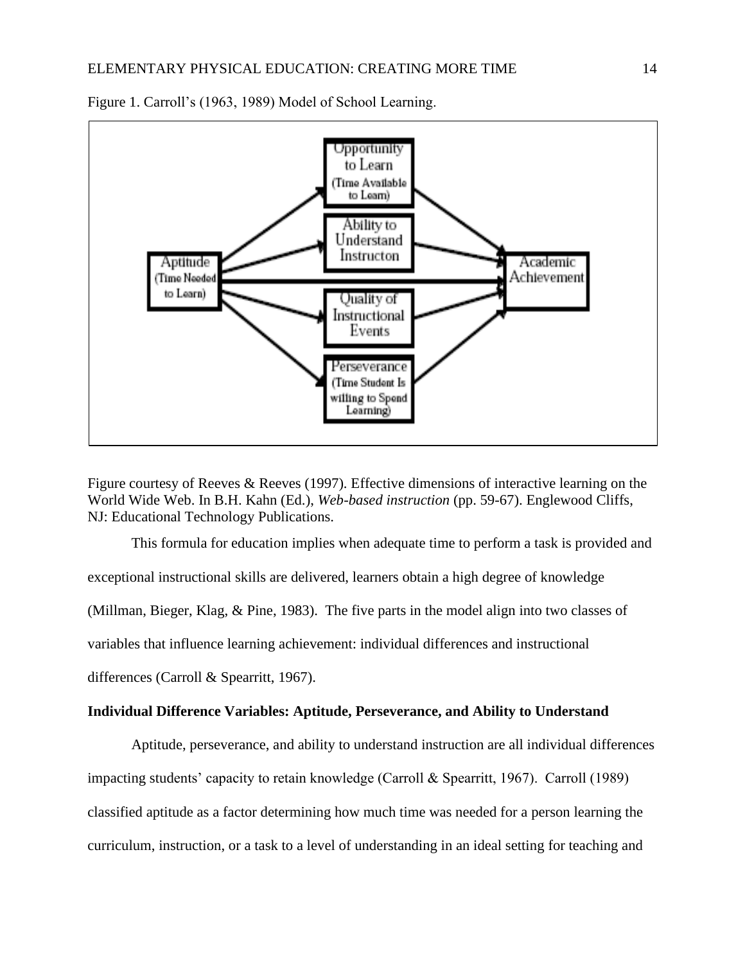

Figure 1. Carroll's (1963, 1989) Model of School Learning.

Figure courtesy of Reeves & Reeves (1997). Effective dimensions of interactive learning on the World Wide Web. In B.H. Kahn (Ed.), *Web-based instruction* (pp. 59-67). Englewood Cliffs, NJ: Educational Technology Publications.

This formula for education implies when adequate time to perform a task is provided and exceptional instructional skills are delivered, learners obtain a high degree of knowledge (Millman, Bieger, Klag, & Pine, 1983). The five parts in the model align into two classes of variables that influence learning achievement: individual differences and instructional differences (Carroll & Spearritt, 1967).

## **Individual Difference Variables: Aptitude, Perseverance, and Ability to Understand**

Aptitude, perseverance, and ability to understand instruction are all individual differences impacting students' capacity to retain knowledge (Carroll & Spearritt, 1967). Carroll (1989) classified aptitude as a factor determining how much time was needed for a person learning the curriculum, instruction, or a task to a level of understanding in an ideal setting for teaching and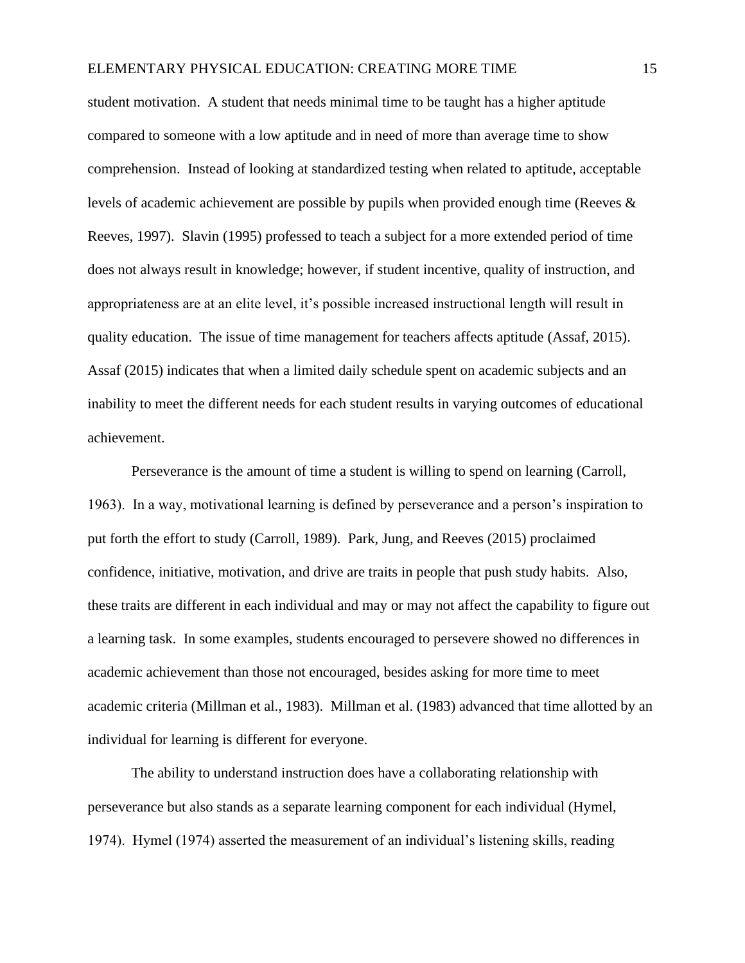## ELEMENTARY PHYSICAL EDUCATION: CREATING MORE TIME 15

student motivation. A student that needs minimal time to be taught has a higher aptitude compared to someone with a low aptitude and in need of more than average time to show comprehension. Instead of looking at standardized testing when related to aptitude, acceptable levels of academic achievement are possible by pupils when provided enough time (Reeves & Reeves, 1997). Slavin (1995) professed to teach a subject for a more extended period of time does not always result in knowledge; however, if student incentive, quality of instruction, and appropriateness are at an elite level, it's possible increased instructional length will result in quality education. The issue of time management for teachers affects aptitude (Assaf, 2015). Assaf (2015) indicates that when a limited daily schedule spent on academic subjects and an inability to meet the different needs for each student results in varying outcomes of educational achievement.

Perseverance is the amount of time a student is willing to spend on learning (Carroll, 1963). In a way, motivational learning is defined by perseverance and a person's inspiration to put forth the effort to study (Carroll, 1989). Park, Jung, and Reeves (2015) proclaimed confidence, initiative, motivation, and drive are traits in people that push study habits. Also, these traits are different in each individual and may or may not affect the capability to figure out a learning task. In some examples, students encouraged to persevere showed no differences in academic achievement than those not encouraged, besides asking for more time to meet academic criteria (Millman et al., 1983). Millman et al. (1983) advanced that time allotted by an individual for learning is different for everyone.

The ability to understand instruction does have a collaborating relationship with perseverance but also stands as a separate learning component for each individual (Hymel, 1974). Hymel (1974) asserted the measurement of an individual's listening skills, reading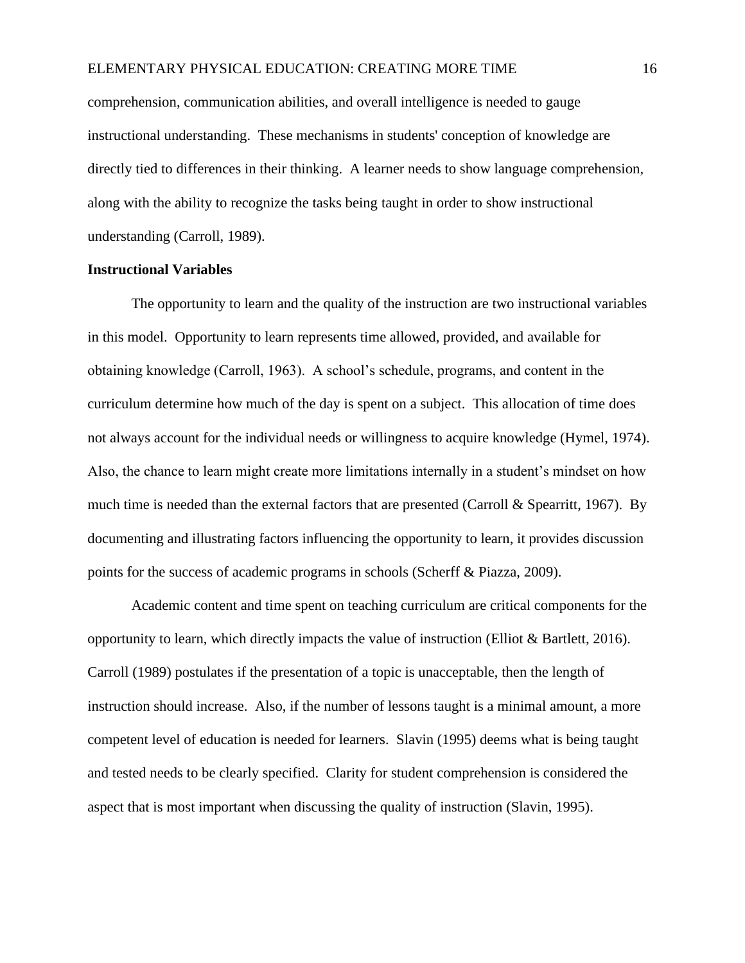## ELEMENTARY PHYSICAL EDUCATION: CREATING MORE TIME 16

comprehension, communication abilities, and overall intelligence is needed to gauge instructional understanding. These mechanisms in students' conception of knowledge are directly tied to differences in their thinking. A learner needs to show language comprehension, along with the ability to recognize the tasks being taught in order to show instructional understanding (Carroll, 1989).

#### **Instructional Variables**

The opportunity to learn and the quality of the instruction are two instructional variables in this model. Opportunity to learn represents time allowed, provided, and available for obtaining knowledge (Carroll, 1963). A school's schedule, programs, and content in the curriculum determine how much of the day is spent on a subject. This allocation of time does not always account for the individual needs or willingness to acquire knowledge (Hymel, 1974). Also, the chance to learn might create more limitations internally in a student's mindset on how much time is needed than the external factors that are presented (Carroll & Spearritt, 1967). By documenting and illustrating factors influencing the opportunity to learn, it provides discussion points for the success of academic programs in schools (Scherff & Piazza, 2009).

Academic content and time spent on teaching curriculum are critical components for the opportunity to learn, which directly impacts the value of instruction (Elliot & Bartlett, 2016). Carroll (1989) postulates if the presentation of a topic is unacceptable, then the length of instruction should increase. Also, if the number of lessons taught is a minimal amount, a more competent level of education is needed for learners. Slavin (1995) deems what is being taught and tested needs to be clearly specified. Clarity for student comprehension is considered the aspect that is most important when discussing the quality of instruction (Slavin, 1995).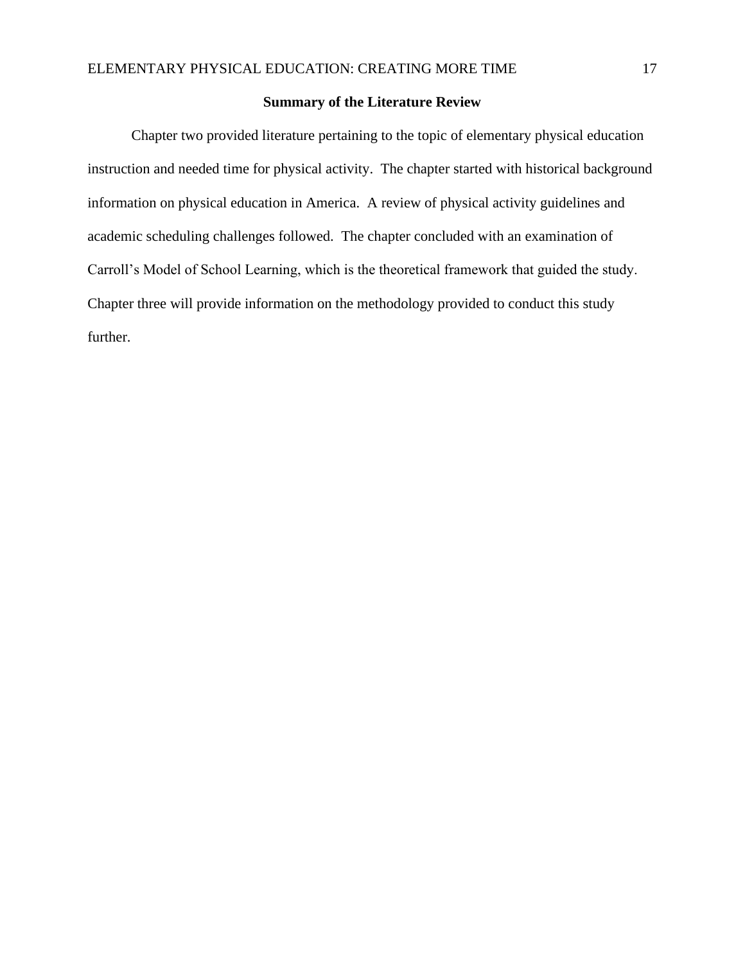## **Summary of the Literature Review**

Chapter two provided literature pertaining to the topic of elementary physical education instruction and needed time for physical activity. The chapter started with historical background information on physical education in America. A review of physical activity guidelines and academic scheduling challenges followed. The chapter concluded with an examination of Carroll's Model of School Learning, which is the theoretical framework that guided the study. Chapter three will provide information on the methodology provided to conduct this study further.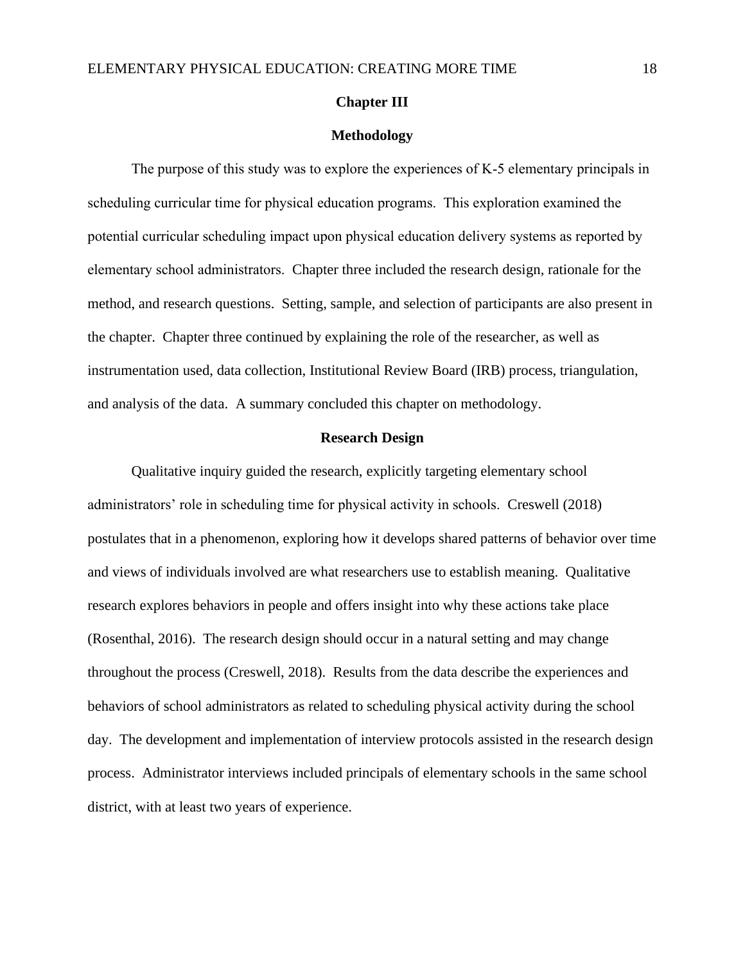#### **Chapter III**

#### **Methodology**

The purpose of this study was to explore the experiences of K-5 elementary principals in scheduling curricular time for physical education programs. This exploration examined the potential curricular scheduling impact upon physical education delivery systems as reported by elementary school administrators. Chapter three included the research design, rationale for the method, and research questions. Setting, sample, and selection of participants are also present in the chapter. Chapter three continued by explaining the role of the researcher, as well as instrumentation used, data collection, Institutional Review Board (IRB) process, triangulation, and analysis of the data. A summary concluded this chapter on methodology.

## **Research Design**

Qualitative inquiry guided the research, explicitly targeting elementary school administrators' role in scheduling time for physical activity in schools. Creswell (2018) postulates that in a phenomenon, exploring how it develops shared patterns of behavior over time and views of individuals involved are what researchers use to establish meaning. Qualitative research explores behaviors in people and offers insight into why these actions take place (Rosenthal, 2016). The research design should occur in a natural setting and may change throughout the process (Creswell, 2018). Results from the data describe the experiences and behaviors of school administrators as related to scheduling physical activity during the school day. The development and implementation of interview protocols assisted in the research design process. Administrator interviews included principals of elementary schools in the same school district, with at least two years of experience.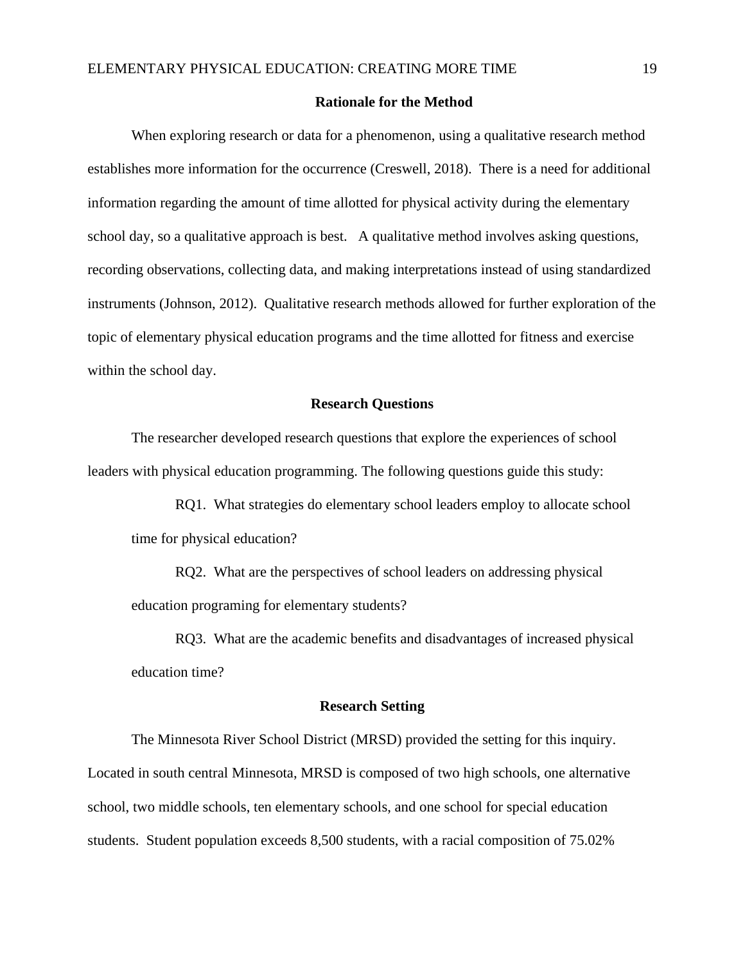#### **Rationale for the Method**

When exploring research or data for a phenomenon, using a qualitative research method establishes more information for the occurrence (Creswell, 2018). There is a need for additional information regarding the amount of time allotted for physical activity during the elementary school day, so a qualitative approach is best. A qualitative method involves asking questions, recording observations, collecting data, and making interpretations instead of using standardized instruments (Johnson, 2012). Qualitative research methods allowed for further exploration of the topic of elementary physical education programs and the time allotted for fitness and exercise within the school day.

## **Research Questions**

The researcher developed research questions that explore the experiences of school leaders with physical education programming. The following questions guide this study:

RQ1. What strategies do elementary school leaders employ to allocate school time for physical education?

RQ2. What are the perspectives of school leaders on addressing physical education programing for elementary students?

RQ3. What are the academic benefits and disadvantages of increased physical education time?

#### **Research Setting**

The Minnesota River School District (MRSD) provided the setting for this inquiry. Located in south central Minnesota, MRSD is composed of two high schools, one alternative school, two middle schools, ten elementary schools, and one school for special education students. Student population exceeds 8,500 students, with a racial composition of 75.02%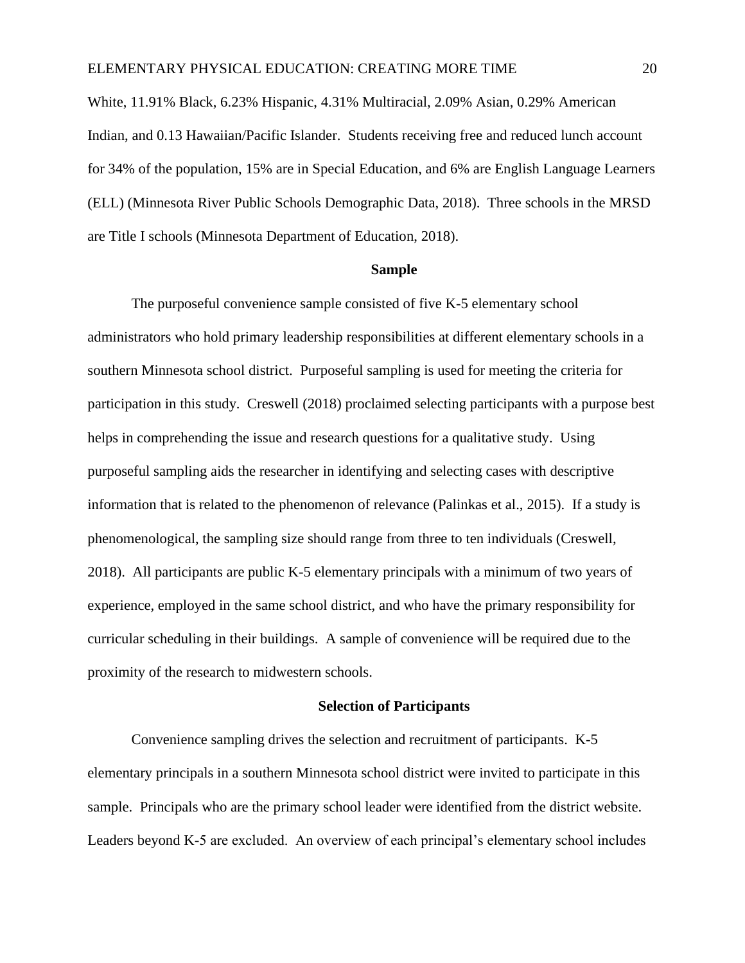White, 11.91% Black, 6.23% Hispanic, 4.31% Multiracial, 2.09% Asian, 0.29% American Indian, and 0.13 Hawaiian/Pacific Islander. Students receiving free and reduced lunch account for 34% of the population, 15% are in Special Education, and 6% are English Language Learners (ELL) (Minnesota River Public Schools Demographic Data, 2018). Three schools in the MRSD are Title I schools (Minnesota Department of Education, 2018).

#### **Sample**

The purposeful convenience sample consisted of five K-5 elementary school administrators who hold primary leadership responsibilities at different elementary schools in a southern Minnesota school district. Purposeful sampling is used for meeting the criteria for participation in this study. Creswell (2018) proclaimed selecting participants with a purpose best helps in comprehending the issue and research questions for a qualitative study. Using purposeful sampling aids the researcher in identifying and selecting cases with descriptive information that is related to the phenomenon of relevance (Palinkas et al., 2015). If a study is phenomenological, the sampling size should range from three to ten individuals (Creswell, 2018). All participants are public K-5 elementary principals with a minimum of two years of experience, employed in the same school district, and who have the primary responsibility for curricular scheduling in their buildings. A sample of convenience will be required due to the proximity of the research to midwestern schools.

## **Selection of Participants**

Convenience sampling drives the selection and recruitment of participants. K-5 elementary principals in a southern Minnesota school district were invited to participate in this sample. Principals who are the primary school leader were identified from the district website. Leaders beyond K-5 are excluded. An overview of each principal's elementary school includes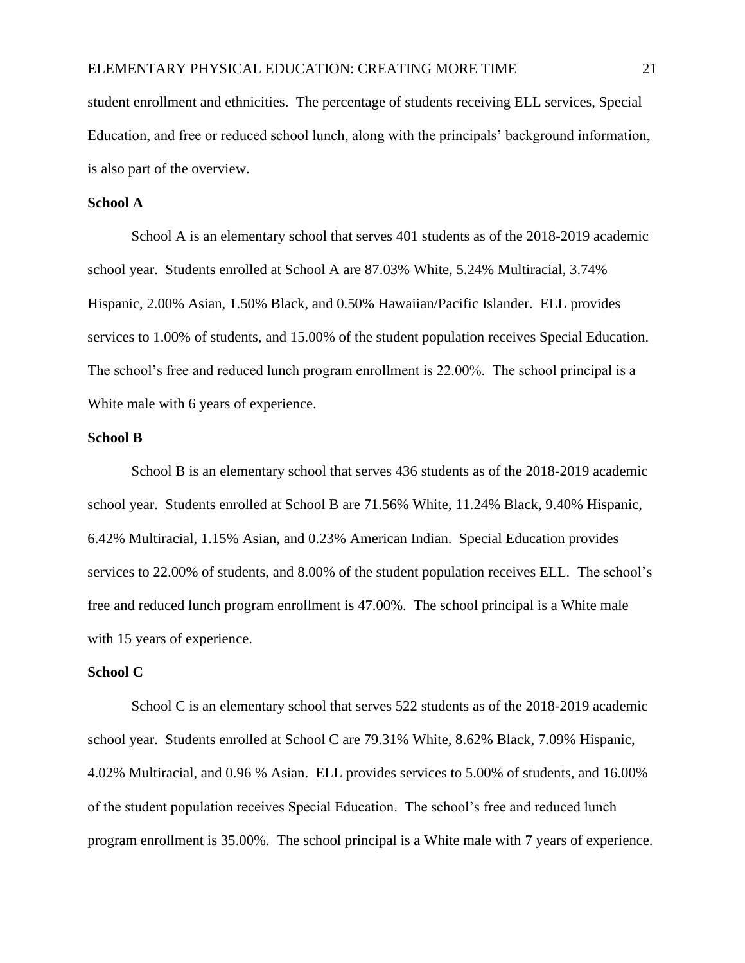student enrollment and ethnicities. The percentage of students receiving ELL services, Special Education, and free or reduced school lunch, along with the principals' background information, is also part of the overview.

## **School A**

School A is an elementary school that serves 401 students as of the 2018-2019 academic school year. Students enrolled at School A are 87.03% White, 5.24% Multiracial, 3.74% Hispanic, 2.00% Asian, 1.50% Black, and 0.50% Hawaiian/Pacific Islander. ELL provides services to 1.00% of students, and 15.00% of the student population receives Special Education. The school's free and reduced lunch program enrollment is 22.00%. The school principal is a White male with 6 years of experience.

## **School B**

School B is an elementary school that serves 436 students as of the 2018-2019 academic school year. Students enrolled at School B are 71.56% White, 11.24% Black, 9.40% Hispanic, 6.42% Multiracial, 1.15% Asian, and 0.23% American Indian. Special Education provides services to 22.00% of students, and 8.00% of the student population receives ELL. The school's free and reduced lunch program enrollment is 47.00%. The school principal is a White male with 15 years of experience.

#### **School C**

School C is an elementary school that serves 522 students as of the 2018-2019 academic school year. Students enrolled at School C are 79.31% White, 8.62% Black, 7.09% Hispanic, 4.02% Multiracial, and 0.96 % Asian. ELL provides services to 5.00% of students, and 16.00% of the student population receives Special Education. The school's free and reduced lunch program enrollment is 35.00%. The school principal is a White male with 7 years of experience.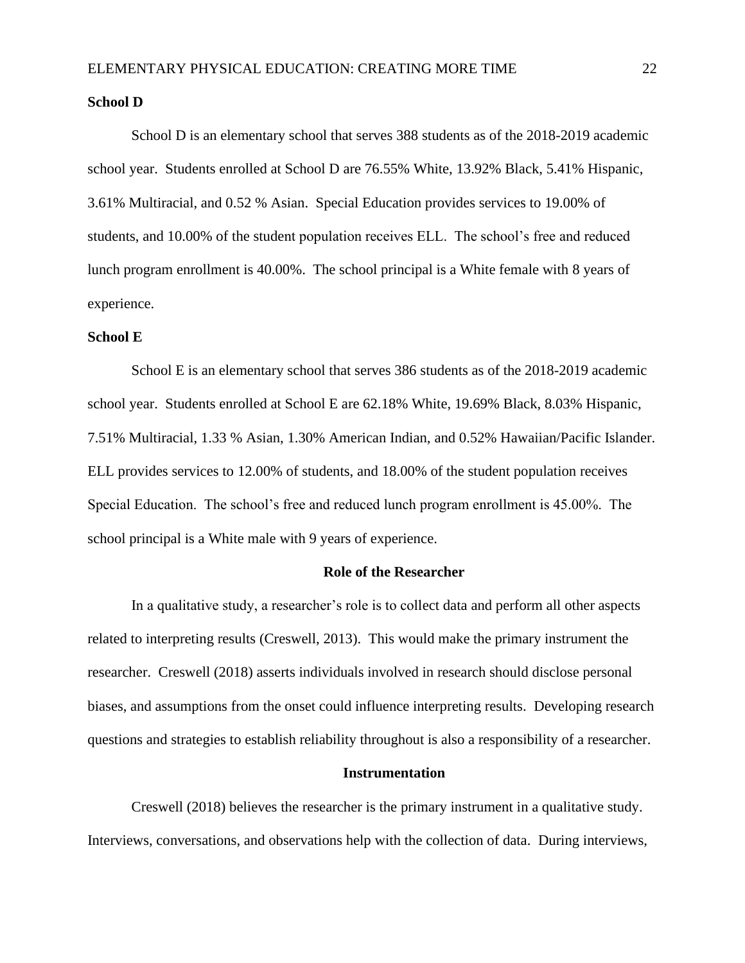#### **School D**

School D is an elementary school that serves 388 students as of the 2018-2019 academic school year. Students enrolled at School D are 76.55% White, 13.92% Black, 5.41% Hispanic, 3.61% Multiracial, and 0.52 % Asian. Special Education provides services to 19.00% of students, and 10.00% of the student population receives ELL. The school's free and reduced lunch program enrollment is 40.00%. The school principal is a White female with 8 years of experience.

## **School E**

School E is an elementary school that serves 386 students as of the 2018-2019 academic school year. Students enrolled at School E are 62.18% White, 19.69% Black, 8.03% Hispanic, 7.51% Multiracial, 1.33 % Asian, 1.30% American Indian, and 0.52% Hawaiian/Pacific Islander. ELL provides services to 12.00% of students, and 18.00% of the student population receives Special Education. The school's free and reduced lunch program enrollment is 45.00%. The school principal is a White male with 9 years of experience.

#### **Role of the Researcher**

In a qualitative study, a researcher's role is to collect data and perform all other aspects related to interpreting results (Creswell, 2013). This would make the primary instrument the researcher. Creswell (2018) asserts individuals involved in research should disclose personal biases, and assumptions from the onset could influence interpreting results. Developing research questions and strategies to establish reliability throughout is also a responsibility of a researcher.

#### **Instrumentation**

Creswell (2018) believes the researcher is the primary instrument in a qualitative study. Interviews, conversations, and observations help with the collection of data. During interviews,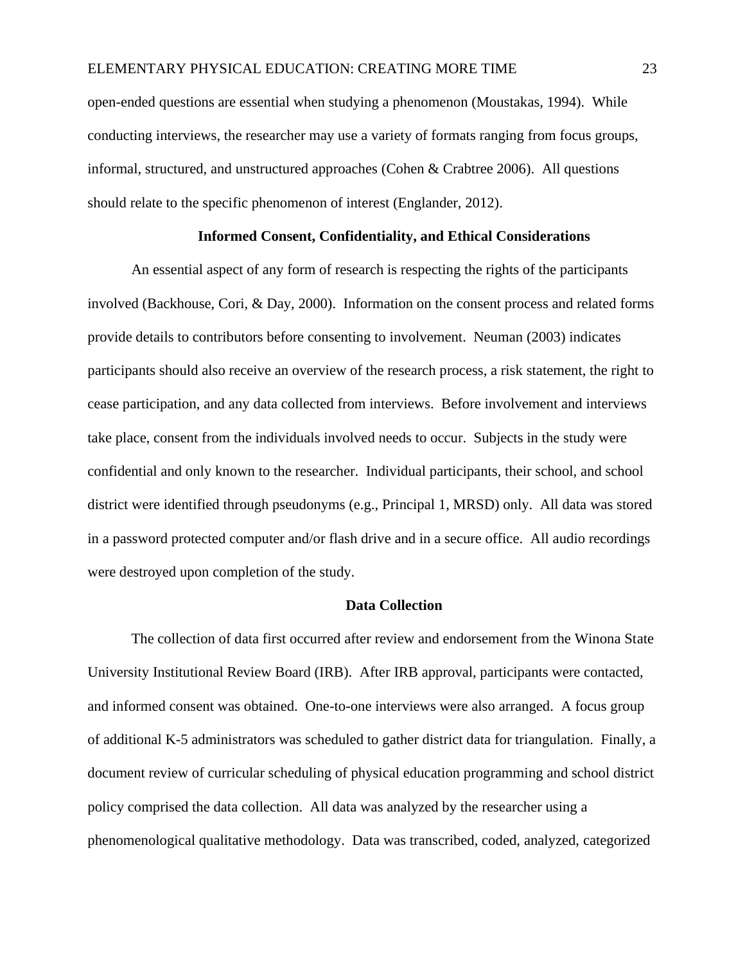open-ended questions are essential when studying a phenomenon (Moustakas, 1994). While conducting interviews, the researcher may use a variety of formats ranging from focus groups, informal, structured, and unstructured approaches (Cohen & Crabtree 2006). All questions should relate to the specific phenomenon of interest (Englander, 2012).

#### **Informed Consent, Confidentiality, and Ethical Considerations**

An essential aspect of any form of research is respecting the rights of the participants involved (Backhouse, Cori, & Day, 2000). Information on the consent process and related forms provide details to contributors before consenting to involvement. Neuman (2003) indicates participants should also receive an overview of the research process, a risk statement, the right to cease participation, and any data collected from interviews. Before involvement and interviews take place, consent from the individuals involved needs to occur. Subjects in the study were confidential and only known to the researcher. Individual participants, their school, and school district were identified through pseudonyms (e.g., Principal 1, MRSD) only. All data was stored in a password protected computer and/or flash drive and in a secure office. All audio recordings were destroyed upon completion of the study.

#### **Data Collection**

The collection of data first occurred after review and endorsement from the Winona State University Institutional Review Board (IRB). After IRB approval, participants were contacted, and informed consent was obtained. One-to-one interviews were also arranged. A focus group of additional K-5 administrators was scheduled to gather district data for triangulation. Finally, a document review of curricular scheduling of physical education programming and school district policy comprised the data collection. All data was analyzed by the researcher using a phenomenological qualitative methodology. Data was transcribed, coded, analyzed, categorized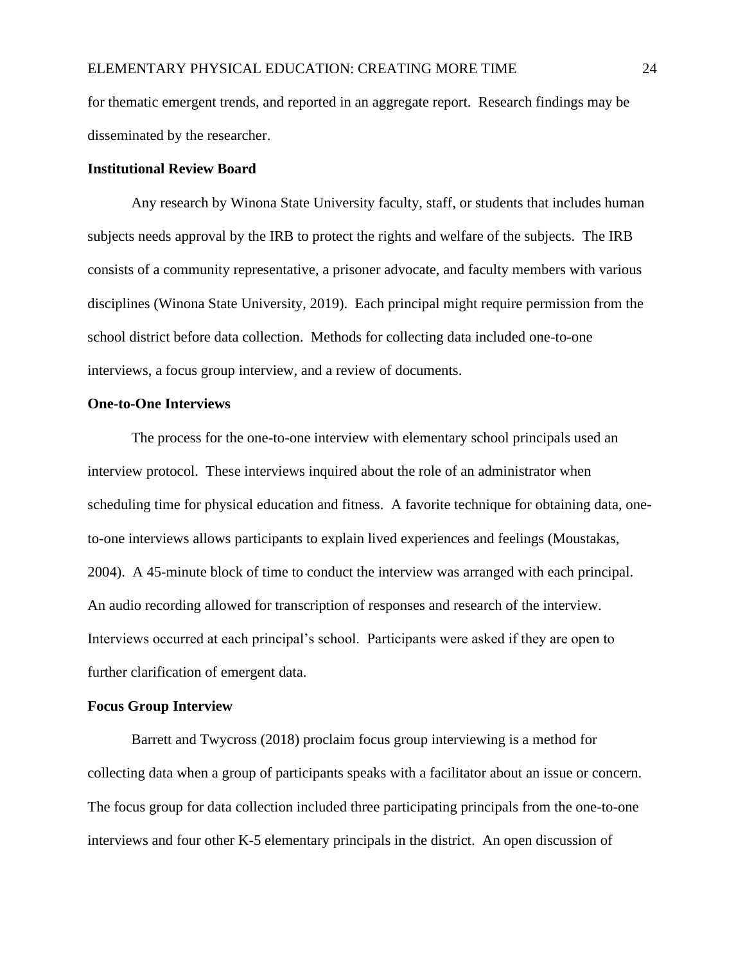for thematic emergent trends, and reported in an aggregate report. Research findings may be disseminated by the researcher.

## **Institutional Review Board**

Any research by Winona State University faculty, staff, or students that includes human subjects needs approval by the IRB to protect the rights and welfare of the subjects. The IRB consists of a community representative, a prisoner advocate, and faculty members with various disciplines (Winona State University, 2019). Each principal might require permission from the school district before data collection. Methods for collecting data included one-to-one interviews, a focus group interview, and a review of documents.

## **One-to-One Interviews**

The process for the one-to-one interview with elementary school principals used an interview protocol. These interviews inquired about the role of an administrator when scheduling time for physical education and fitness. A favorite technique for obtaining data, oneto-one interviews allows participants to explain lived experiences and feelings (Moustakas, 2004). A 45-minute block of time to conduct the interview was arranged with each principal. An audio recording allowed for transcription of responses and research of the interview. Interviews occurred at each principal's school. Participants were asked if they are open to further clarification of emergent data.

## **Focus Group Interview**

Barrett and Twycross (2018) proclaim focus group interviewing is a method for collecting data when a group of participants speaks with a facilitator about an issue or concern. The focus group for data collection included three participating principals from the one-to-one interviews and four other K-5 elementary principals in the district. An open discussion of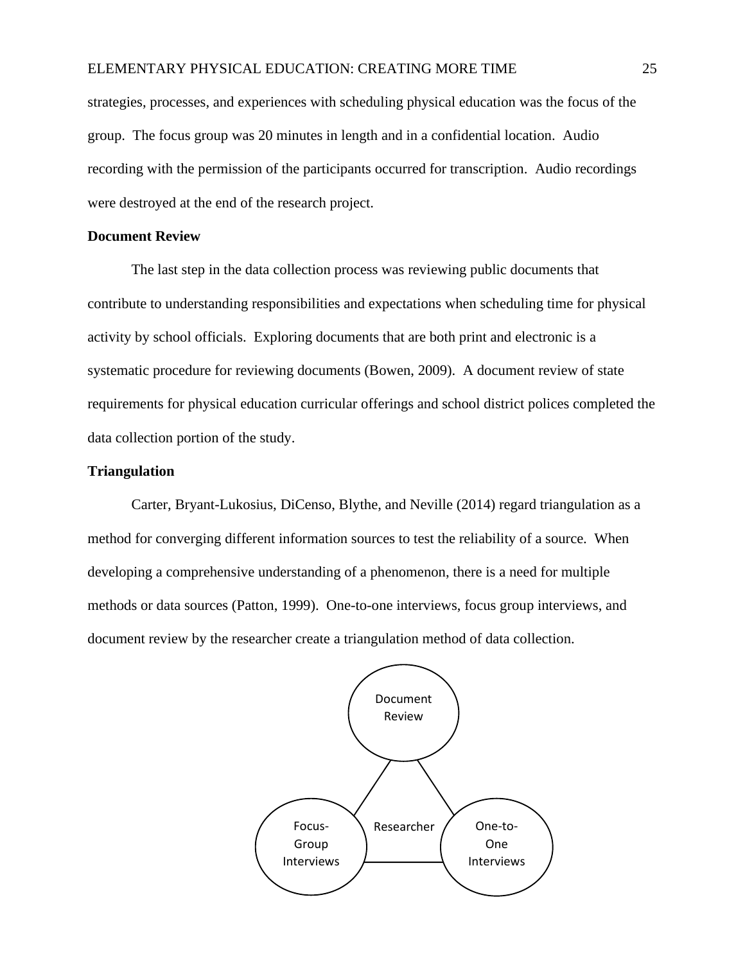## ELEMENTARY PHYSICAL EDUCATION: CREATING MORE TIME 25

strategies, processes, and experiences with scheduling physical education was the focus of the group. The focus group was 20 minutes in length and in a confidential location. Audio recording with the permission of the participants occurred for transcription. Audio recordings were destroyed at the end of the research project.

## **Document Review**

The last step in the data collection process was reviewing public documents that contribute to understanding responsibilities and expectations when scheduling time for physical activity by school officials. Exploring documents that are both print and electronic is a systematic procedure for reviewing documents (Bowen, 2009). A document review of state requirements for physical education curricular offerings and school district polices completed the data collection portion of the study.

## **Triangulation**

Carter, Bryant-Lukosius, DiCenso, Blythe, and Neville (2014) regard triangulation as a method for converging different information sources to test the reliability of a source. When developing a comprehensive understanding of a phenomenon, there is a need for multiple methods or data sources (Patton, 1999). One-to-one interviews, focus group interviews, and document review by the researcher create a triangulation method of data collection.

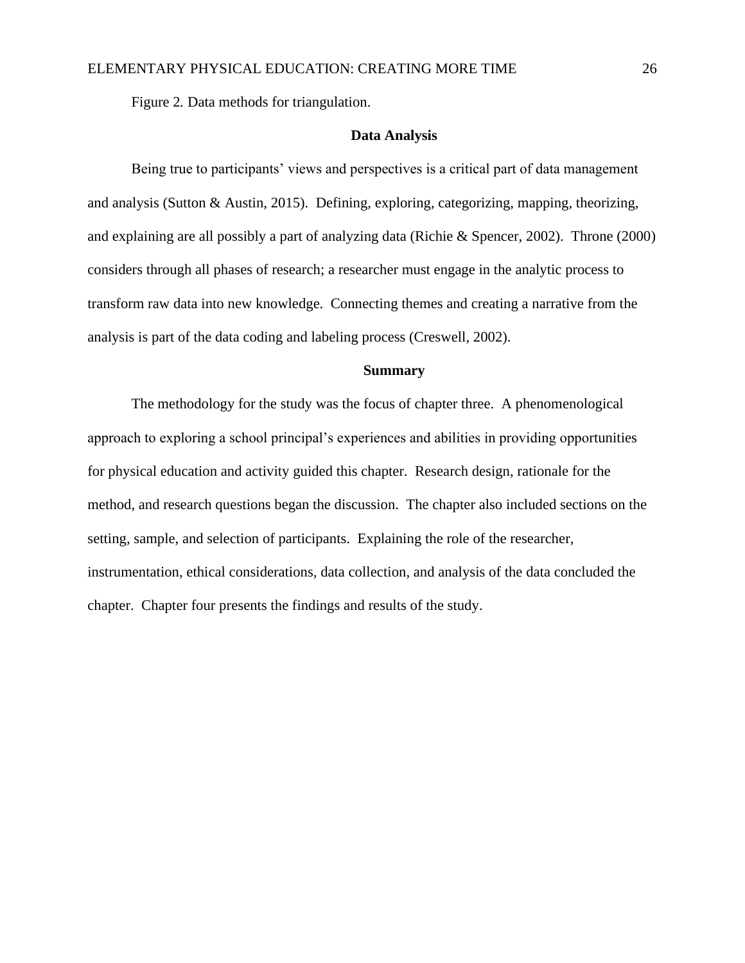Figure 2*.* Data methods for triangulation.

#### **Data Analysis**

Being true to participants' views and perspectives is a critical part of data management and analysis (Sutton & Austin, 2015). Defining, exploring, categorizing, mapping, theorizing, and explaining are all possibly a part of analyzing data (Richie & Spencer, 2002). Throne (2000) considers through all phases of research; a researcher must engage in the analytic process to transform raw data into new knowledge. Connecting themes and creating a narrative from the analysis is part of the data coding and labeling process (Creswell, 2002).

## **Summary**

The methodology for the study was the focus of chapter three. A phenomenological approach to exploring a school principal's experiences and abilities in providing opportunities for physical education and activity guided this chapter. Research design, rationale for the method, and research questions began the discussion. The chapter also included sections on the setting, sample, and selection of participants. Explaining the role of the researcher, instrumentation, ethical considerations, data collection, and analysis of the data concluded the chapter. Chapter four presents the findings and results of the study.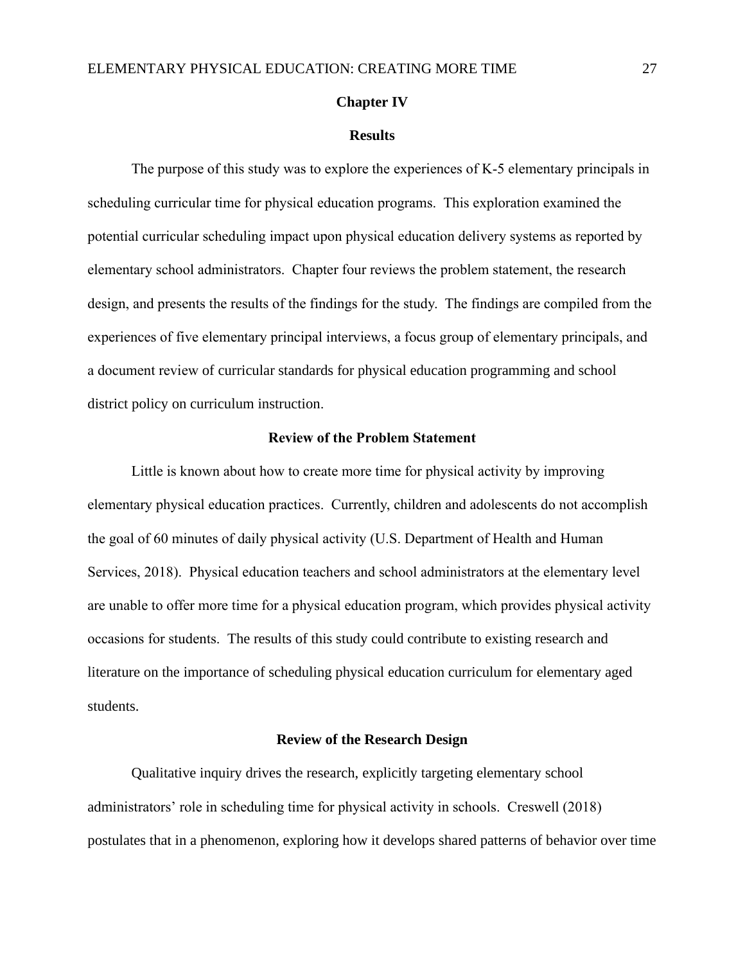#### **Chapter IV**

#### **Results**

The purpose of this study was to explore the experiences of K-5 elementary principals in scheduling curricular time for physical education programs. This exploration examined the potential curricular scheduling impact upon physical education delivery systems as reported by elementary school administrators. Chapter four reviews the problem statement, the research design, and presents the results of the findings for the study. The findings are compiled from the experiences of five elementary principal interviews, a focus group of elementary principals, and a document review of curricular standards for physical education programming and school district policy on curriculum instruction.

#### **Review of the Problem Statement**

Little is known about how to create more time for physical activity by improving elementary physical education practices. Currently, children and adolescents do not accomplish the goal of 60 minutes of daily physical activity (U.S. Department of Health and Human Services, 2018). Physical education teachers and school administrators at the elementary level are unable to offer more time for a physical education program, which provides physical activity occasions for students. The results of this study could contribute to existing research and literature on the importance of scheduling physical education curriculum for elementary aged students.

#### **Review of the Research Design**

Qualitative inquiry drives the research, explicitly targeting elementary school administrators' role in scheduling time for physical activity in schools. Creswell (2018) postulates that in a phenomenon, exploring how it develops shared patterns of behavior over time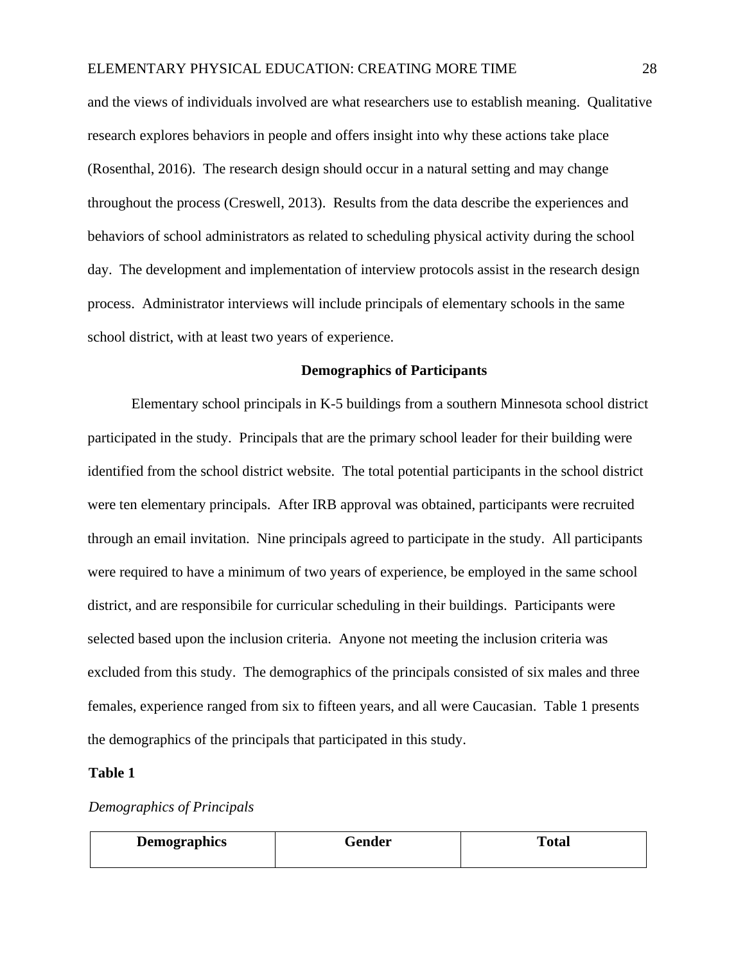and the views of individuals involved are what researchers use to establish meaning. Qualitative research explores behaviors in people and offers insight into why these actions take place (Rosenthal, 2016). The research design should occur in a natural setting and may change throughout the process (Creswell, 2013). Results from the data describe the experiences and behaviors of school administrators as related to scheduling physical activity during the school day. The development and implementation of interview protocols assist in the research design process. Administrator interviews will include principals of elementary schools in the same school district, with at least two years of experience.

## **Demographics of Participants**

Elementary school principals in K-5 buildings from a southern Minnesota school district participated in the study. Principals that are the primary school leader for their building were identified from the school district website. The total potential participants in the school district were ten elementary principals. After IRB approval was obtained, participants were recruited through an email invitation. Nine principals agreed to participate in the study. All participants were required to have a minimum of two years of experience, be employed in the same school district, and are responsibile for curricular scheduling in their buildings. Participants were selected based upon the inclusion criteria. Anyone not meeting the inclusion criteria was excluded from this study. The demographics of the principals consisted of six males and three females, experience ranged from six to fifteen years, and all were Caucasian. Table 1 presents the demographics of the principals that participated in this study.

## **Table 1**

## *Demographics of Principals*

| <b>Demographics</b> | Gender | Total |
|---------------------|--------|-------|
|                     |        |       |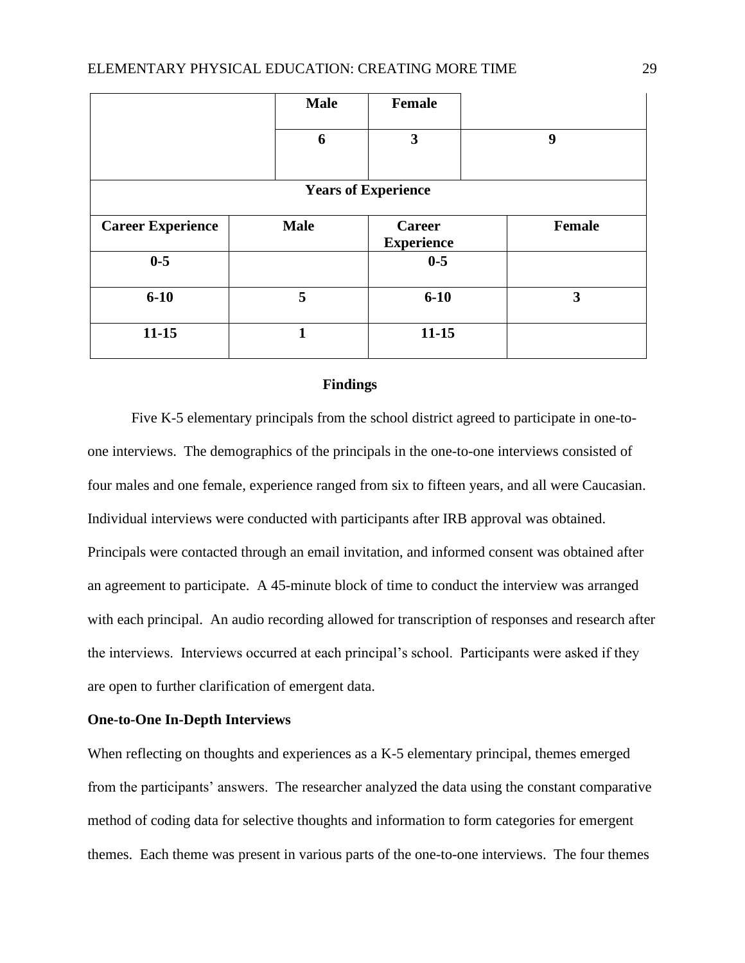|                            | <b>Male</b> | Female                      |        |  |  |
|----------------------------|-------------|-----------------------------|--------|--|--|
|                            | 6           | $\mathbf{3}$                | 9      |  |  |
| <b>Years of Experience</b> |             |                             |        |  |  |
| <b>Career Experience</b>   | <b>Male</b> | Career<br><b>Experience</b> | Female |  |  |
| $0 - 5$                    |             | $0-5$                       |        |  |  |
| $6 - 10$                   | 5           | $6 - 10$                    | 3      |  |  |
| $11 - 15$                  | 1           | $11 - 15$                   |        |  |  |

#### **Findings**

Five K-5 elementary principals from the school district agreed to participate in one-toone interviews. The demographics of the principals in the one-to-one interviews consisted of four males and one female, experience ranged from six to fifteen years, and all were Caucasian. Individual interviews were conducted with participants after IRB approval was obtained. Principals were contacted through an email invitation, and informed consent was obtained after an agreement to participate. A 45-minute block of time to conduct the interview was arranged with each principal. An audio recording allowed for transcription of responses and research after the interviews. Interviews occurred at each principal's school. Participants were asked if they are open to further clarification of emergent data.

## **One-to-One In-Depth Interviews**

When reflecting on thoughts and experiences as a K-5 elementary principal, themes emerged from the participants' answers. The researcher analyzed the data using the constant comparative method of coding data for selective thoughts and information to form categories for emergent themes. Each theme was present in various parts of the one-to-one interviews. The four themes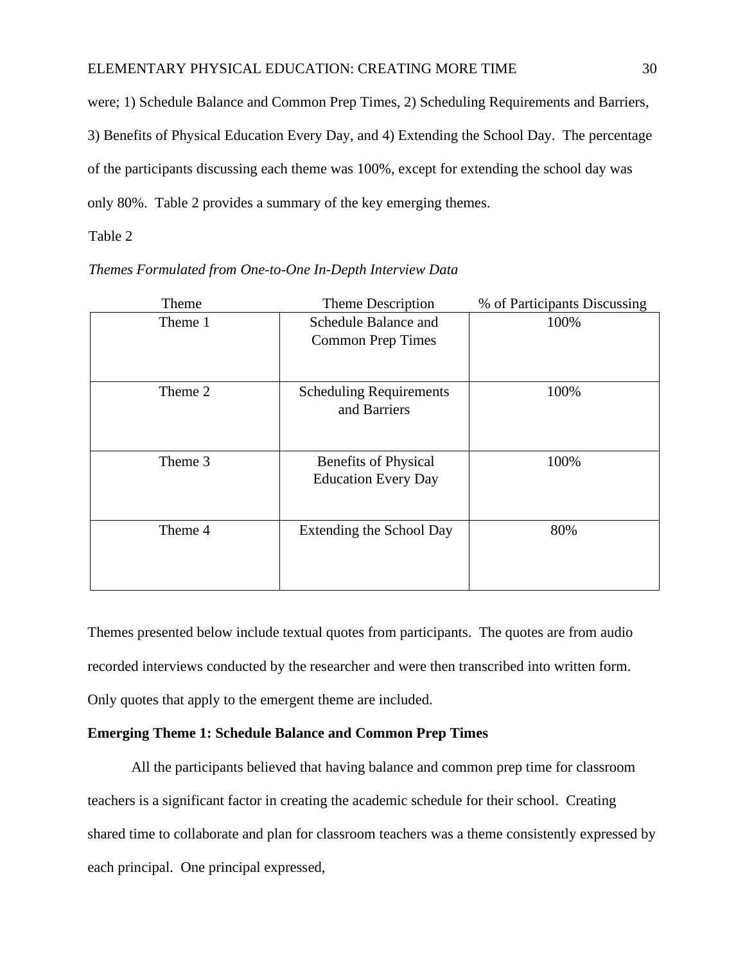were; 1) Schedule Balance and Common Prep Times, 2) Scheduling Requirements and Barriers, 3) Benefits of Physical Education Every Day, and 4) Extending the School Day. The percentage of the participants discussing each theme was 100%, except for extending the school day was only 80%. Table 2 provides a summary of the key emerging themes.

Table 2

| Theme   | Theme Description                              | % of Participants Discussing |
|---------|------------------------------------------------|------------------------------|
| Theme 1 | Schedule Balance and                           | 100%                         |
|         | <b>Common Prep Times</b>                       |                              |
|         |                                                |                              |
| Theme 2 | <b>Scheduling Requirements</b><br>and Barriers | 100%                         |
| Theme 3 | <b>Benefits of Physical</b>                    | 100%                         |
|         | <b>Education Every Day</b>                     |                              |
|         |                                                |                              |
| Theme 4 | Extending the School Day                       | 80%                          |
|         |                                                |                              |
|         |                                                |                              |
|         |                                                |                              |

*Themes Formulated from One-to-One In-Depth Interview Data* 

Themes presented below include textual quotes from participants. The quotes are from audio recorded interviews conducted by the researcher and were then transcribed into written form. Only quotes that apply to the emergent theme are included.

## **Emerging Theme 1: Schedule Balance and Common Prep Times**

All the participants believed that having balance and common prep time for classroom teachers is a significant factor in creating the academic schedule for their school. Creating shared time to collaborate and plan for classroom teachers was a theme consistently expressed by each principal. One principal expressed,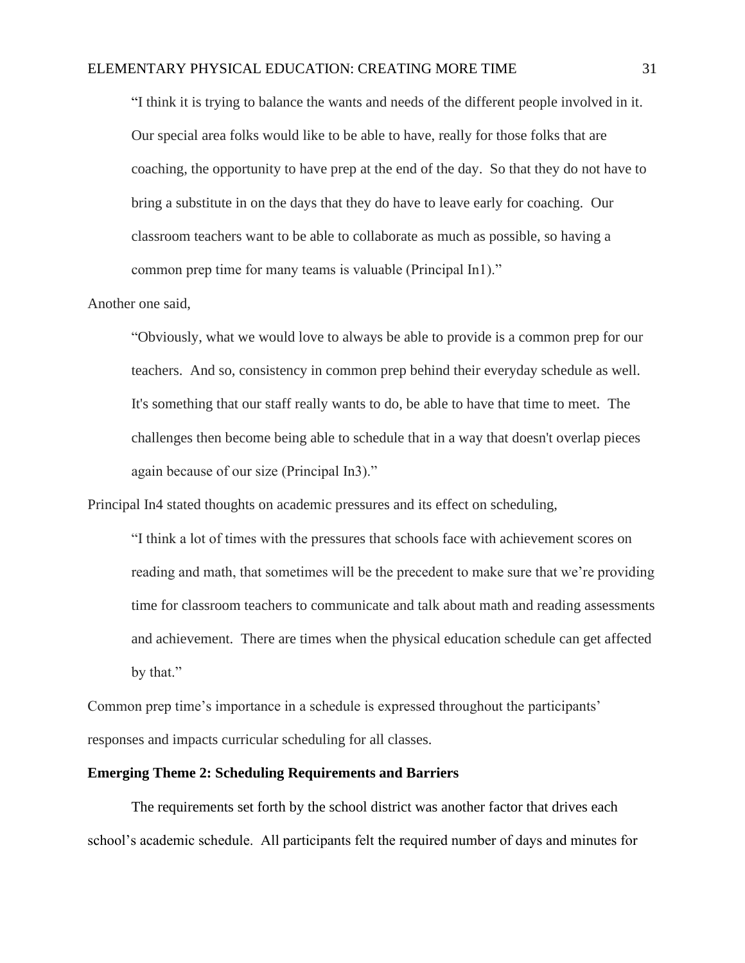"I think it is trying to balance the wants and needs of the different people involved in it. Our special area folks would like to be able to have, really for those folks that are coaching, the opportunity to have prep at the end of the day. So that they do not have to bring a substitute in on the days that they do have to leave early for coaching. Our classroom teachers want to be able to collaborate as much as possible, so having a common prep time for many teams is valuable (Principal In1)."

## Another one said,

"Obviously, what we would love to always be able to provide is a common prep for our teachers. And so, consistency in common prep behind their everyday schedule as well. It's something that our staff really wants to do, be able to have that time to meet. The challenges then become being able to schedule that in a way that doesn't overlap pieces again because of our size (Principal In3)."

Principal In4 stated thoughts on academic pressures and its effect on scheduling,

"I think a lot of times with the pressures that schools face with achievement scores on reading and math, that sometimes will be the precedent to make sure that we're providing time for classroom teachers to communicate and talk about math and reading assessments and achievement. There are times when the physical education schedule can get affected by that."

Common prep time's importance in a schedule is expressed throughout the participants' responses and impacts curricular scheduling for all classes.

## **Emerging Theme 2: Scheduling Requirements and Barriers**

The requirements set forth by the school district was another factor that drives each school's academic schedule. All participants felt the required number of days and minutes for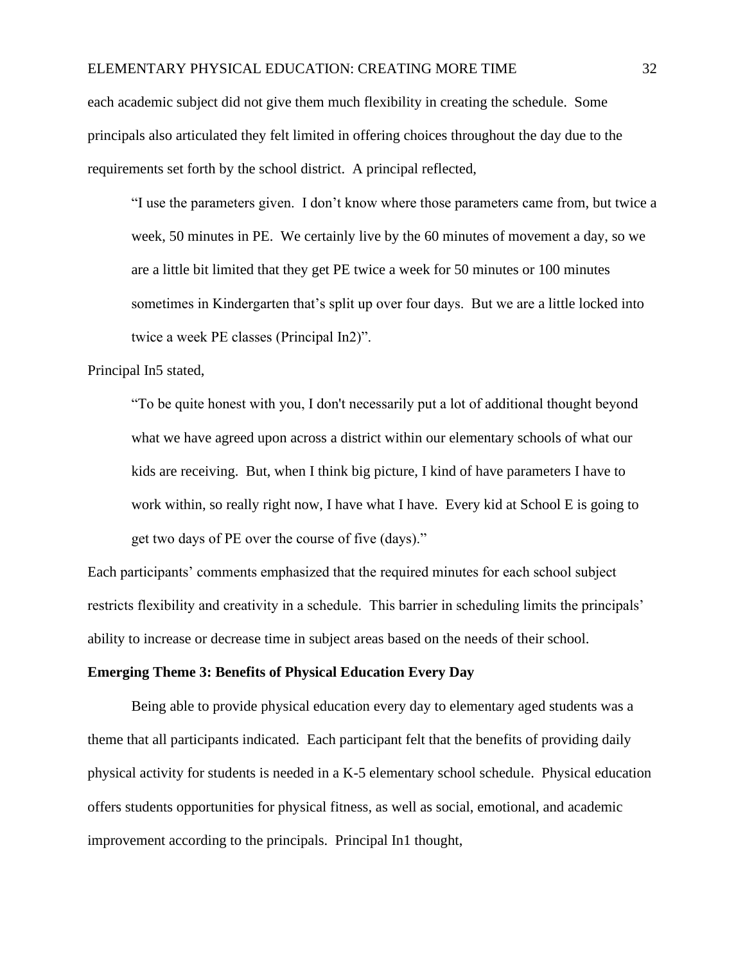each academic subject did not give them much flexibility in creating the schedule. Some principals also articulated they felt limited in offering choices throughout the day due to the requirements set forth by the school district. A principal reflected,

"I use the parameters given. I don't know where those parameters came from, but twice a week, 50 minutes in PE. We certainly live by the 60 minutes of movement a day, so we are a little bit limited that they get PE twice a week for 50 minutes or 100 minutes sometimes in Kindergarten that's split up over four days. But we are a little locked into twice a week PE classes (Principal In2)".

## Principal In5 stated,

"To be quite honest with you, I don't necessarily put a lot of additional thought beyond what we have agreed upon across a district within our elementary schools of what our kids are receiving. But, when I think big picture, I kind of have parameters I have to work within, so really right now, I have what I have. Every kid at School E is going to get two days of PE over the course of five (days)."

Each participants' comments emphasized that the required minutes for each school subject restricts flexibility and creativity in a schedule. This barrier in scheduling limits the principals' ability to increase or decrease time in subject areas based on the needs of their school.

## **Emerging Theme 3: Benefits of Physical Education Every Day**

Being able to provide physical education every day to elementary aged students was a theme that all participants indicated. Each participant felt that the benefits of providing daily physical activity for students is needed in a K-5 elementary school schedule. Physical education offers students opportunities for physical fitness, as well as social, emotional, and academic improvement according to the principals. Principal In1 thought,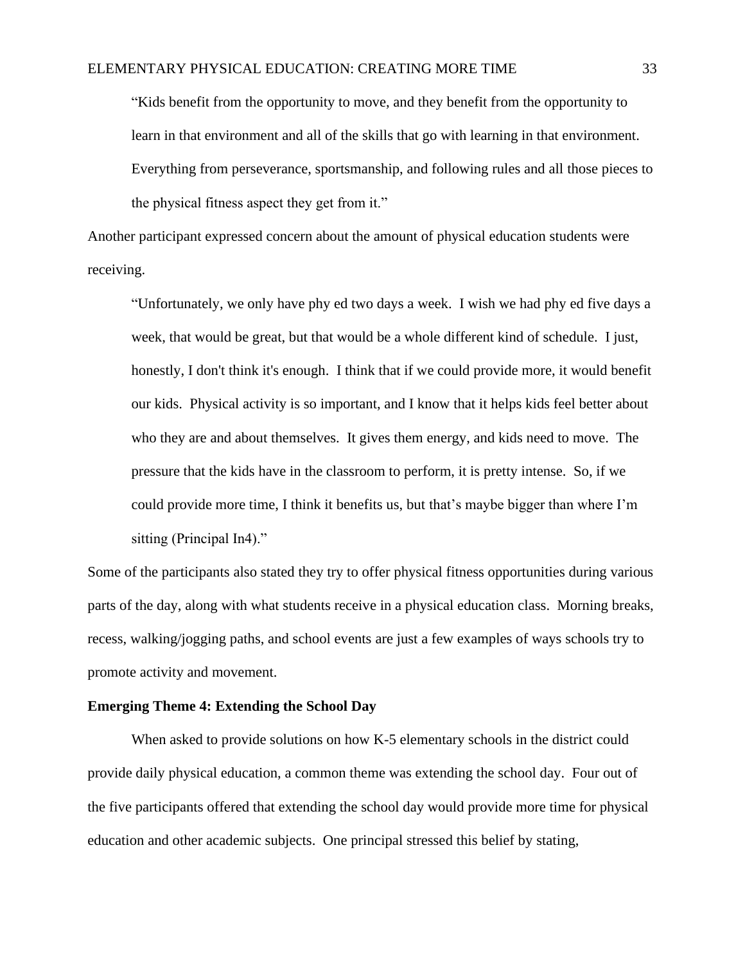"Kids benefit from the opportunity to move, and they benefit from the opportunity to learn in that environment and all of the skills that go with learning in that environment. Everything from perseverance, sportsmanship, and following rules and all those pieces to the physical fitness aspect they get from it."

Another participant expressed concern about the amount of physical education students were receiving.

"Unfortunately, we only have phy ed two days a week. I wish we had phy ed five days a week, that would be great, but that would be a whole different kind of schedule. I just, honestly, I don't think it's enough. I think that if we could provide more, it would benefit our kids. Physical activity is so important, and I know that it helps kids feel better about who they are and about themselves. It gives them energy, and kids need to move. The pressure that the kids have in the classroom to perform, it is pretty intense. So, if we could provide more time, I think it benefits us, but that's maybe bigger than where I'm sitting (Principal In4)."

Some of the participants also stated they try to offer physical fitness opportunities during various parts of the day, along with what students receive in a physical education class. Morning breaks, recess, walking/jogging paths, and school events are just a few examples of ways schools try to promote activity and movement.

#### **Emerging Theme 4: Extending the School Day**

When asked to provide solutions on how K-5 elementary schools in the district could provide daily physical education, a common theme was extending the school day. Four out of the five participants offered that extending the school day would provide more time for physical education and other academic subjects. One principal stressed this belief by stating,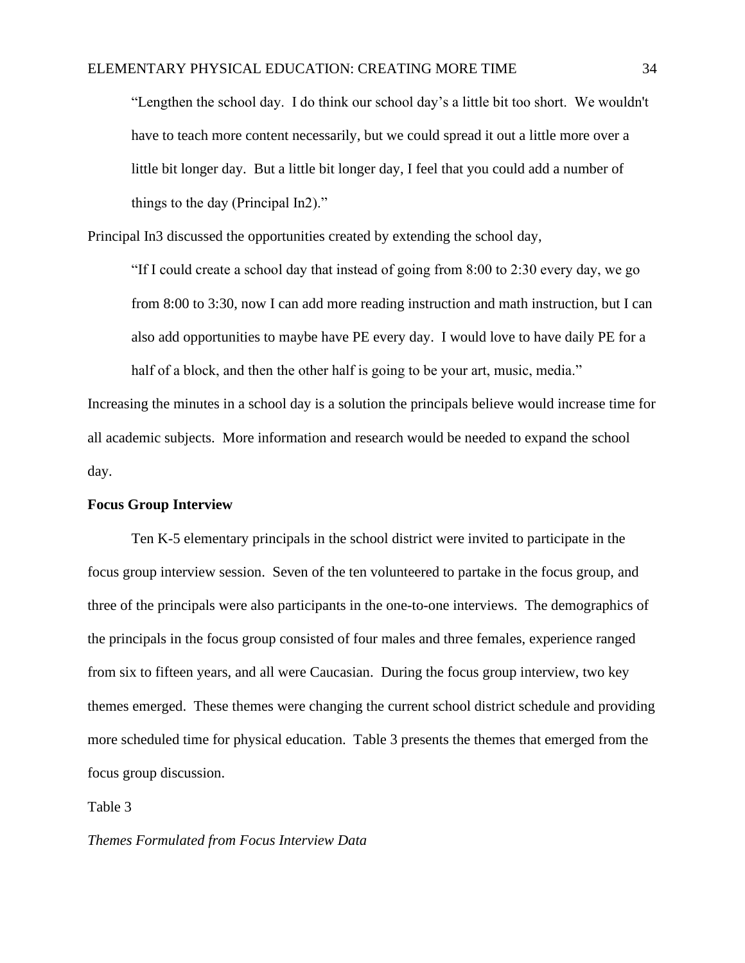"Lengthen the school day. I do think our school day's a little bit too short. We wouldn't have to teach more content necessarily, but we could spread it out a little more over a little bit longer day. But a little bit longer day, I feel that you could add a number of things to the day (Principal In2)."

Principal In3 discussed the opportunities created by extending the school day,

"If I could create a school day that instead of going from 8:00 to 2:30 every day, we go from 8:00 to 3:30, now I can add more reading instruction and math instruction, but I can also add opportunities to maybe have PE every day. I would love to have daily PE for a half of a block, and then the other half is going to be your art, music, media."

Increasing the minutes in a school day is a solution the principals believe would increase time for all academic subjects. More information and research would be needed to expand the school day.

#### **Focus Group Interview**

Ten K-5 elementary principals in the school district were invited to participate in the focus group interview session. Seven of the ten volunteered to partake in the focus group, and three of the principals were also participants in the one-to-one interviews. The demographics of the principals in the focus group consisted of four males and three females, experience ranged from six to fifteen years, and all were Caucasian. During the focus group interview, two key themes emerged. These themes were changing the current school district schedule and providing more scheduled time for physical education. Table 3 presents the themes that emerged from the focus group discussion.

Table 3

#### *Themes Formulated from Focus Interview Data*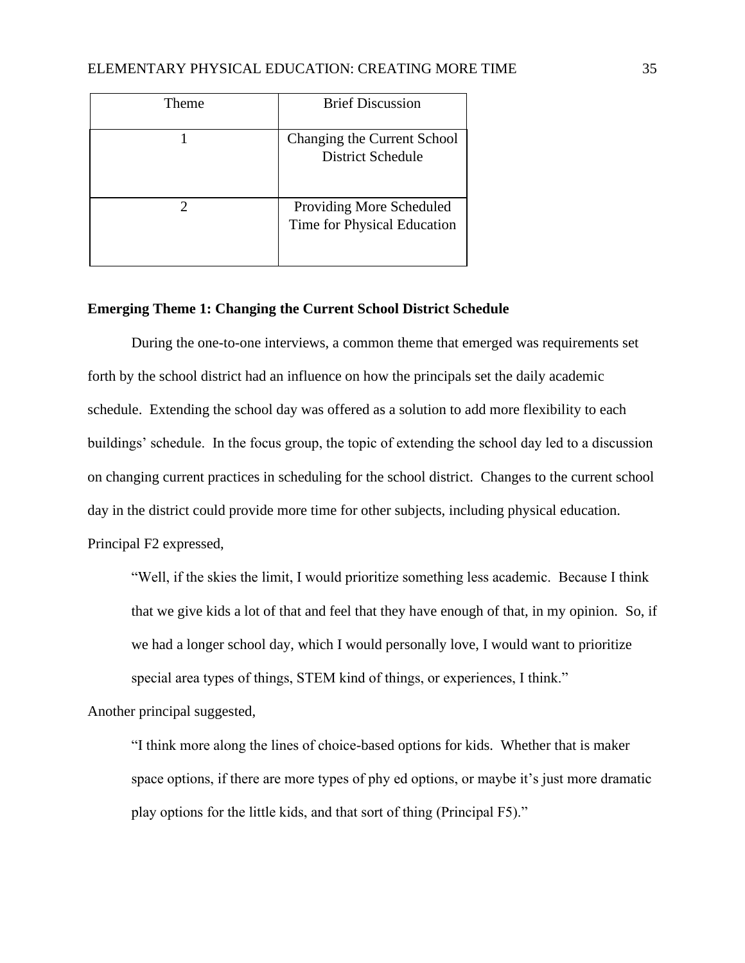| Theme | <b>Brief Discussion</b>                                 |
|-------|---------------------------------------------------------|
|       | Changing the Current School<br><b>District Schedule</b> |
|       | Providing More Scheduled<br>Time for Physical Education |

#### **Emerging Theme 1: Changing the Current School District Schedule**

During the one-to-one interviews, a common theme that emerged was requirements set forth by the school district had an influence on how the principals set the daily academic schedule. Extending the school day was offered as a solution to add more flexibility to each buildings' schedule. In the focus group, the topic of extending the school day led to a discussion on changing current practices in scheduling for the school district. Changes to the current school day in the district could provide more time for other subjects, including physical education.

Principal F2 expressed,

"Well, if the skies the limit, I would prioritize something less academic. Because I think that we give kids a lot of that and feel that they have enough of that, in my opinion. So, if we had a longer school day, which I would personally love, I would want to prioritize special area types of things, STEM kind of things, or experiences, I think."

Another principal suggested,

"I think more along the lines of choice-based options for kids. Whether that is maker space options, if there are more types of phy ed options, or maybe it's just more dramatic play options for the little kids, and that sort of thing (Principal F5)."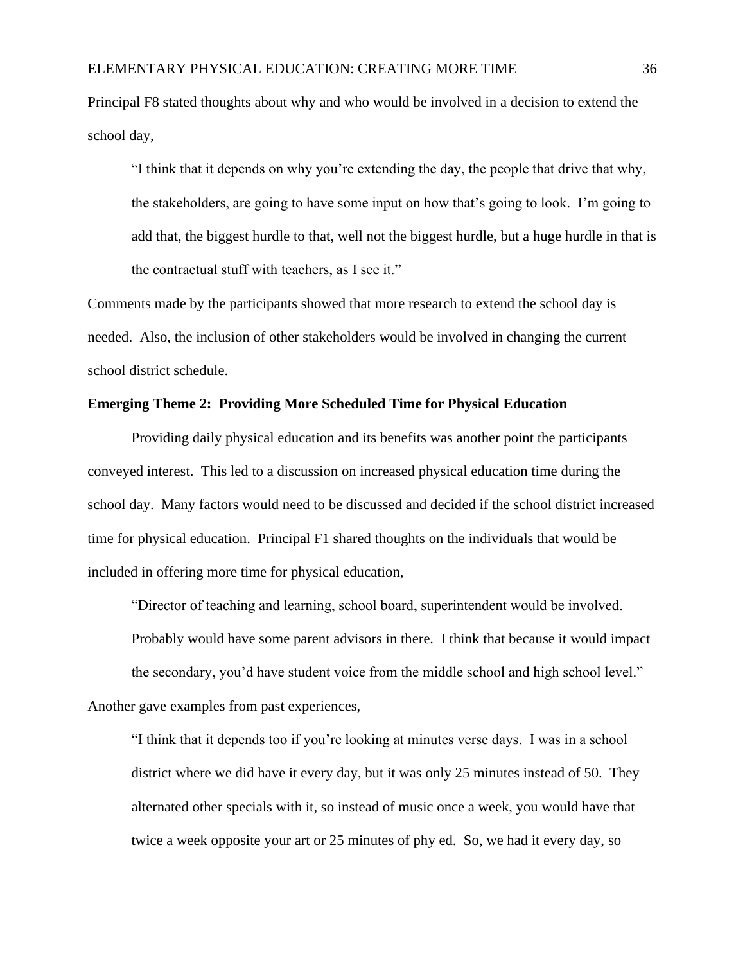Principal F8 stated thoughts about why and who would be involved in a decision to extend the school day,

"I think that it depends on why you're extending the day, the people that drive that why, the stakeholders, are going to have some input on how that's going to look. I'm going to add that, the biggest hurdle to that, well not the biggest hurdle, but a huge hurdle in that is the contractual stuff with teachers, as I see it."

Comments made by the participants showed that more research to extend the school day is needed. Also, the inclusion of other stakeholders would be involved in changing the current school district schedule.

## **Emerging Theme 2: Providing More Scheduled Time for Physical Education**

Providing daily physical education and its benefits was another point the participants conveyed interest. This led to a discussion on increased physical education time during the school day. Many factors would need to be discussed and decided if the school district increased time for physical education. Principal F1 shared thoughts on the individuals that would be included in offering more time for physical education,

"Director of teaching and learning, school board, superintendent would be involved. Probably would have some parent advisors in there. I think that because it would impact the secondary, you'd have student voice from the middle school and high school level." Another gave examples from past experiences,

"I think that it depends too if you're looking at minutes verse days. I was in a school district where we did have it every day, but it was only 25 minutes instead of 50. They alternated other specials with it, so instead of music once a week, you would have that twice a week opposite your art or 25 minutes of phy ed. So, we had it every day, so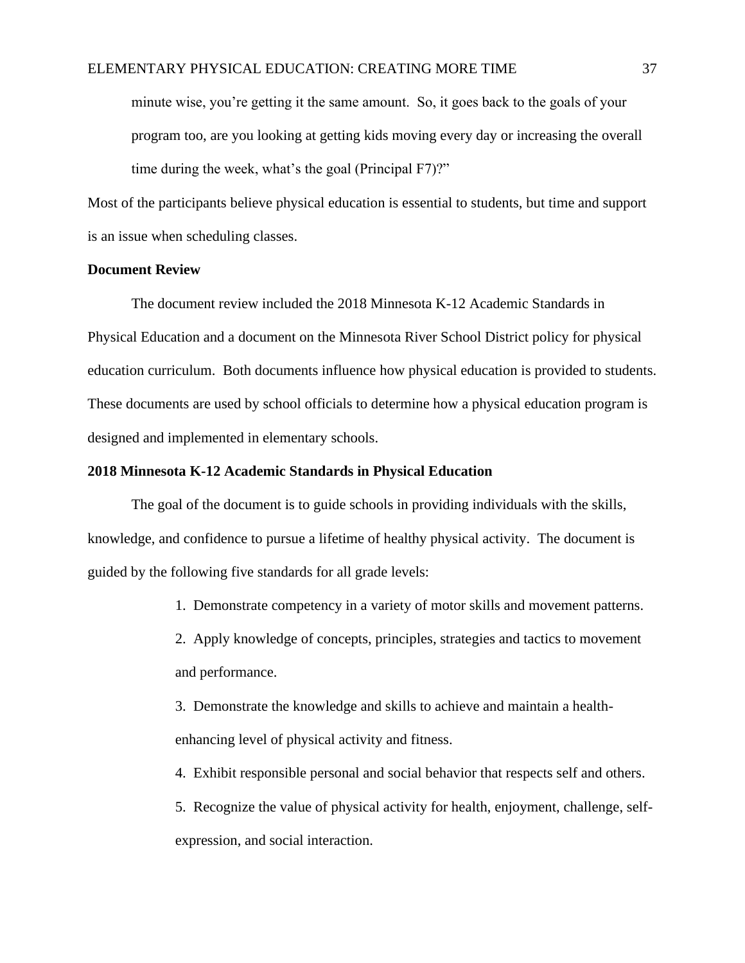minute wise, you're getting it the same amount. So, it goes back to the goals of your program too, are you looking at getting kids moving every day or increasing the overall time during the week, what's the goal (Principal F7)?"

Most of the participants believe physical education is essential to students, but time and support is an issue when scheduling classes.

#### **Document Review**

The document review included the 2018 Minnesota K-12 Academic Standards in Physical Education and a document on the Minnesota River School District policy for physical education curriculum. Both documents influence how physical education is provided to students. These documents are used by school officials to determine how a physical education program is designed and implemented in elementary schools.

#### **2018 Minnesota K-12 Academic Standards in Physical Education**

The goal of the document is to guide schools in providing individuals with the skills, knowledge, and confidence to pursue a lifetime of healthy physical activity. The document is guided by the following five standards for all grade levels:

1. Demonstrate competency in a variety of motor skills and movement patterns.

2. Apply knowledge of concepts, principles, strategies and tactics to movement and performance.

3. Demonstrate the knowledge and skills to achieve and maintain a healthenhancing level of physical activity and fitness.

4. Exhibit responsible personal and social behavior that respects self and others.

5. Recognize the value of physical activity for health, enjoyment, challenge, selfexpression, and social interaction.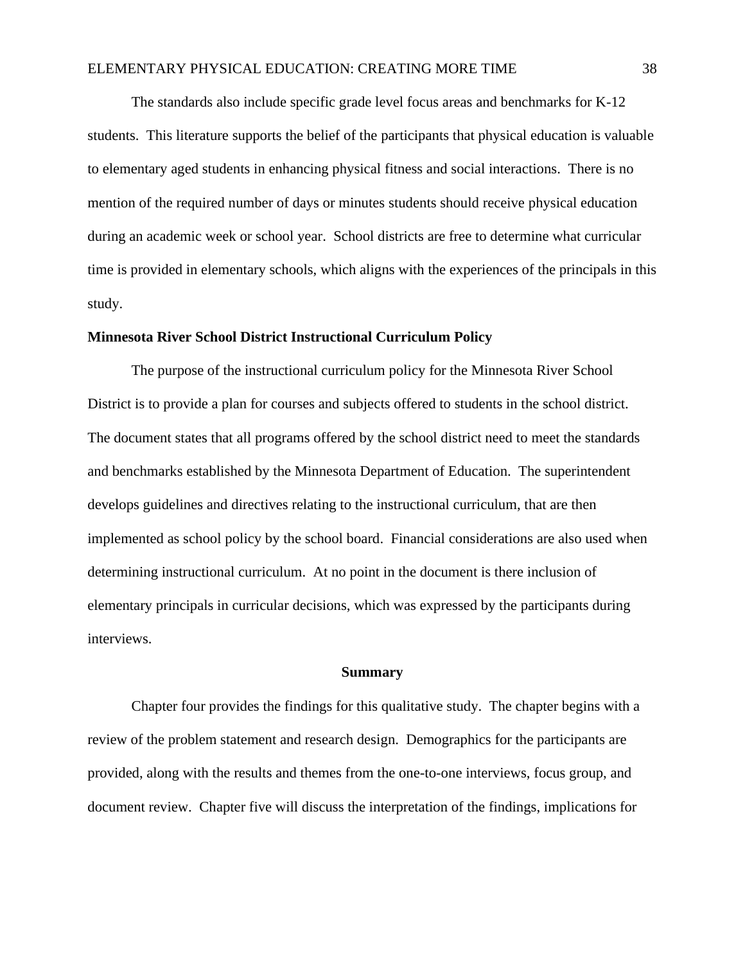The standards also include specific grade level focus areas and benchmarks for K-12 students. This literature supports the belief of the participants that physical education is valuable to elementary aged students in enhancing physical fitness and social interactions. There is no mention of the required number of days or minutes students should receive physical education during an academic week or school year. School districts are free to determine what curricular time is provided in elementary schools, which aligns with the experiences of the principals in this study.

## **Minnesota River School District Instructional Curriculum Policy**

The purpose of the instructional curriculum policy for the Minnesota River School District is to provide a plan for courses and subjects offered to students in the school district. The document states that all programs offered by the school district need to meet the standards and benchmarks established by the Minnesota Department of Education. The superintendent develops guidelines and directives relating to the instructional curriculum, that are then implemented as school policy by the school board. Financial considerations are also used when determining instructional curriculum. At no point in the document is there inclusion of elementary principals in curricular decisions, which was expressed by the participants during interviews.

#### **Summary**

Chapter four provides the findings for this qualitative study. The chapter begins with a review of the problem statement and research design. Demographics for the participants are provided, along with the results and themes from the one-to-one interviews, focus group, and document review. Chapter five will discuss the interpretation of the findings, implications for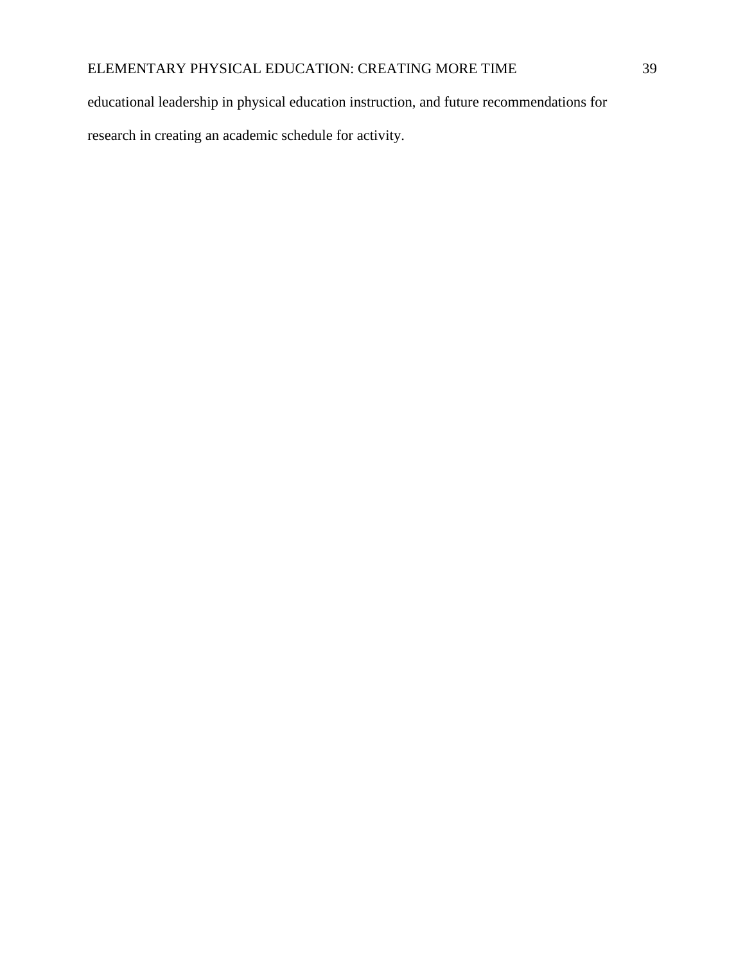educational leadership in physical education instruction, and future recommendations for

research in creating an academic schedule for activity.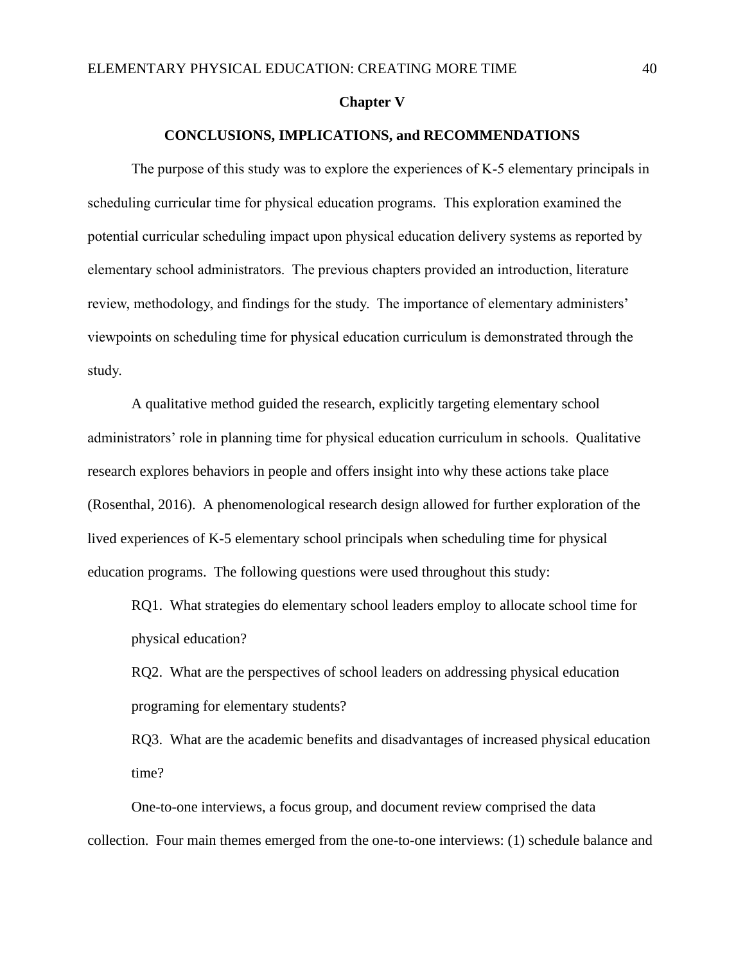#### **Chapter V**

#### **CONCLUSIONS, IMPLICATIONS, and RECOMMENDATIONS**

The purpose of this study was to explore the experiences of K-5 elementary principals in scheduling curricular time for physical education programs. This exploration examined the potential curricular scheduling impact upon physical education delivery systems as reported by elementary school administrators. The previous chapters provided an introduction, literature review, methodology, and findings for the study. The importance of elementary administers' viewpoints on scheduling time for physical education curriculum is demonstrated through the study.

A qualitative method guided the research, explicitly targeting elementary school administrators' role in planning time for physical education curriculum in schools. Qualitative research explores behaviors in people and offers insight into why these actions take place (Rosenthal, 2016). A phenomenological research design allowed for further exploration of the lived experiences of K-5 elementary school principals when scheduling time for physical education programs. The following questions were used throughout this study:

RQ1. What strategies do elementary school leaders employ to allocate school time for physical education?

RQ2. What are the perspectives of school leaders on addressing physical education programing for elementary students?

RQ3. What are the academic benefits and disadvantages of increased physical education time?

One-to-one interviews, a focus group, and document review comprised the data collection. Four main themes emerged from the one-to-one interviews: (1) schedule balance and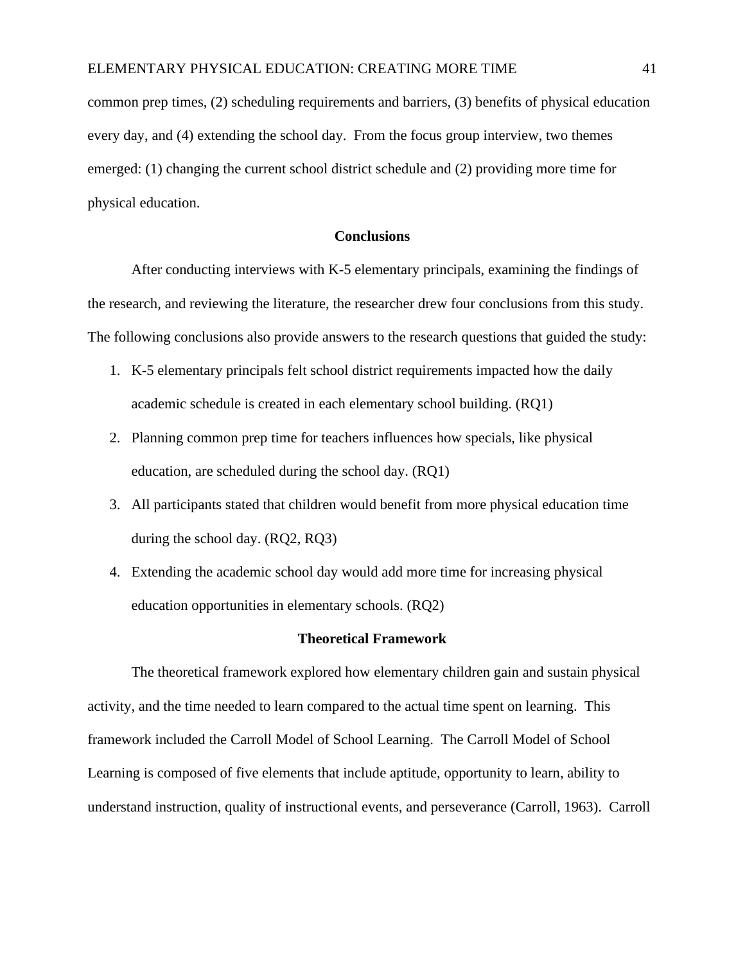common prep times, (2) scheduling requirements and barriers, (3) benefits of physical education every day, and (4) extending the school day. From the focus group interview, two themes emerged: (1) changing the current school district schedule and (2) providing more time for physical education.

## **Conclusions**

After conducting interviews with K-5 elementary principals, examining the findings of the research, and reviewing the literature, the researcher drew four conclusions from this study. The following conclusions also provide answers to the research questions that guided the study:

- 1. K-5 elementary principals felt school district requirements impacted how the daily academic schedule is created in each elementary school building. (RQ1)
- 2. Planning common prep time for teachers influences how specials, like physical education, are scheduled during the school day. (RQ1)
- 3. All participants stated that children would benefit from more physical education time during the school day. (RQ2, RQ3)
- 4. Extending the academic school day would add more time for increasing physical education opportunities in elementary schools. (RQ2)

#### **Theoretical Framework**

The theoretical framework explored how elementary children gain and sustain physical activity, and the time needed to learn compared to the actual time spent on learning. This framework included the Carroll Model of School Learning. The Carroll Model of School Learning is composed of five elements that include aptitude, opportunity to learn, ability to understand instruction, quality of instructional events, and perseverance (Carroll, 1963). Carroll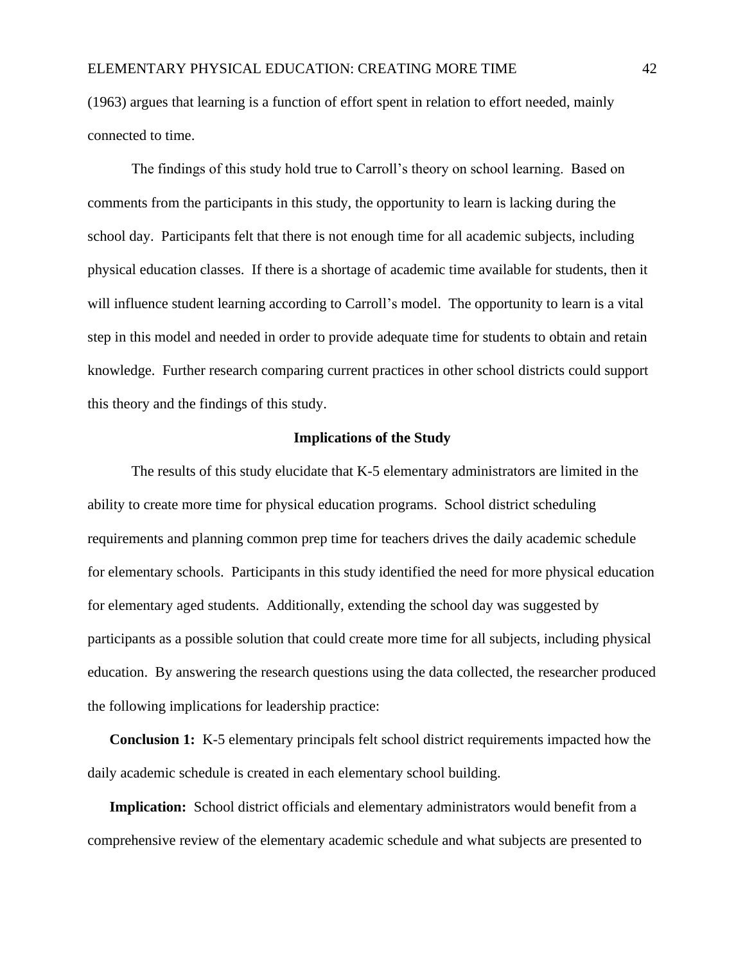(1963) argues that learning is a function of effort spent in relation to effort needed, mainly connected to time.

The findings of this study hold true to Carroll's theory on school learning. Based on comments from the participants in this study, the opportunity to learn is lacking during the school day. Participants felt that there is not enough time for all academic subjects, including physical education classes. If there is a shortage of academic time available for students, then it will influence student learning according to Carroll's model. The opportunity to learn is a vital step in this model and needed in order to provide adequate time for students to obtain and retain knowledge. Further research comparing current practices in other school districts could support this theory and the findings of this study.

#### **Implications of the Study**

The results of this study elucidate that K-5 elementary administrators are limited in the ability to create more time for physical education programs. School district scheduling requirements and planning common prep time for teachers drives the daily academic schedule for elementary schools. Participants in this study identified the need for more physical education for elementary aged students. Additionally, extending the school day was suggested by participants as a possible solution that could create more time for all subjects, including physical education. By answering the research questions using the data collected, the researcher produced the following implications for leadership practice:

**Conclusion 1:** K-5 elementary principals felt school district requirements impacted how the daily academic schedule is created in each elementary school building.

**Implication:** School district officials and elementary administrators would benefit from a comprehensive review of the elementary academic schedule and what subjects are presented to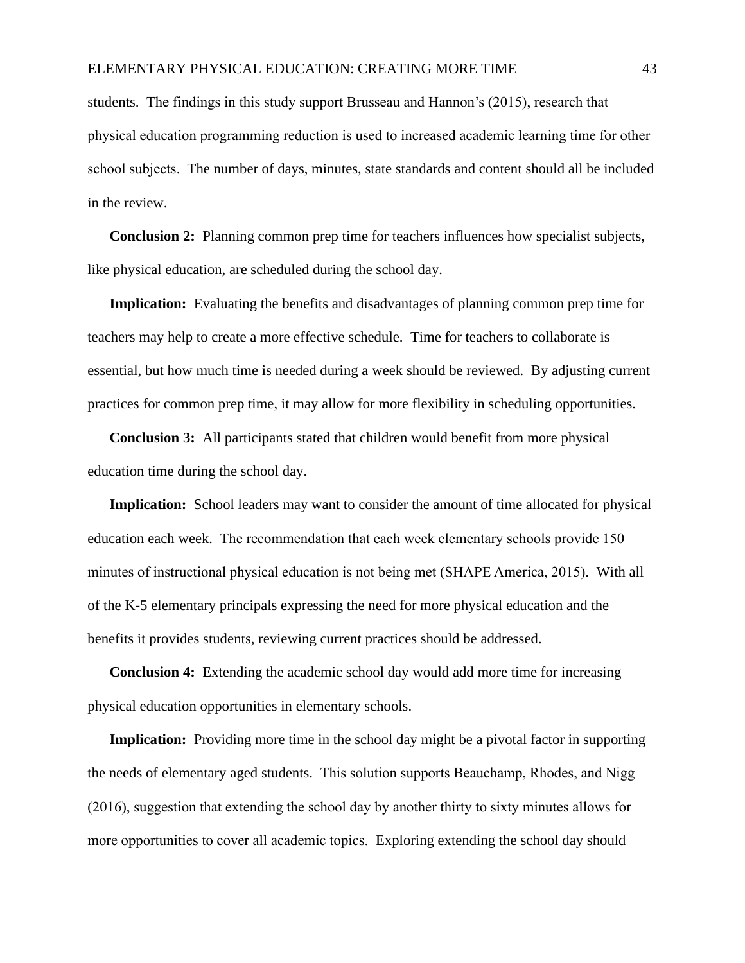students. The findings in this study support Brusseau and Hannon's (2015), research that physical education programming reduction is used to increased academic learning time for other school subjects. The number of days, minutes, state standards and content should all be included in the review.

**Conclusion 2:** Planning common prep time for teachers influences how specialist subjects, like physical education, are scheduled during the school day.

**Implication:** Evaluating the benefits and disadvantages of planning common prep time for teachers may help to create a more effective schedule. Time for teachers to collaborate is essential, but how much time is needed during a week should be reviewed. By adjusting current practices for common prep time, it may allow for more flexibility in scheduling opportunities.

**Conclusion 3:** All participants stated that children would benefit from more physical education time during the school day.

**Implication:** School leaders may want to consider the amount of time allocated for physical education each week. The recommendation that each week elementary schools provide 150 minutes of instructional physical education is not being met (SHAPE America, 2015). With all of the K-5 elementary principals expressing the need for more physical education and the benefits it provides students, reviewing current practices should be addressed.

**Conclusion 4:** Extending the academic school day would add more time for increasing physical education opportunities in elementary schools.

**Implication:** Providing more time in the school day might be a pivotal factor in supporting the needs of elementary aged students. This solution supports Beauchamp, Rhodes, and Nigg (2016), suggestion that extending the school day by another thirty to sixty minutes allows for more opportunities to cover all academic topics. Exploring extending the school day should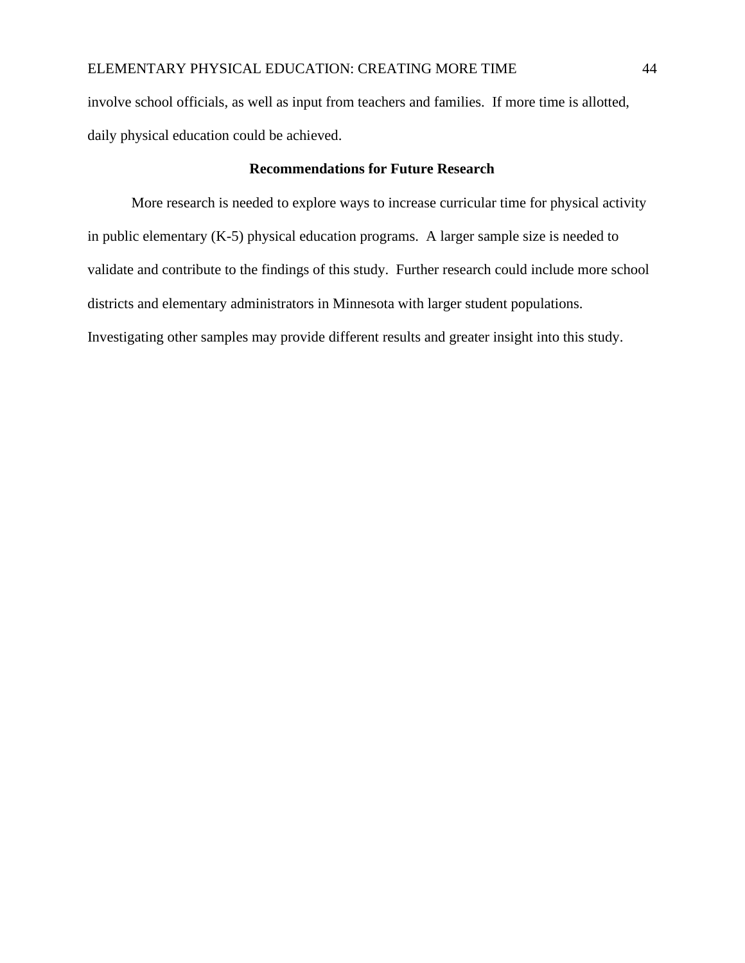involve school officials, as well as input from teachers and families. If more time is allotted, daily physical education could be achieved.

# **Recommendations for Future Research**

More research is needed to explore ways to increase curricular time for physical activity in public elementary (K-5) physical education programs. A larger sample size is needed to validate and contribute to the findings of this study. Further research could include more school districts and elementary administrators in Minnesota with larger student populations. Investigating other samples may provide different results and greater insight into this study.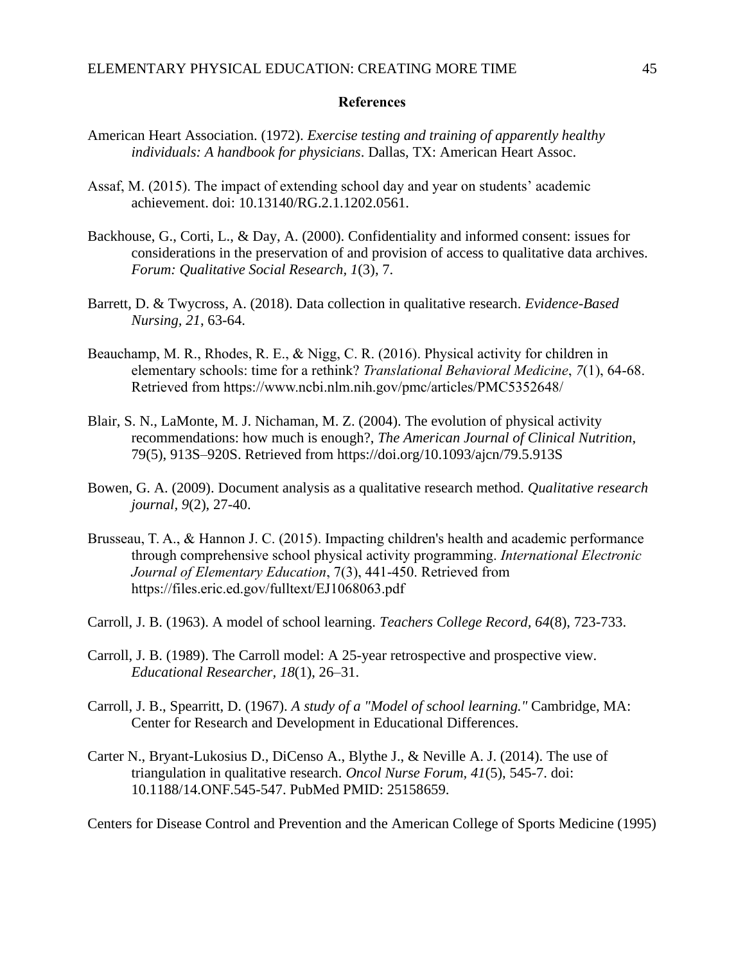#### **References**

- American Heart Association. (1972). *Exercise testing and training of apparently healthy individuals: A handbook for physicians*. Dallas, TX: American Heart Assoc.
- Assaf, M. (2015). The impact of extending school day and year on students' academic achievement. doi: 10.13140/RG.2.1.1202.0561.
- Backhouse, G., Corti, L., & Day, A. (2000). Confidentiality and informed consent: issues for considerations in the preservation of and provision of access to qualitative data archives. *Forum: Qualitative Social Research, 1*(3), 7.
- Barrett, D. & Twycross, A. (2018). Data collection in qualitative research. *Evidence-Based Nursing, 21*, 63-64.
- Beauchamp, M. R., Rhodes, R. E., & Nigg, C. R. (2016). Physical activity for children in elementary schools: time for a rethink? *Translational Behavioral Medicine*, *7*(1), 64-68. Retrieved from<https://www.ncbi.nlm.nih.gov/pmc/articles/PMC5352648/>
- Blair, S. N., LaMonte, M. J. Nichaman, M. Z. (2004). The evolution of physical activity recommendations: how much is enough?, *The American Journal of Clinical Nutrition*, 79(5), 913S–920S. Retrieved from <https://doi.org/10.1093/ajcn/79.5.913S>
- Bowen, G. A. (2009). Document analysis as a qualitative research method. *Qualitative research journal, 9*(2), 27-40.
- Brusseau, T. A., & Hannon J. C. (2015). Impacting children's health and academic performance through comprehensive school physical activity programming. *International Electronic Journal of Elementary Education*, 7(3), 441-450. Retrieved from https://files.eric.ed.gov/fulltext/EJ1068063.pdf
- Carroll, J. B. (1963). A model of school learning. *Teachers College Record, 64*(8), 723-733.
- Carroll, J. B. (1989). The Carroll model: A 25-year retrospective and prospective view. *Educational Researcher, 18*(1), 26–31.
- Carroll, J. B., Spearritt, D. (1967). *A study of a "Model of school learning."* Cambridge, MA: Center for Research and Development in Educational Differences.
- Carter N., Bryant-Lukosius D., DiCenso A., Blythe J., & Neville A. J. (2014). The use of triangulation in qualitative research. *Oncol Nurse Forum, 41*(5), 545-7. doi: 10.1188/14.ONF.545-547. PubMed PMID: 25158659.

Centers for Disease Control and Prevention and the American College of Sports Medicine (1995)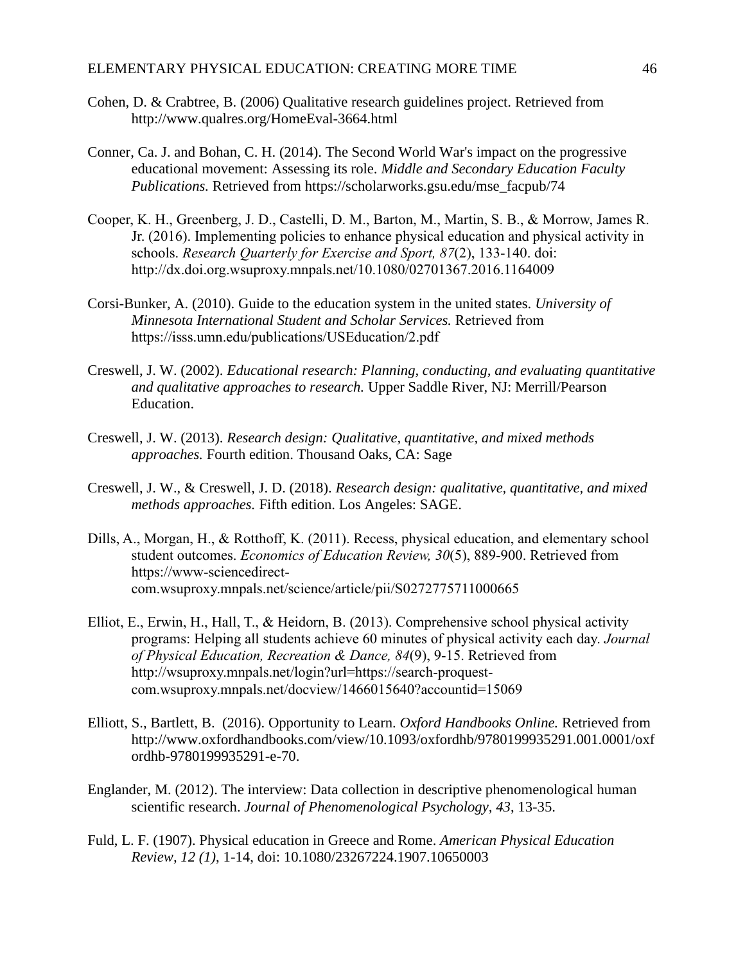- Cohen, D. & Crabtree, B. (2006) Qualitative research guidelines project. Retrieved from <http://www.qualres.org/HomeEval-3664.html>
- Conner, Ca. J. and Bohan, C. H. (2014). The Second World War's impact on the progressive educational movement: Assessing its role. *Middle and Secondary Education Faculty Publications.* Retrieved from [https://scholarworks.gsu.edu/mse\\_facpub/74](https://scholarworks.gsu.edu/mse_facpub/74)
- Cooper, K. H., Greenberg, J. D., Castelli, D. M., Barton, M., Martin, S. B., & Morrow, James R. Jr. (2016). Implementing policies to enhance physical education and physical activity in schools. *Research Quarterly for Exercise and Sport, 87*(2), 133-140. doi: <http://dx.doi.org.wsuproxy.mnpals.net/10.1080/02701367.2016.1164009>
- Corsi-Bunker, A. (2010). Guide to the education system in the united states. *University of Minnesota International Student and Scholar Services.* Retrieved from https://isss.umn.edu/publications/USEducation/2.pdf
- Creswell, J. W. (2002). *Educational research: Planning, conducting, and evaluating quantitative and qualitative approaches to research.* Upper Saddle River, NJ: Merrill/Pearson Education.
- Creswell, J. W. (2013). *Research design: Qualitative, quantitative, and mixed methods approaches.* Fourth edition. Thousand Oaks, CA: Sage
- Creswell, J. W., & Creswell, J. D. (2018). *Research design: qualitative, quantitative, and mixed methods approaches.* Fifth edition. Los Angeles: SAGE.
- Dills, A., Morgan, H., & Rotthoff, K. (2011). Recess, physical education, and elementary school student outcomes. *Economics of Education Review, 30*(5), 889-900. Retrieved from [https://www-sciencedirect](https://www-sciencedirect-com.wsuproxy.mnpals.net/science/article/pii/S0272775711000665)[com.wsuproxy.mnpals.net/science/article/pii/S0272775711000665](https://www-sciencedirect-com.wsuproxy.mnpals.net/science/article/pii/S0272775711000665)
- Elliot, E., Erwin, H., Hall, T., & Heidorn, B. (2013). Comprehensive school physical activity programs: Helping all students achieve 60 minutes of physical activity each day. *Journal of Physical Education, Recreation & Dance, 84*(9), 9-15. Retrieved from [http://wsuproxy.mnpals.net/login?url=https://search-proquest](http://wsuproxy.mnpals.net/login?url=https://search-proquest-com.wsuproxy.mnpals.net/docview/1466015640?accountid=15069)[com.wsuproxy.mnpals.net/docview/1466015640?accountid=15069](http://wsuproxy.mnpals.net/login?url=https://search-proquest-com.wsuproxy.mnpals.net/docview/1466015640?accountid=15069)
- Elliott, S., Bartlett, B. (2016). Opportunity to Learn. *Oxford Handbooks Online.* Retrieved from http://www.oxfordhandbooks.com/view/10.1093/oxfordhb/9780199935291.001.0001/oxf ordhb-9780199935291-e-70.
- Englander, M. (2012). The interview: Data collection in descriptive phenomenological human scientific research. *Journal of Phenomenological Psychology, 43*, 13-35.
- Fuld, L. F. (1907). Physical education in Greece and Rome. *American Physical Education Review, 12 (1)*, 1-14, doi: [10.1080/23267224.1907.10650003](https://doi.org/10.1080/23267224.1907.10650003)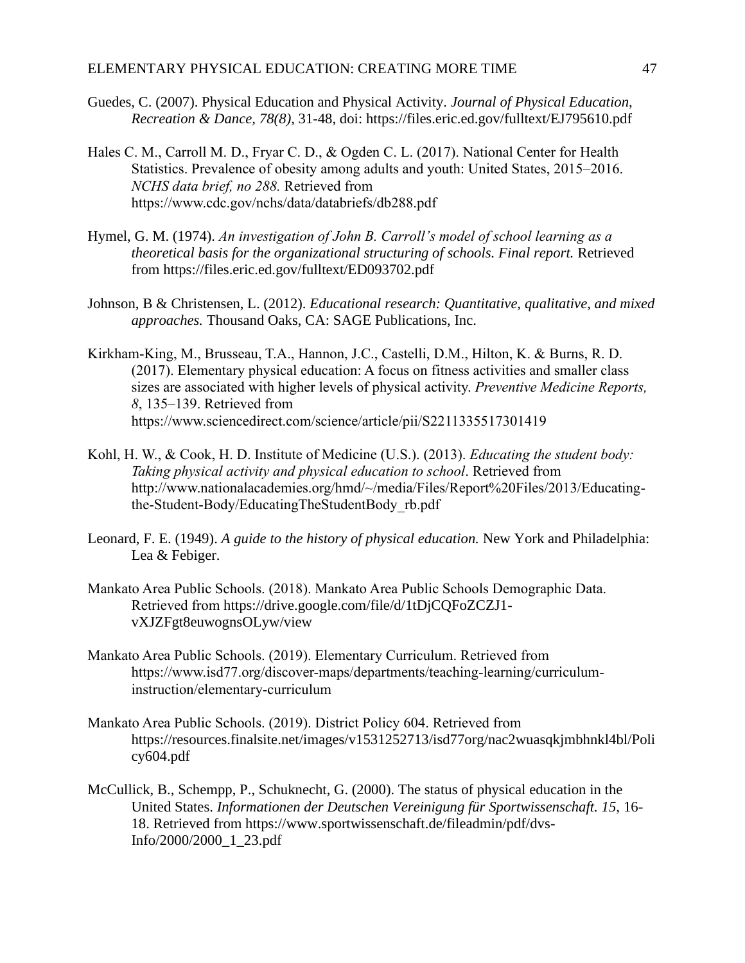- Guedes, C. (2007). Physical Education and Physical Activity*. Journal of Physical Education, Recreation & Dance, 78(8),* 31-48, doi: https://files.eric.ed.gov/fulltext/EJ795610.pdf
- Hales C. M., Carroll M. D., Fryar C. D., & Ogden C. L. (2017). National Center for Health Statistics. Prevalence of obesity among adults and youth: United States, 2015–2016. *NCHS data brief, no 288.* Retrieved from <https://www.cdc.gov/nchs/data/databriefs/db288.pdf>
- Hymel, G. M. (1974). *An investigation of John B. Carroll's model of school learning as a theoretical basis for the organizational structuring of schools. Final report.* Retrieved from https://files.eric.ed.gov/fulltext/ED093702.pdf
- Johnson, B & Christensen, L. (2012). *Educational research: Quantitative, qualitative, and mixed approaches.* Thousand Oaks, CA: SAGE Publications, Inc.
- Kirkham-King, M., Brusseau, T.A., Hannon, J.C., Castelli, D.M., Hilton, K. & Burns, R. D. (2017). Elementary physical education: A focus on fitness activities and smaller class sizes are associated with higher levels of physical activity. *Preventive Medicine Reports, 8*, 135–139. Retrieved from <https://www.sciencedirect.com/science/article/pii/S2211335517301419>
- Kohl, H. W., & Cook, H. D. Institute of Medicine (U.S.). (2013). *Educating the student body: Taking physical activity and physical education to school*. Retrieved from [http://www.nationalacademies.org/hmd/~/media/Files/Report%20Files/2013/Educating](http://www.nationalacademies.org/hmd/~/media/Files/Report%20Files/2013/Educating-the-Student-Body/EducatingTheStudentBody_rb.pdf)[the-Student-Body/EducatingTheStudentBody\\_rb.pdf](http://www.nationalacademies.org/hmd/~/media/Files/Report%20Files/2013/Educating-the-Student-Body/EducatingTheStudentBody_rb.pdf)
- Leonard, F. E. (1949). *A guide to the history of physical education.* New York and Philadelphia: Lea & Febiger.
- Mankato Area Public Schools. (2018). Mankato Area Public Schools Demographic Data. Retrieved from [https://drive.google.com/file/d/1tDjCQFoZCZJ1](https://drive.google.com/file/d/1tDjCQFoZCZJ1-vXJZFgt8euwognsOLyw/view) [vXJZFgt8euwognsOLyw/view](https://drive.google.com/file/d/1tDjCQFoZCZJ1-vXJZFgt8euwognsOLyw/view)
- Mankato Area Public Schools. (2019). Elementary Curriculum. Retrieved from [https://www.isd77.org/discover-maps/departments/teaching-learning/curriculum](https://www.isd77.org/discover-maps/departments/teaching-learning/curriculum-instruction/elementary-curriculum)[instruction/elementary-curriculum](https://www.isd77.org/discover-maps/departments/teaching-learning/curriculum-instruction/elementary-curriculum)
- Mankato Area Public Schools. (2019). District Policy 604. Retrieved from [https://resources.finalsite.net/images/v1531252713/isd77org/nac2wuasqkjmbhnkl4bl/Poli](https://resources.finalsite.net/images/v1531252713/isd77org/nac2wuasqkjmbhnkl4bl/Policy604.pdf) [cy604.pdf](https://resources.finalsite.net/images/v1531252713/isd77org/nac2wuasqkjmbhnkl4bl/Policy604.pdf)
- McCullick, B., Schempp, P., Schuknecht, G. (2000). The status of physical education in the United States. *Informationen der Deutschen Vereinigung für Sportwissenschaft. 15,* 16- 18. Retrieved from https://www.sportwissenschaft.de/fileadmin/pdf/dvs-Info/2000/2000\_1\_23.pdf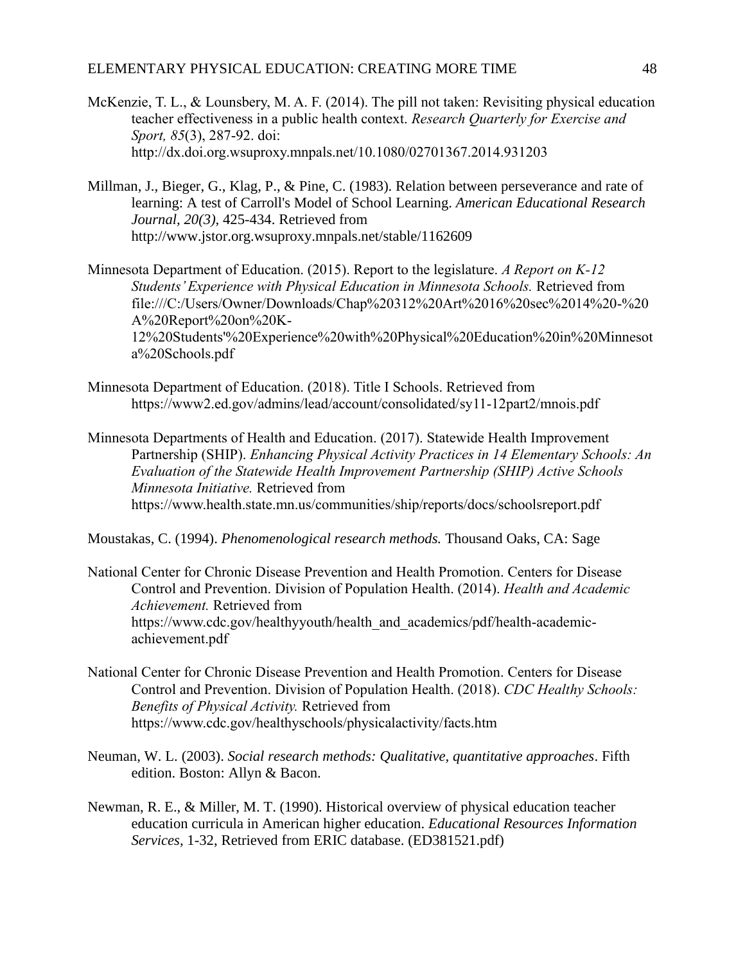- McKenzie, T. L., & Lounsbery, M. A. F. (2014). The pill not taken: Revisiting physical education teacher effectiveness in a public health context. *Research Quarterly for Exercise and Sport, 85*(3), 287-92. doi: <http://dx.doi.org.wsuproxy.mnpals.net/10.1080/02701367.2014.931203>
- Millman, J., Bieger, G., Klag, P., & Pine, C. (1983). Relation between perseverance and rate of learning: A test of Carroll's Model of School Learning. *American Educational Research Journal, 20(3),* 425-434. Retrieved from http://www.jstor.org.wsuproxy.mnpals.net/stable/1162609
- Minnesota Department of Education. (2015). Report to the legislature. *A Report on K-12 Students' Experience with Physical Education in Minnesota Schools.* Retrieved from [file:///C:/Users/Owner/Downloads/Chap%20312%20Art%2016%20sec%2014%20-%20](file:///C:/Users/Owner/Downloads/Chap%20312%20Art%2016%20sec%2014%20-%20A%20Report%20on%20K-12%20Students) [A%20Report%20on%20K-](file:///C:/Users/Owner/Downloads/Chap%20312%20Art%2016%20sec%2014%20-%20A%20Report%20on%20K-12%20Students)[12%20Students'%20Experience%20with%20Physical%20Education%20in%20Minnesot](file:///C:/Users/Owner/Downloads/Chap%20312%20Art%2016%20sec%2014%20-%20A%20Report%20on%20K-12%20Students) [a%20Schools.pdf](file:///C:/Users/Owner/Downloads/Chap%20312%20Art%2016%20sec%2014%20-%20A%20Report%20on%20K-12%20Students)
- Minnesota Department of Education. (2018). Title I Schools. Retrieved from <https://www2.ed.gov/admins/lead/account/consolidated/sy11-12part2/mnois.pdf>
- Minnesota Departments of Health and Education. (2017). Statewide Health Improvement Partnership (SHIP). *Enhancing Physical Activity Practices in 14 Elementary Schools: An Evaluation of the Statewide Health Improvement Partnership (SHIP) Active Schools Minnesota Initiative.* Retrieved from <https://www.health.state.mn.us/communities/ship/reports/docs/schoolsreport.pdf>

Moustakas, C. (1994). *Phenomenological research methods.* Thousand Oaks, CA: Sage

- [National Center for Chronic Disease Prevention and Health Promotion.](https://www.cdc.gov/chronicdisease) Centers for Disease Control and Prevention. [Division of Population Health.](https://www.cdc.gov/NCCDPHP/dph) (2014). *Health and Academic Achievement.* Retrieved from [https://www.cdc.gov/healthyyouth/health\\_and\\_academics/pdf/health-academic](https://www.cdc.gov/healthyyouth/health_and_academics/pdf/health-academic-achievement.pdf)[achievement.pdf](https://www.cdc.gov/healthyyouth/health_and_academics/pdf/health-academic-achievement.pdf)
- [National Center for Chronic Disease Prevention and Health Promotion.](https://www.cdc.gov/chronicdisease) Centers for Disease Control and Prevention. [Division of Population Health.](https://www.cdc.gov/NCCDPHP/dph) (2018). *CDC Healthy Schools: Benefits of Physical Activity.* Retrieved from <https://www.cdc.gov/healthyschools/physicalactivity/facts.htm>
- Neuman, W. L. (2003). *Social research methods: Qualitative, quantitative approaches*. Fifth edition. Boston: Allyn & Bacon.
- Newman, R. E., & Miller, M. T. (1990). Historical overview of physical education teacher education curricula in American higher education. *Educational Resources Information Services,* 1-32, Retrieved from ERIC database. (ED381521.pdf)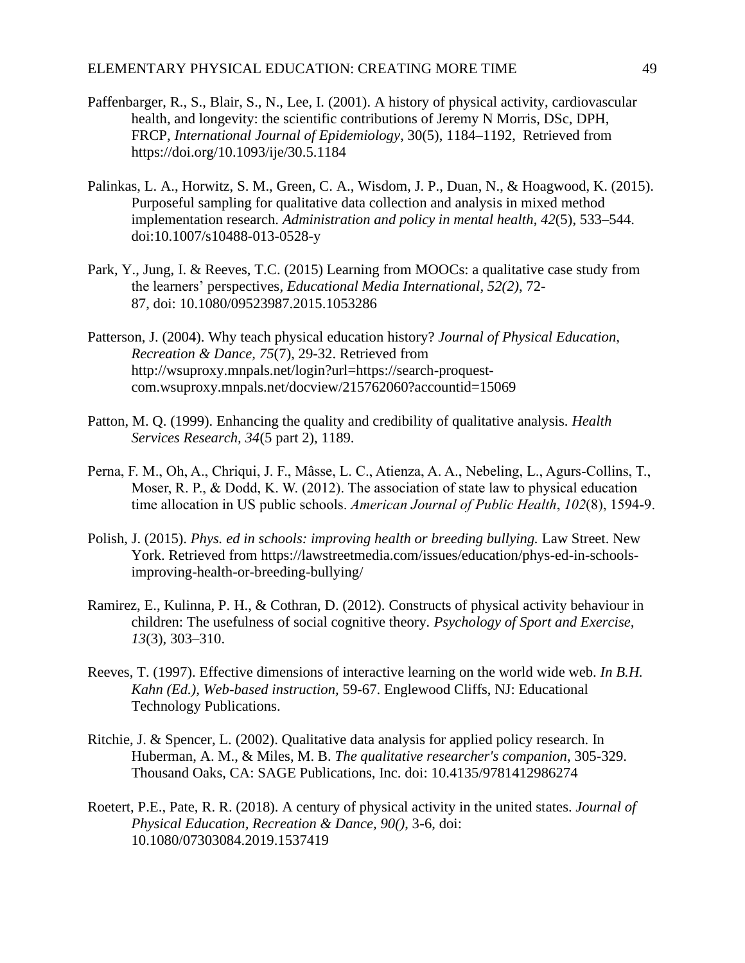- Paffenbarger, R., S., Blair, S., N., Lee, I. (2001). A history of physical activity, cardiovascular health, and longevity: the scientific contributions of Jeremy N Morris, DSc, DPH, FRCP, *International Journal of Epidemiology*, 30(5), 1184–1192, Retrieved from <https://doi.org/10.1093/ije/30.5.1184>
- Palinkas, L. A., Horwitz, S. M., Green, C. A., Wisdom, J. P., Duan, N., & Hoagwood, K. (2015). Purposeful sampling for qualitative data collection and analysis in mixed method implementation research. *Administration and policy in mental health*, *42*(5), 533–544. doi:10.1007/s10488-013-0528-y
- Park, Y., Jung, I. & Reeves, T.C. (2015) Learning from MOOCs: a qualitative case study from the learners' perspectives*, Educational Media International, 52(2)*, 72- 87, doi: [10.1080/09523987.2015.1053286](https://doi.org/10.1080/09523987.2015.1053286)
- Patterson, J. (2004). Why teach physical education history? *Journal of Physical Education, Recreation & Dance, 75*(7), 29-32. Retrieved from http://wsuproxy.mnpals.net/login?url=https://search-proquestcom.wsuproxy.mnpals.net/docview/215762060?accountid=15069
- Patton, M. Q. (1999). Enhancing the quality and credibility of qualitative analysis. *Health Services Research, 34*(5 part 2), 1189.
- Perna, F. M., Oh, A., Chriqui, J. F., Mâsse, L. C., Atienza, A. A., Nebeling, L., Agurs-Collins, T., Moser, R. P., & Dodd, K. W. (2012). The association of state law to physical education time allocation in US public schools. *American Journal of Public Health*, *102*(8), 1594-9.
- Polish, J. (2015). *Phys. ed in schools: improving health or breeding bullying.* Law Street. New York. Retrieved from https://lawstreetmedia.com/issues/education/phys-ed-in-schoolsimproving-health-or-breeding-bullying/
- Ramirez, E., Kulinna, P. H., & Cothran, D. (2012). Constructs of physical activity behaviour in children: The usefulness of social cognitive theory*. Psychology of Sport and Exercise, 13*(3), 303–310.
- Reeves, T. (1997). Effective dimensions of interactive learning on the world wide web. *In B.H. Kahn (Ed.), Web-based instruction,* 59-67. Englewood Cliffs, NJ: Educational Technology Publications.
- Ritchie, J. & Spencer, L. (2002). Qualitative data analysis for applied policy research. In Huberman, A. M., & Miles, M. B. *The qualitative researcher's companion*, 305-329. Thousand Oaks, CA: SAGE Publications, Inc. doi: 10.4135/9781412986274
- Roetert, P.E., Pate, R. R. (2018). A century of physical activity in the united states. *Journal of Physical Education, Recreation & Dance, 90()*, 3-6, doi: 10.1080/07303084.2019.1537419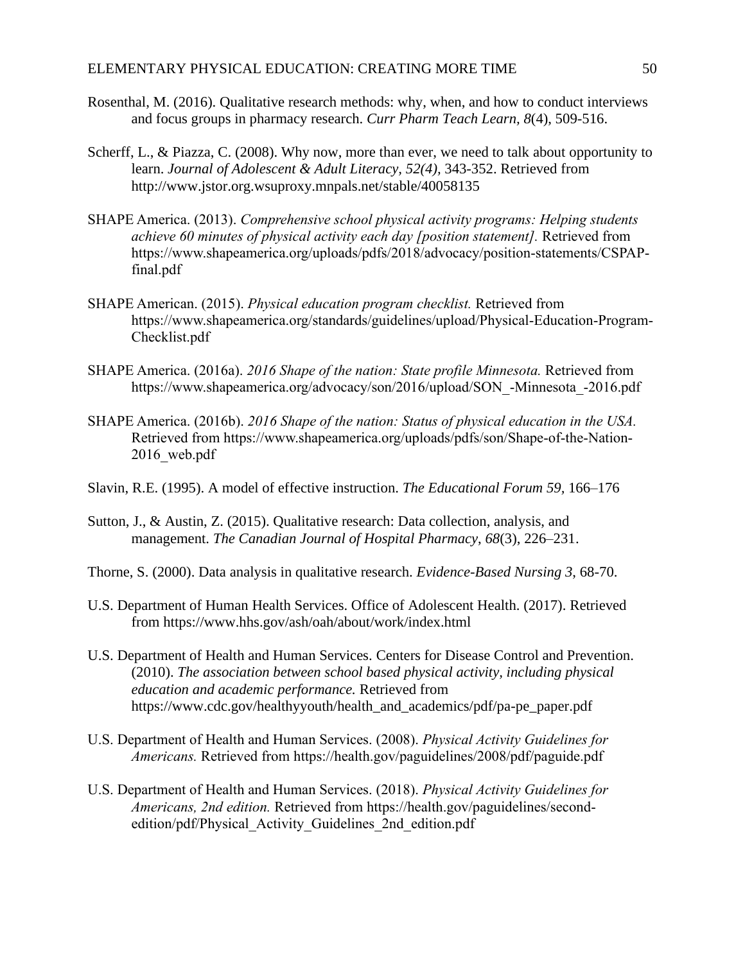- Rosenthal, M. (2016). Qualitative research methods: why, when, and how to conduct interviews and focus groups in pharmacy research. *Curr Pharm Teach Learn, 8*(4), 509-516.
- Scherff, L., & Piazza, C. (2008). Why now, more than ever, we need to talk about opportunity to learn. *Journal of Adolescent & Adult Literacy, 52(4),* 343-352. Retrieved from http://www.jstor.org.wsuproxy.mnpals.net/stable/40058135
- SHAPE America. (2013). *Comprehensive school physical activity programs: Helping students achieve 60 minutes of physical activity each day [position statement].* Retrieved from [https://www.shapeamerica.org/uploads/pdfs/2018/advocacy/position-statements/CSPAP](https://www.shapeamerica.org/uploads/pdfs/2018/advocacy/position-statements/CSPAP-final.pdf)[final.pdf](https://www.shapeamerica.org/uploads/pdfs/2018/advocacy/position-statements/CSPAP-final.pdf)
- SHAPE American. (2015). *Physical education program checklist.* Retrieved from [https://www.shapeamerica.org/standards/guidelines/upload/Physical-Education-Program-](https://www.shapeamerica.org/standards/guidelines/upload/Physical-Education-Program-Checklist.pdf)[Checklist.pdf](https://www.shapeamerica.org/standards/guidelines/upload/Physical-Education-Program-Checklist.pdf)
- SHAPE America. (2016a). *2016 Shape of the nation: State profile Minnesota.* Retrieved from [https://www.shapeamerica.org/advocacy/son/2016/upload/SON\\_-Minnesota\\_-2016.pdf](https://www.shapeamerica.org/advocacy/son/2016/upload/SON_-Minnesota_-2016.pdf)
- SHAPE America. (2016b). *2016 Shape of the nation: Status of physical education in the USA.* Retrieved from [https://www.shapeamerica.org/uploads/pdfs/son/Shape-of-the-Nation-](https://www.shapeamerica.org/uploads/pdfs/son/Shape-of-the-Nation-2016_web.pdf)[2016\\_web.pdf](https://www.shapeamerica.org/uploads/pdfs/son/Shape-of-the-Nation-2016_web.pdf)
- Slavin, R.E. (1995). A model of effective instruction. *The Educational Forum 59,* 166–176
- Sutton, J., & Austin, Z. (2015). Qualitative research: Data collection, analysis, and management. *The Canadian Journal of Hospital Pharmacy*, *68*(3), 226–231.
- Thorne, S. (2000). Data analysis in qualitative research. *Evidence-Based Nursing 3*, 68-70.
- U.S. Department of Human Health Services. Office of Adolescent Health. (2017). Retrieved from<https://www.hhs.gov/ash/oah/about/work/index.html>
- U.S. Department of Health and Human Services. Centers for Disease Control and Prevention. (2010). *The association between school based physical activity, including physical education and academic performance.* Retrieved from [https://www.cdc.gov/healthyyouth/health\\_and\\_academics/pdf/pa-pe\\_paper.pdf](https://www.cdc.gov/healthyyouth/health_and_academics/pdf/pa-pe_paper.pdf)
- U.S. Department of Health and Human Services. (2008). *Physical Activity Guidelines for Americans.* Retrieved from<https://health.gov/paguidelines/2008/pdf/paguide.pdf>
- U.S. Department of Health and Human Services. (2018). *Physical Activity Guidelines for Americans, 2nd edition.* Retrieved from [https://health.gov/paguidelines/second](https://health.gov/paguidelines/second-edition/pdf/Physical_Activity_Guidelines_2nd_edition.pdf)[edition/pdf/Physical\\_Activity\\_Guidelines\\_2nd\\_edition.pdf](https://health.gov/paguidelines/second-edition/pdf/Physical_Activity_Guidelines_2nd_edition.pdf)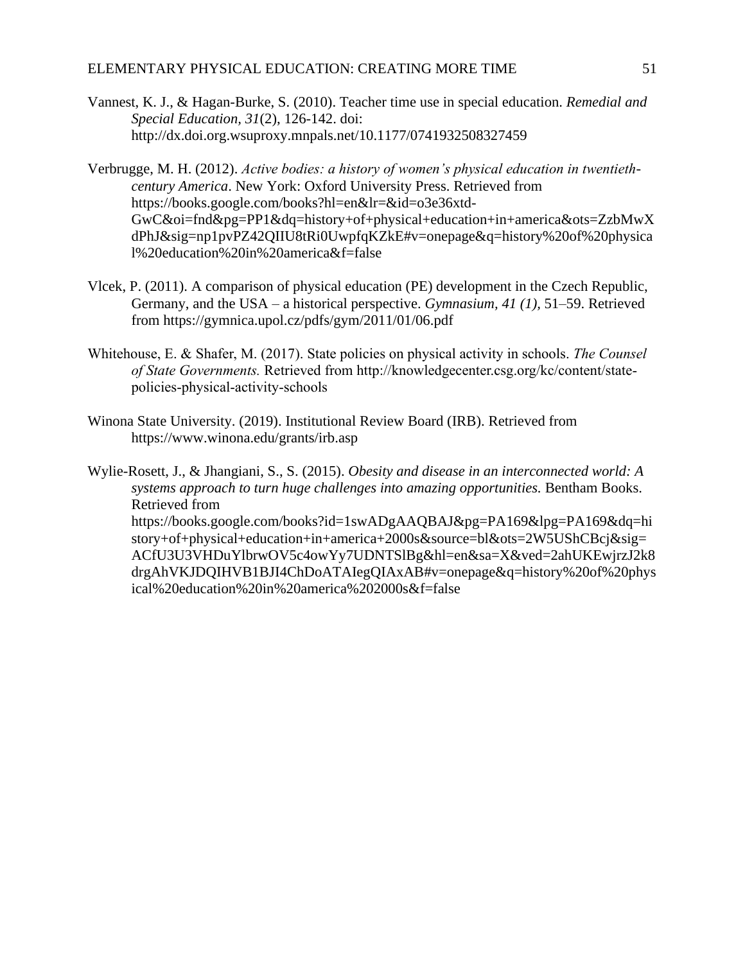- Vannest, K. J., & Hagan-Burke, S. (2010). Teacher time use in special education. *Remedial and Special Education, 31*(2), 126-142. doi: <http://dx.doi.org.wsuproxy.mnpals.net/10.1177/0741932508327459>
- Verbrugge, M. H. (2012). *Active bodies: a history of women's physical education in twentiethcentury America*. New York: Oxford University Press. Retrieved from https://books.google.com/books?hl=en&lr=&id=o3e36xtd-GwC&oi=fnd&pg=PP1&dq=history+of+physical+education+in+america&ots=ZzbMwX dPhJ&sig=np1pvPZ42QIIU8tRi0UwpfqKZkE#v=onepage&q=history%20of%20physica l%20education%20in%20america&f=false
- Vlcek, P. (2011). A comparison of physical education (PE) development in the Czech Republic, Germany, and the USA – a historical perspective. *Gymnasium, 41 (1),* 51–59. Retrieved from https://gymnica.upol.cz/pdfs/gym/2011/01/06.pdf
- Whitehouse, E. & Shafer, M. (2017). State policies on physical activity in schools. *The Counsel of State Governments.* Retrieved from [http://knowledgecenter.csg.org/kc/content/state](http://knowledgecenter.csg.org/kc/content/state-policies-physical-activity-schools)[policies-physical-activity-schools](http://knowledgecenter.csg.org/kc/content/state-policies-physical-activity-schools)
- Winona State University. (2019). Institutional Review Board (IRB). Retrieved from <https://www.winona.edu/grants/irb.asp>

Wylie-Rosett, J., & Jhangiani, S., S. (2015). *Obesity and disease in an interconnected world: A systems approach to turn huge challenges into amazing opportunities.* Bentham Books. Retrieved from https://books.google.com/books?id=1swADgAAQBAJ&pg=PA169&lpg=PA169&dq=hi story+of+physical+education+in+america+2000s&source=bl&ots=2W5UShCBcj&sig= ACfU3U3VHDuYlbrwOV5c4owYy7UDNTSlBg&hl=en&sa=X&ved=2ahUKEwjrzJ2k8 drgAhVKJDQIHVB1BJI4ChDoATAIegQIAxAB#v=onepage&q=history%20of%20phys ical%20education%20in%20america%202000s&f=false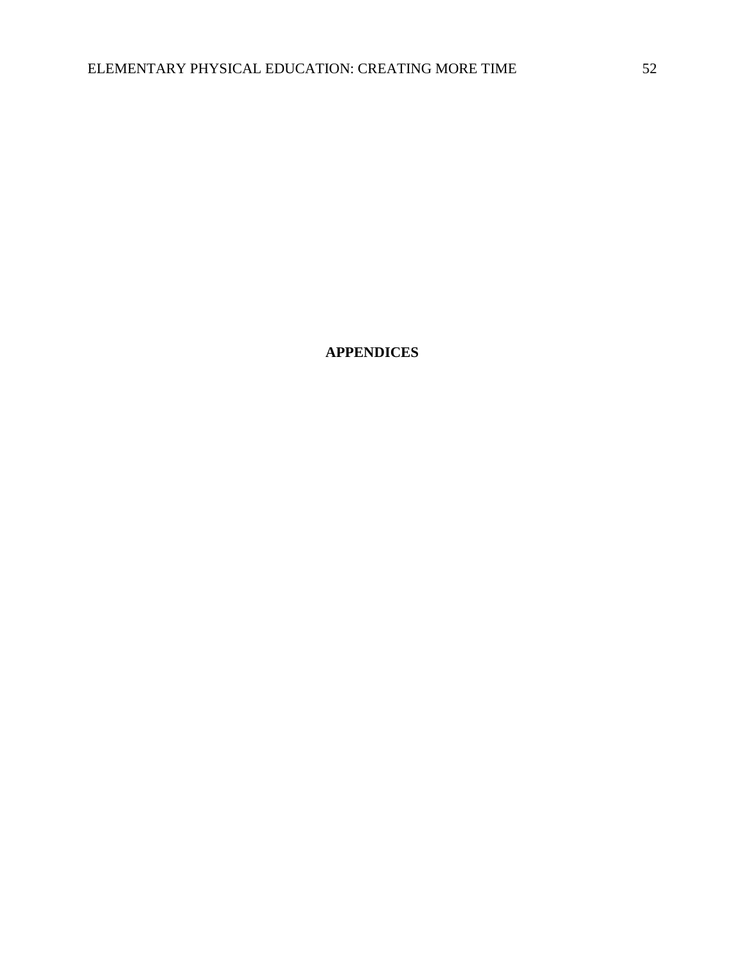**APPENDICES**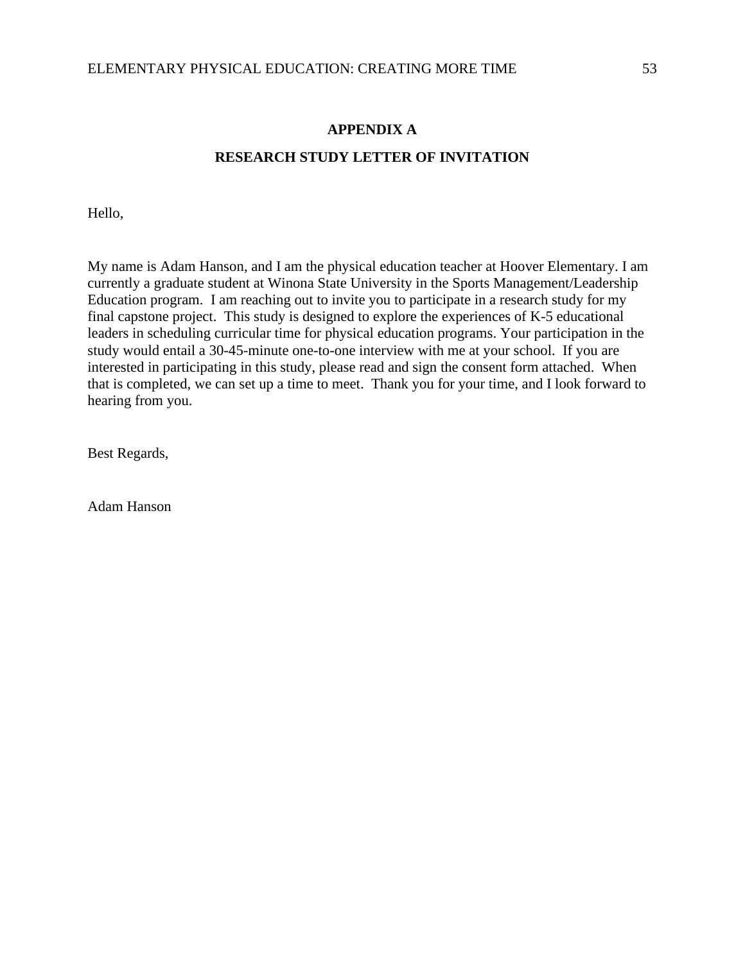# **APPENDIX A RESEARCH STUDY LETTER OF INVITATION**

Hello,

My name is Adam Hanson, and I am the physical education teacher at Hoover Elementary. I am currently a graduate student at Winona State University in the Sports Management/Leadership Education program. I am reaching out to invite you to participate in a research study for my final capstone project. This study is designed to explore the experiences of K-5 educational leaders in scheduling curricular time for physical education programs. Your participation in the study would entail a 30-45-minute one-to-one interview with me at your school. If you are interested in participating in this study, please read and sign the consent form attached. When that is completed, we can set up a time to meet. Thank you for your time, and I look forward to hearing from you.

Best Regards,

Adam Hanson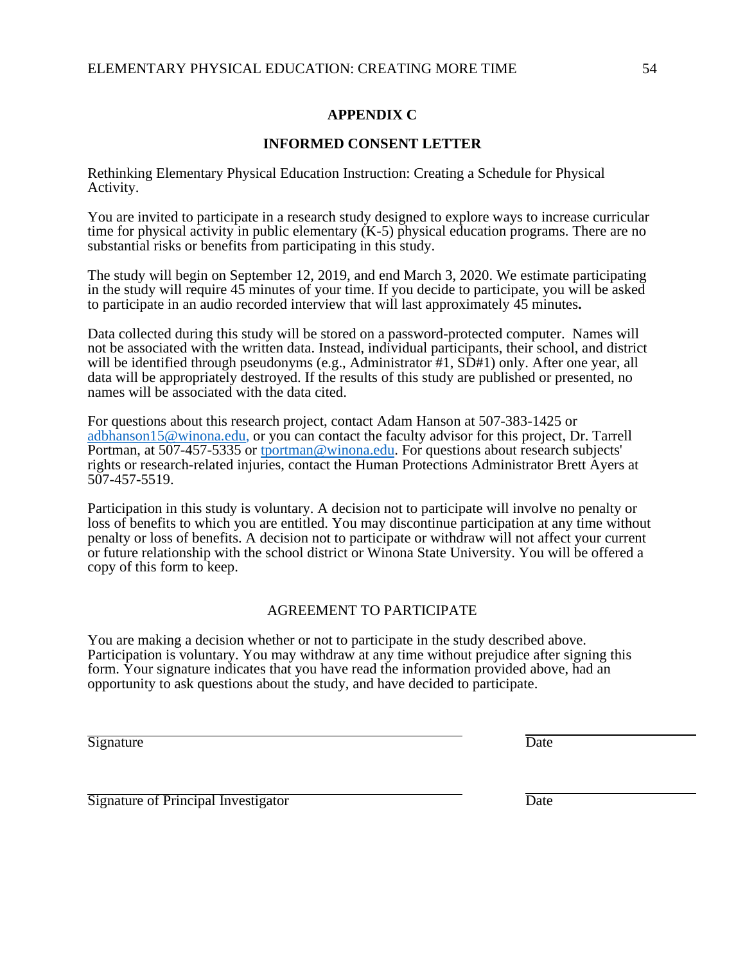## **APPENDIX C**

## **INFORMED CONSENT LETTER**

Rethinking Elementary Physical Education Instruction: Creating a Schedule for Physical Activity.

You are invited to participate in a research study designed to explore ways to increase curricular time for physical activity in public elementary  $(K-5)$  physical education programs. There are no substantial risks or benefits from participating in this study.

The study will begin on September 12, 2019, and end March 3, 2020. We estimate participating in the study will require 45 minutes of your time. If you decide to participate, you will be asked to participate in an audio recorded interview that will last approximately 45 minutes**.**

Data collected during this study will be stored on a password-protected computer. Names will not be associated with the written data. Instead, individual participants, their school, and district will be identified through pseudonyms (e.g., Administrator #1, SD#1) only. After one year, all data will be appropriately destroyed. If the results of this study are published or presented, no names will be associated with the data cited.

For questions about this research project, contact Adam Hanson at 507-383-1425 or [adbhanson15@winona.edu,](mailto:adbhanson15@winona.edu) or you can contact the faculty advisor for this project, Dr. Tarrell Portman, at 507-457-5335 or [tportman@winona.edu.](mailto:tportman@winona.edu) For questions about research subjects' rights or research-related injuries, contact the Human Protections Administrator Brett Ayers at 507-457-5519.

Participation in this study is voluntary. A decision not to participate will involve no penalty or loss of benefits to which you are entitled. You may discontinue participation at any time without penalty or loss of benefits. A decision not to participate or withdraw will not affect your current or future relationship with the school district or Winona State University. You will be offered a copy of this form to keep.

## AGREEMENT TO PARTICIPATE

You are making a decision whether or not to participate in the study described above. Participation is voluntary. You may withdraw at any time without prejudice after signing this form. Your signature indicates that you have read the information provided above, had an opportunity to ask questions about the study, and have decided to participate.

Signature Date

Signature of Principal Investigator Date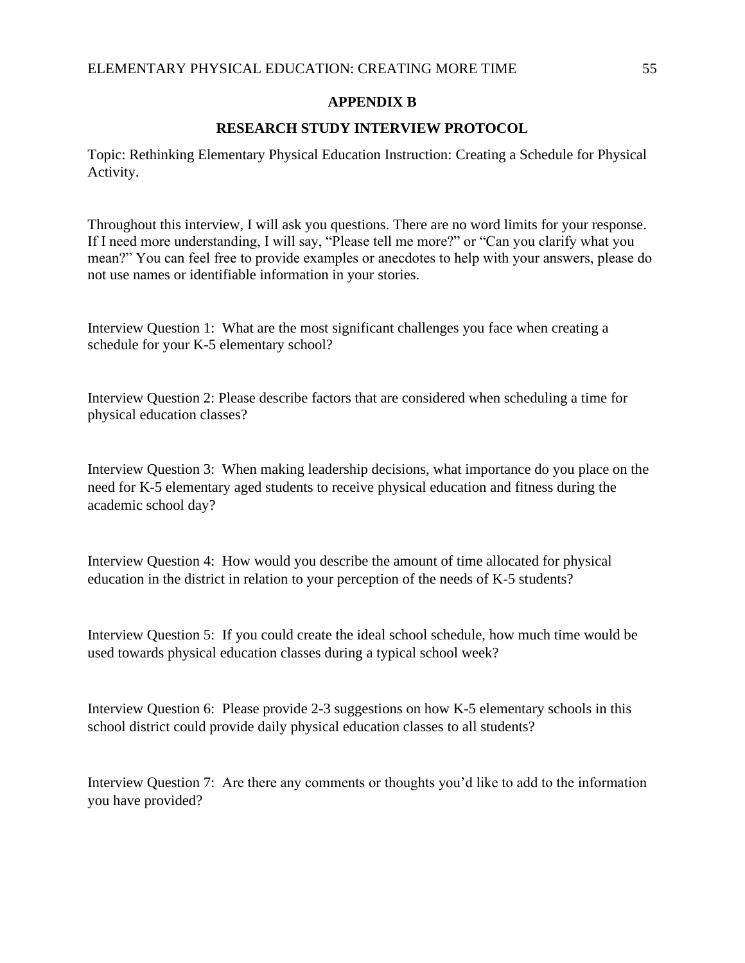### **APPENDIX B**

### **RESEARCH STUDY INTERVIEW PROTOCOL**

Topic: Rethinking Elementary Physical Education Instruction: Creating a Schedule for Physical Activity.

Throughout this interview, I will ask you questions. There are no word limits for your response. If I need more understanding, I will say, "Please tell me more?" or "Can you clarify what you mean?" You can feel free to provide examples or anecdotes to help with your answers, please do not use names or identifiable information in your stories.

Interview Question 1: What are the most significant challenges you face when creating a schedule for your K-5 elementary school?

Interview Question 2: Please describe factors that are considered when scheduling a time for physical education classes?

Interview Question 3: When making leadership decisions, what importance do you place on the need for K-5 elementary aged students to receive physical education and fitness during the academic school day?

Interview Question 4: How would you describe the amount of time allocated for physical education in the district in relation to your perception of the needs of K-5 students?

Interview Question 5: If you could create the ideal school schedule, how much time would be used towards physical education classes during a typical school week?

Interview Question 6: Please provide 2-3 suggestions on how K-5 elementary schools in this school district could provide daily physical education classes to all students?

Interview Question 7: Are there any comments or thoughts you'd like to add to the information you have provided?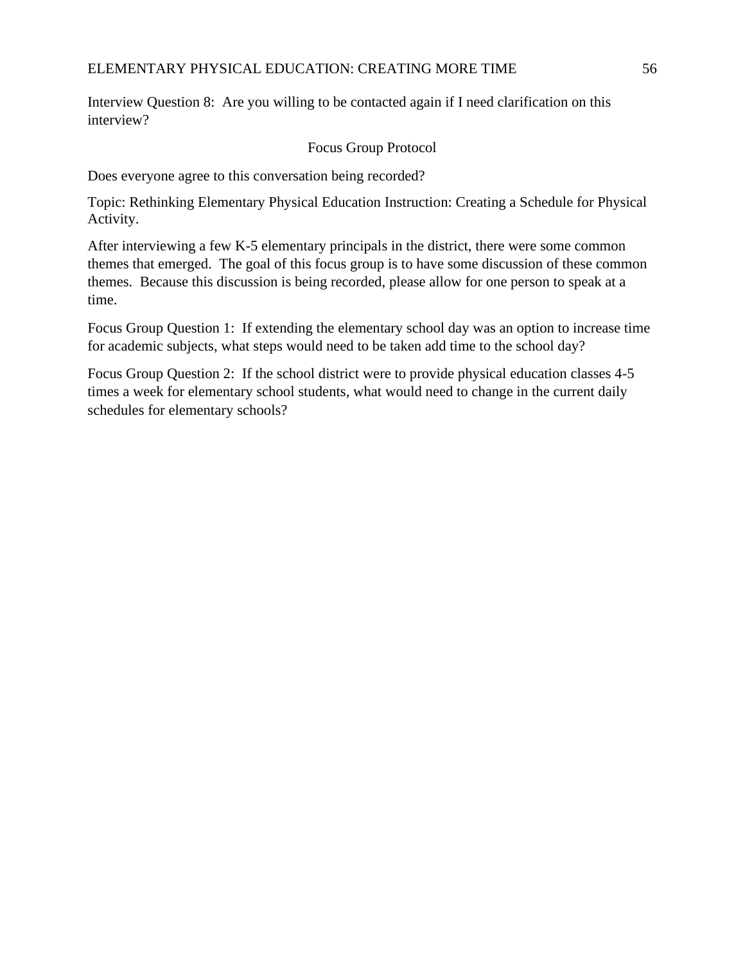Interview Question 8: Are you willing to be contacted again if I need clarification on this interview?

# Focus Group Protocol

Does everyone agree to this conversation being recorded?

Topic: Rethinking Elementary Physical Education Instruction: Creating a Schedule for Physical Activity.

After interviewing a few K-5 elementary principals in the district, there were some common themes that emerged. The goal of this focus group is to have some discussion of these common themes. Because this discussion is being recorded, please allow for one person to speak at a time.

Focus Group Question 1: If extending the elementary school day was an option to increase time for academic subjects, what steps would need to be taken add time to the school day?

Focus Group Question 2: If the school district were to provide physical education classes 4-5 times a week for elementary school students, what would need to change in the current daily schedules for elementary schools?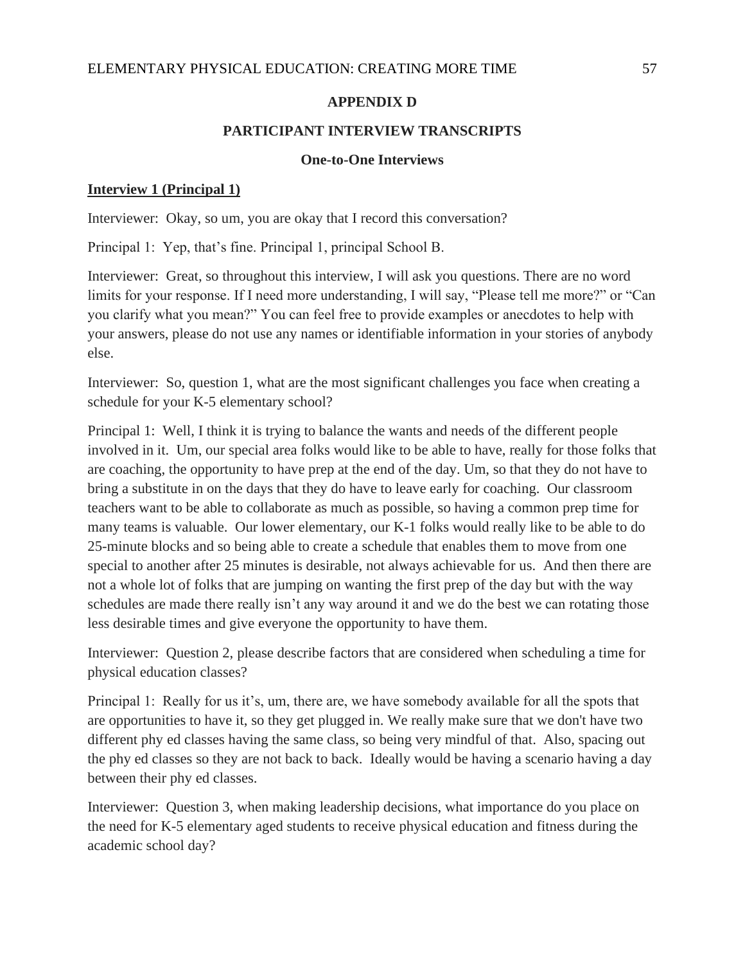# **APPENDIX D**

# **PARTICIPANT INTERVIEW TRANSCRIPTS**

# **One-to-One Interviews**

# **Interview 1 (Principal 1)**

Interviewer: Okay, so um, you are okay that I record this conversation?

Principal 1: Yep, that's fine. Principal 1, principal School B.

Interviewer: Great, so throughout this interview, I will ask you questions. There are no word limits for your response. If I need more understanding, I will say, "Please tell me more?" or "Can you clarify what you mean?" You can feel free to provide examples or anecdotes to help with your answers, please do not use any names or identifiable information in your stories of anybody else.

Interviewer: So, question 1, what are the most significant challenges you face when creating a schedule for your K-5 elementary school?

Principal 1: Well, I think it is trying to balance the wants and needs of the different people involved in it. Um, our special area folks would like to be able to have, really for those folks that are coaching, the opportunity to have prep at the end of the day. Um, so that they do not have to bring a substitute in on the days that they do have to leave early for coaching. Our classroom teachers want to be able to collaborate as much as possible, so having a common prep time for many teams is valuable. Our lower elementary, our K-1 folks would really like to be able to do 25-minute blocks and so being able to create a schedule that enables them to move from one special to another after 25 minutes is desirable, not always achievable for us. And then there are not a whole lot of folks that are jumping on wanting the first prep of the day but with the way schedules are made there really isn't any way around it and we do the best we can rotating those less desirable times and give everyone the opportunity to have them.

Interviewer: Question 2, please describe factors that are considered when scheduling a time for physical education classes?

Principal 1: Really for us it's, um, there are, we have somebody available for all the spots that are opportunities to have it, so they get plugged in. We really make sure that we don't have two different phy ed classes having the same class, so being very mindful of that. Also, spacing out the phy ed classes so they are not back to back. Ideally would be having a scenario having a day between their phy ed classes.

Interviewer: Question 3, when making leadership decisions, what importance do you place on the need for K-5 elementary aged students to receive physical education and fitness during the academic school day?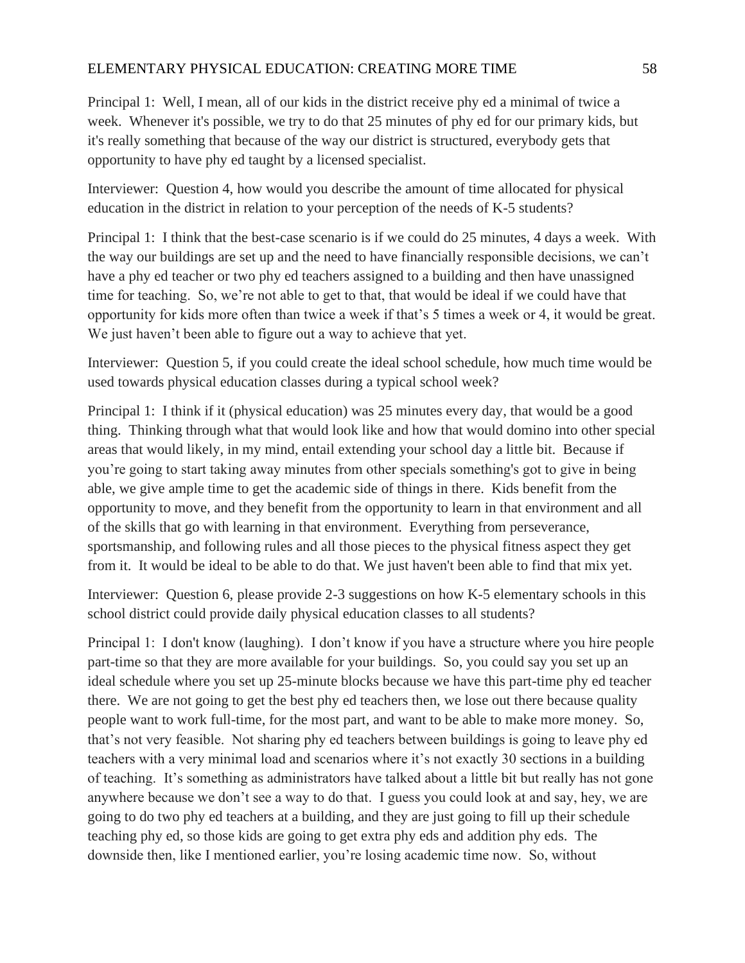Principal 1: Well, I mean, all of our kids in the district receive phy ed a minimal of twice a week. Whenever it's possible, we try to do that 25 minutes of phy ed for our primary kids, but it's really something that because of the way our district is structured, everybody gets that opportunity to have phy ed taught by a licensed specialist.

Interviewer: Question 4, how would you describe the amount of time allocated for physical education in the district in relation to your perception of the needs of K-5 students?

Principal 1: I think that the best-case scenario is if we could do 25 minutes, 4 days a week. With the way our buildings are set up and the need to have financially responsible decisions, we can't have a phy ed teacher or two phy ed teachers assigned to a building and then have unassigned time for teaching. So, we're not able to get to that, that would be ideal if we could have that opportunity for kids more often than twice a week if that's 5 times a week or 4, it would be great. We just haven't been able to figure out a way to achieve that yet.

Interviewer: Question 5, if you could create the ideal school schedule, how much time would be used towards physical education classes during a typical school week?

Principal 1: I think if it (physical education) was 25 minutes every day, that would be a good thing. Thinking through what that would look like and how that would domino into other special areas that would likely, in my mind, entail extending your school day a little bit. Because if you're going to start taking away minutes from other specials something's got to give in being able, we give ample time to get the academic side of things in there. Kids benefit from the opportunity to move, and they benefit from the opportunity to learn in that environment and all of the skills that go with learning in that environment. Everything from perseverance, sportsmanship, and following rules and all those pieces to the physical fitness aspect they get from it. It would be ideal to be able to do that. We just haven't been able to find that mix yet.

Interviewer: Question 6, please provide 2-3 suggestions on how K-5 elementary schools in this school district could provide daily physical education classes to all students?

Principal 1: I don't know (laughing). I don't know if you have a structure where you hire people part-time so that they are more available for your buildings. So, you could say you set up an ideal schedule where you set up 25-minute blocks because we have this part-time phy ed teacher there. We are not going to get the best phy ed teachers then, we lose out there because quality people want to work full-time, for the most part, and want to be able to make more money. So, that's not very feasible. Not sharing phy ed teachers between buildings is going to leave phy ed teachers with a very minimal load and scenarios where it's not exactly 30 sections in a building of teaching. It's something as administrators have talked about a little bit but really has not gone anywhere because we don't see a way to do that. I guess you could look at and say, hey, we are going to do two phy ed teachers at a building, and they are just going to fill up their schedule teaching phy ed, so those kids are going to get extra phy eds and addition phy eds. The downside then, like I mentioned earlier, you're losing academic time now. So, without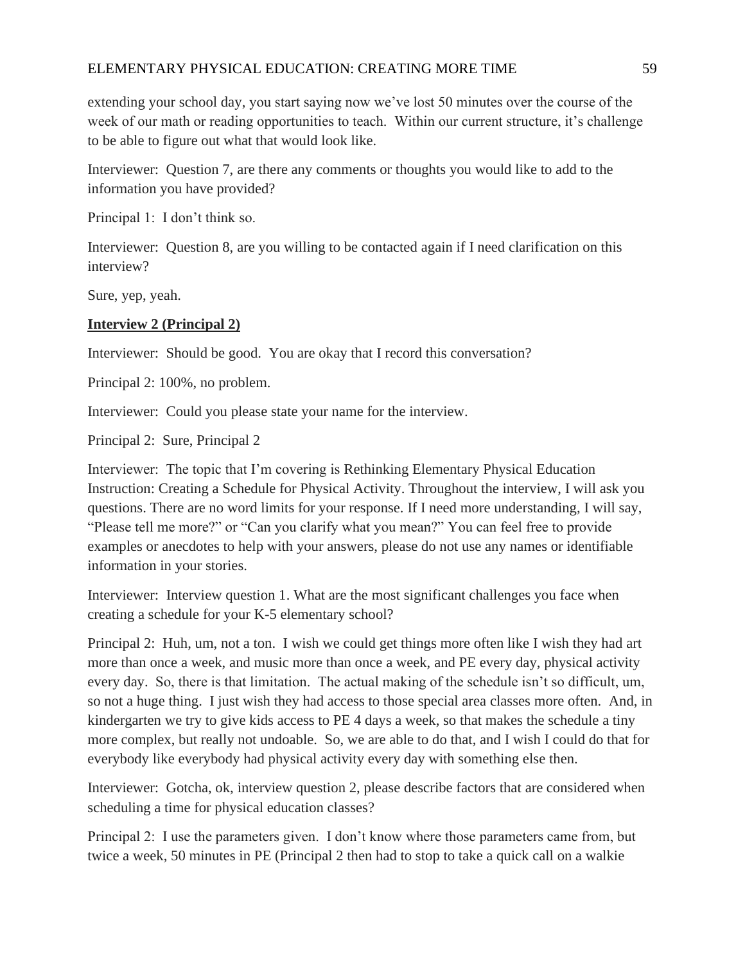extending your school day, you start saying now we've lost 50 minutes over the course of the week of our math or reading opportunities to teach. Within our current structure, it's challenge to be able to figure out what that would look like.

Interviewer: Question 7, are there any comments or thoughts you would like to add to the information you have provided?

Principal 1: I don't think so.

Interviewer: Question 8, are you willing to be contacted again if I need clarification on this interview?

Sure, yep, yeah.

# **Interview 2 (Principal 2)**

Interviewer: Should be good. You are okay that I record this conversation?

Principal 2: 100%, no problem.

Interviewer: Could you please state your name for the interview.

Principal 2: Sure, Principal 2

Interviewer: The topic that I'm covering is Rethinking Elementary Physical Education Instruction: Creating a Schedule for Physical Activity. Throughout the interview, I will ask you questions. There are no word limits for your response. If I need more understanding, I will say, "Please tell me more?" or "Can you clarify what you mean?" You can feel free to provide examples or anecdotes to help with your answers, please do not use any names or identifiable information in your stories.

Interviewer: Interview question 1. What are the most significant challenges you face when creating a schedule for your K-5 elementary school?

Principal 2: Huh, um, not a ton. I wish we could get things more often like I wish they had art more than once a week, and music more than once a week, and PE every day, physical activity every day. So, there is that limitation. The actual making of the schedule isn't so difficult, um, so not a huge thing. I just wish they had access to those special area classes more often. And, in kindergarten we try to give kids access to PE 4 days a week, so that makes the schedule a tiny more complex, but really not undoable. So, we are able to do that, and I wish I could do that for everybody like everybody had physical activity every day with something else then.

Interviewer: Gotcha, ok, interview question 2, please describe factors that are considered when scheduling a time for physical education classes?

Principal 2: I use the parameters given. I don't know where those parameters came from, but twice a week, 50 minutes in PE (Principal 2 then had to stop to take a quick call on a walkie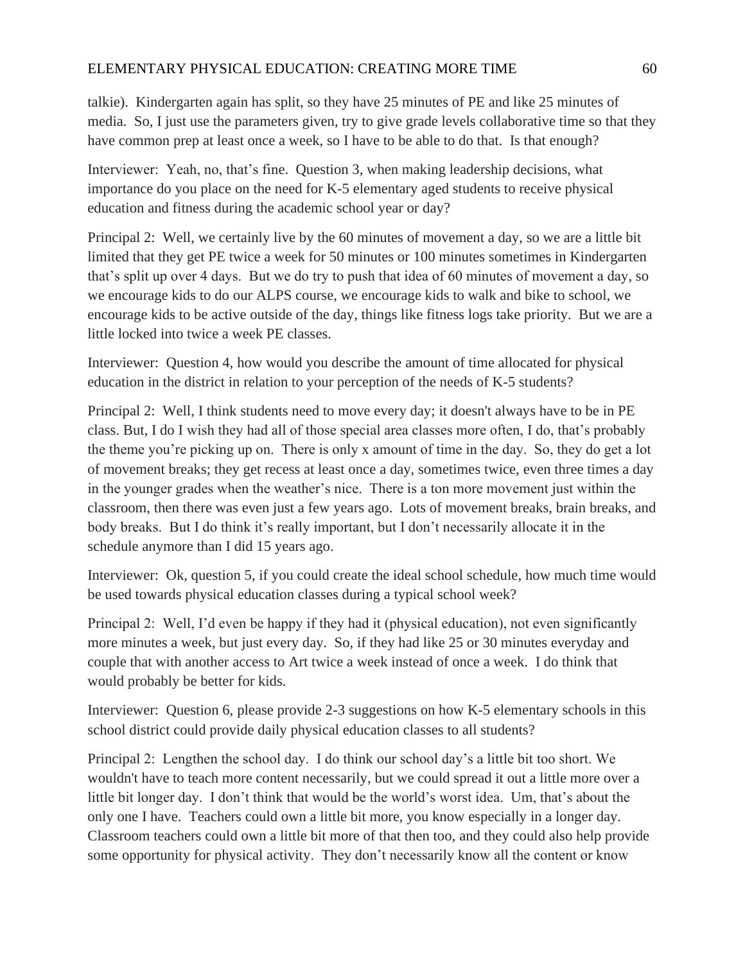talkie). Kindergarten again has split, so they have 25 minutes of PE and like 25 minutes of media. So, I just use the parameters given, try to give grade levels collaborative time so that they have common prep at least once a week, so I have to be able to do that. Is that enough?

Interviewer: Yeah, no, that's fine. Question 3, when making leadership decisions, what importance do you place on the need for K-5 elementary aged students to receive physical education and fitness during the academic school year or day?

Principal 2: Well, we certainly live by the 60 minutes of movement a day, so we are a little bit limited that they get PE twice a week for 50 minutes or 100 minutes sometimes in Kindergarten that's split up over 4 days. But we do try to push that idea of 60 minutes of movement a day, so we encourage kids to do our ALPS course, we encourage kids to walk and bike to school, we encourage kids to be active outside of the day, things like fitness logs take priority. But we are a little locked into twice a week PE classes.

Interviewer: Question 4, how would you describe the amount of time allocated for physical education in the district in relation to your perception of the needs of K-5 students?

Principal 2: Well, I think students need to move every day; it doesn't always have to be in PE class. But, I do I wish they had all of those special area classes more often, I do, that's probably the theme you're picking up on. There is only x amount of time in the day. So, they do get a lot of movement breaks; they get recess at least once a day, sometimes twice, even three times a day in the younger grades when the weather's nice. There is a ton more movement just within the classroom, then there was even just a few years ago. Lots of movement breaks, brain breaks, and body breaks. But I do think it's really important, but I don't necessarily allocate it in the schedule anymore than I did 15 years ago.

Interviewer: Ok, question 5, if you could create the ideal school schedule, how much time would be used towards physical education classes during a typical school week?

Principal 2: Well, I'd even be happy if they had it (physical education), not even significantly more minutes a week, but just every day. So, if they had like 25 or 30 minutes everyday and couple that with another access to Art twice a week instead of once a week. I do think that would probably be better for kids.

Interviewer: Question 6, please provide 2-3 suggestions on how K-5 elementary schools in this school district could provide daily physical education classes to all students?

Principal 2: Lengthen the school day. I do think our school day's a little bit too short. We wouldn't have to teach more content necessarily, but we could spread it out a little more over a little bit longer day. I don't think that would be the world's worst idea. Um, that's about the only one I have. Teachers could own a little bit more, you know especially in a longer day. Classroom teachers could own a little bit more of that then too, and they could also help provide some opportunity for physical activity. They don't necessarily know all the content or know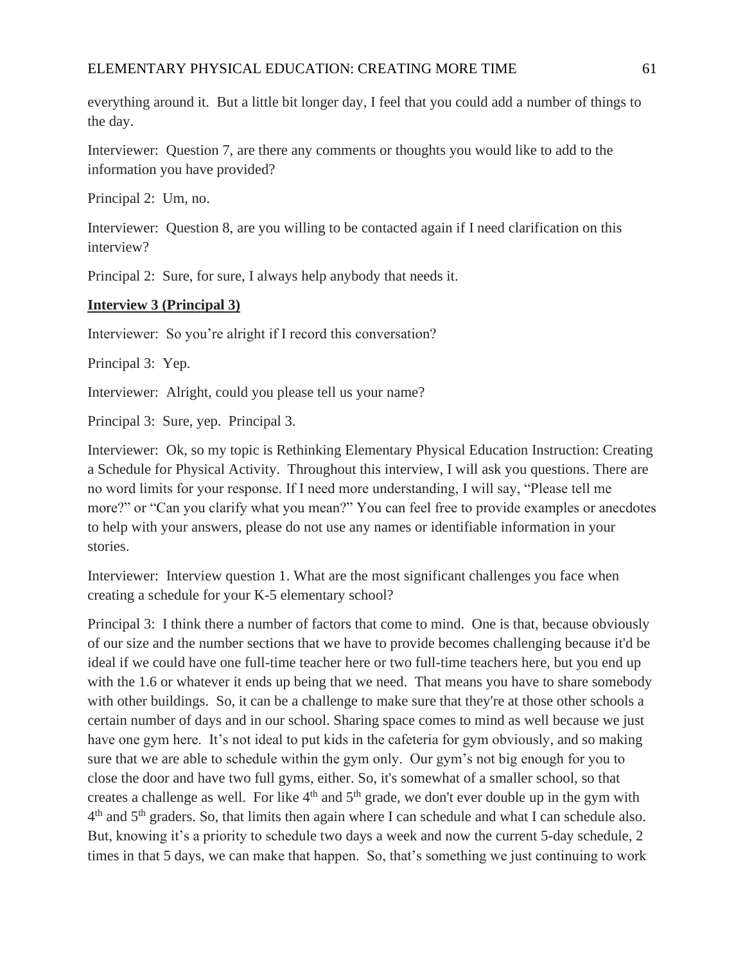everything around it. But a little bit longer day, I feel that you could add a number of things to the day.

Interviewer: Question 7, are there any comments or thoughts you would like to add to the information you have provided?

Principal 2: Um, no.

Interviewer: Question 8, are you willing to be contacted again if I need clarification on this interview?

Principal 2: Sure, for sure, I always help anybody that needs it.

# **Interview 3 (Principal 3)**

Interviewer: So you're alright if I record this conversation?

Principal 3: Yep.

Interviewer: Alright, could you please tell us your name?

Principal 3: Sure, yep. Principal 3.

Interviewer: Ok, so my topic is Rethinking Elementary Physical Education Instruction: Creating a Schedule for Physical Activity. Throughout this interview, I will ask you questions. There are no word limits for your response. If I need more understanding, I will say, "Please tell me more?" or "Can you clarify what you mean?" You can feel free to provide examples or anecdotes to help with your answers, please do not use any names or identifiable information in your stories.

Interviewer: Interview question 1. What are the most significant challenges you face when creating a schedule for your K-5 elementary school?

Principal 3: I think there a number of factors that come to mind. One is that, because obviously of our size and the number sections that we have to provide becomes challenging because it'd be ideal if we could have one full-time teacher here or two full-time teachers here, but you end up with the 1.6 or whatever it ends up being that we need. That means you have to share somebody with other buildings. So, it can be a challenge to make sure that they're at those other schools a certain number of days and in our school. Sharing space comes to mind as well because we just have one gym here. It's not ideal to put kids in the cafeteria for gym obviously, and so making sure that we are able to schedule within the gym only. Our gym's not big enough for you to close the door and have two full gyms, either. So, it's somewhat of a smaller school, so that creates a challenge as well. For like  $4<sup>th</sup>$  and  $5<sup>th</sup>$  grade, we don't ever double up in the gym with  $4<sup>th</sup>$  and  $5<sup>th</sup>$  graders. So, that limits then again where I can schedule and what I can schedule also. But, knowing it's a priority to schedule two days a week and now the current 5-day schedule, 2 times in that 5 days, we can make that happen. So, that's something we just continuing to work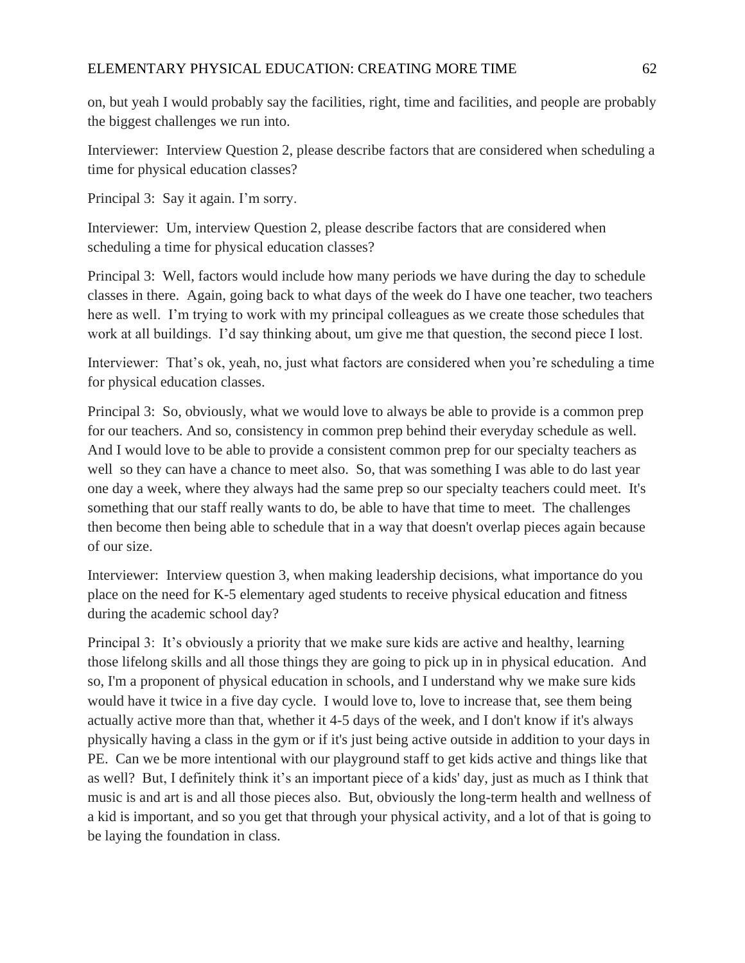on, but yeah I would probably say the facilities, right, time and facilities, and people are probably the biggest challenges we run into.

Interviewer: Interview Question 2, please describe factors that are considered when scheduling a time for physical education classes?

Principal 3: Say it again. I'm sorry.

Interviewer: Um, interview Question 2, please describe factors that are considered when scheduling a time for physical education classes?

Principal 3: Well, factors would include how many periods we have during the day to schedule classes in there. Again, going back to what days of the week do I have one teacher, two teachers here as well. I'm trying to work with my principal colleagues as we create those schedules that work at all buildings. I'd say thinking about, um give me that question, the second piece I lost.

Interviewer: That's ok, yeah, no, just what factors are considered when you're scheduling a time for physical education classes.

Principal 3: So, obviously, what we would love to always be able to provide is a common prep for our teachers. And so, consistency in common prep behind their everyday schedule as well. And I would love to be able to provide a consistent common prep for our specialty teachers as well so they can have a chance to meet also. So, that was something I was able to do last year one day a week, where they always had the same prep so our specialty teachers could meet. It's something that our staff really wants to do, be able to have that time to meet. The challenges then become then being able to schedule that in a way that doesn't overlap pieces again because of our size.

Interviewer: Interview question 3, when making leadership decisions, what importance do you place on the need for K-5 elementary aged students to receive physical education and fitness during the academic school day?

Principal 3: It's obviously a priority that we make sure kids are active and healthy, learning those lifelong skills and all those things they are going to pick up in in physical education. And so, I'm a proponent of physical education in schools, and I understand why we make sure kids would have it twice in a five day cycle. I would love to, love to increase that, see them being actually active more than that, whether it 4-5 days of the week, and I don't know if it's always physically having a class in the gym or if it's just being active outside in addition to your days in PE. Can we be more intentional with our playground staff to get kids active and things like that as well? But, I definitely think it's an important piece of a kids' day, just as much as I think that music is and art is and all those pieces also. But, obviously the long-term health and wellness of a kid is important, and so you get that through your physical activity, and a lot of that is going to be laying the foundation in class.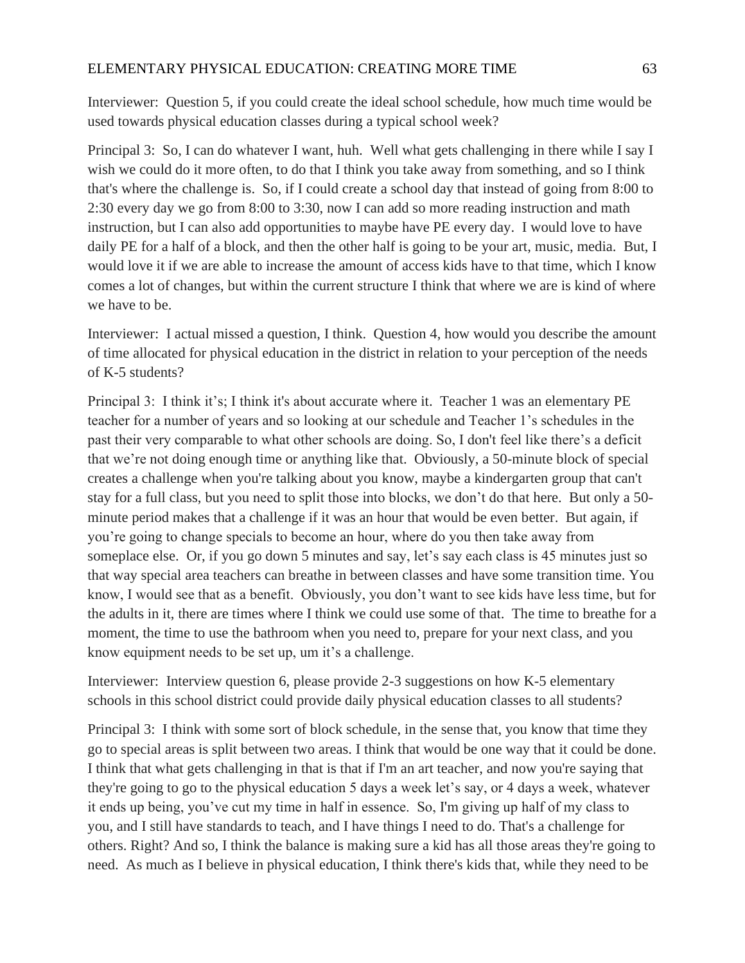Interviewer: Question 5, if you could create the ideal school schedule, how much time would be used towards physical education classes during a typical school week?

Principal 3: So, I can do whatever I want, huh. Well what gets challenging in there while I say I wish we could do it more often, to do that I think you take away from something, and so I think that's where the challenge is. So, if I could create a school day that instead of going from 8:00 to 2:30 every day we go from 8:00 to 3:30, now I can add so more reading instruction and math instruction, but I can also add opportunities to maybe have PE every day. I would love to have daily PE for a half of a block, and then the other half is going to be your art, music, media. But, I would love it if we are able to increase the amount of access kids have to that time, which I know comes a lot of changes, but within the current structure I think that where we are is kind of where we have to be.

Interviewer: I actual missed a question, I think. Question 4, how would you describe the amount of time allocated for physical education in the district in relation to your perception of the needs of K-5 students?

Principal 3: I think it's; I think it's about accurate where it. Teacher 1 was an elementary PE teacher for a number of years and so looking at our schedule and Teacher 1's schedules in the past their very comparable to what other schools are doing. So, I don't feel like there's a deficit that we're not doing enough time or anything like that. Obviously, a 50-minute block of special creates a challenge when you're talking about you know, maybe a kindergarten group that can't stay for a full class, but you need to split those into blocks, we don't do that here. But only a 50 minute period makes that a challenge if it was an hour that would be even better. But again, if you're going to change specials to become an hour, where do you then take away from someplace else. Or, if you go down 5 minutes and say, let's say each class is 45 minutes just so that way special area teachers can breathe in between classes and have some transition time. You know, I would see that as a benefit. Obviously, you don't want to see kids have less time, but for the adults in it, there are times where I think we could use some of that. The time to breathe for a moment, the time to use the bathroom when you need to, prepare for your next class, and you know equipment needs to be set up, um it's a challenge.

Interviewer: Interview question 6, please provide 2-3 suggestions on how K-5 elementary schools in this school district could provide daily physical education classes to all students?

Principal 3: I think with some sort of block schedule, in the sense that, you know that time they go to special areas is split between two areas. I think that would be one way that it could be done. I think that what gets challenging in that is that if I'm an art teacher, and now you're saying that they're going to go to the physical education 5 days a week let's say, or 4 days a week, whatever it ends up being, you've cut my time in half in essence. So, I'm giving up half of my class to you, and I still have standards to teach, and I have things I need to do. That's a challenge for others. Right? And so, I think the balance is making sure a kid has all those areas they're going to need. As much as I believe in physical education, I think there's kids that, while they need to be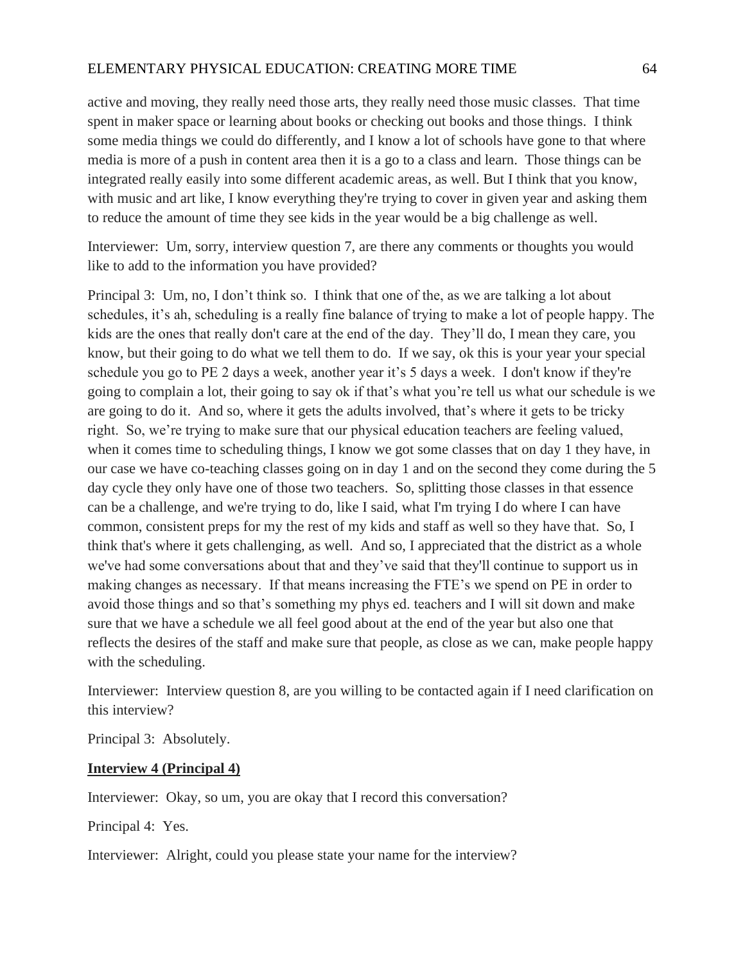active and moving, they really need those arts, they really need those music classes. That time spent in maker space or learning about books or checking out books and those things. I think some media things we could do differently, and I know a lot of schools have gone to that where media is more of a push in content area then it is a go to a class and learn. Those things can be integrated really easily into some different academic areas, as well. But I think that you know, with music and art like, I know everything they're trying to cover in given year and asking them to reduce the amount of time they see kids in the year would be a big challenge as well.

Interviewer: Um, sorry, interview question 7, are there any comments or thoughts you would like to add to the information you have provided?

Principal 3: Um, no, I don't think so. I think that one of the, as we are talking a lot about schedules, it's ah, scheduling is a really fine balance of trying to make a lot of people happy. The kids are the ones that really don't care at the end of the day. They'll do, I mean they care, you know, but their going to do what we tell them to do. If we say, ok this is your year your special schedule you go to PE 2 days a week, another year it's 5 days a week. I don't know if they're going to complain a lot, their going to say ok if that's what you're tell us what our schedule is we are going to do it. And so, where it gets the adults involved, that's where it gets to be tricky right. So, we're trying to make sure that our physical education teachers are feeling valued, when it comes time to scheduling things, I know we got some classes that on day 1 they have, in our case we have co-teaching classes going on in day 1 and on the second they come during the 5 day cycle they only have one of those two teachers. So, splitting those classes in that essence can be a challenge, and we're trying to do, like I said, what I'm trying I do where I can have common, consistent preps for my the rest of my kids and staff as well so they have that. So, I think that's where it gets challenging, as well. And so, I appreciated that the district as a whole we've had some conversations about that and they've said that they'll continue to support us in making changes as necessary. If that means increasing the FTE's we spend on PE in order to avoid those things and so that's something my phys ed. teachers and I will sit down and make sure that we have a schedule we all feel good about at the end of the year but also one that reflects the desires of the staff and make sure that people, as close as we can, make people happy with the scheduling.

Interviewer: Interview question 8, are you willing to be contacted again if I need clarification on this interview?

Principal 3: Absolutely.

# **Interview 4 (Principal 4)**

Interviewer: Okay, so um, you are okay that I record this conversation?

Principal 4: Yes.

Interviewer: Alright, could you please state your name for the interview?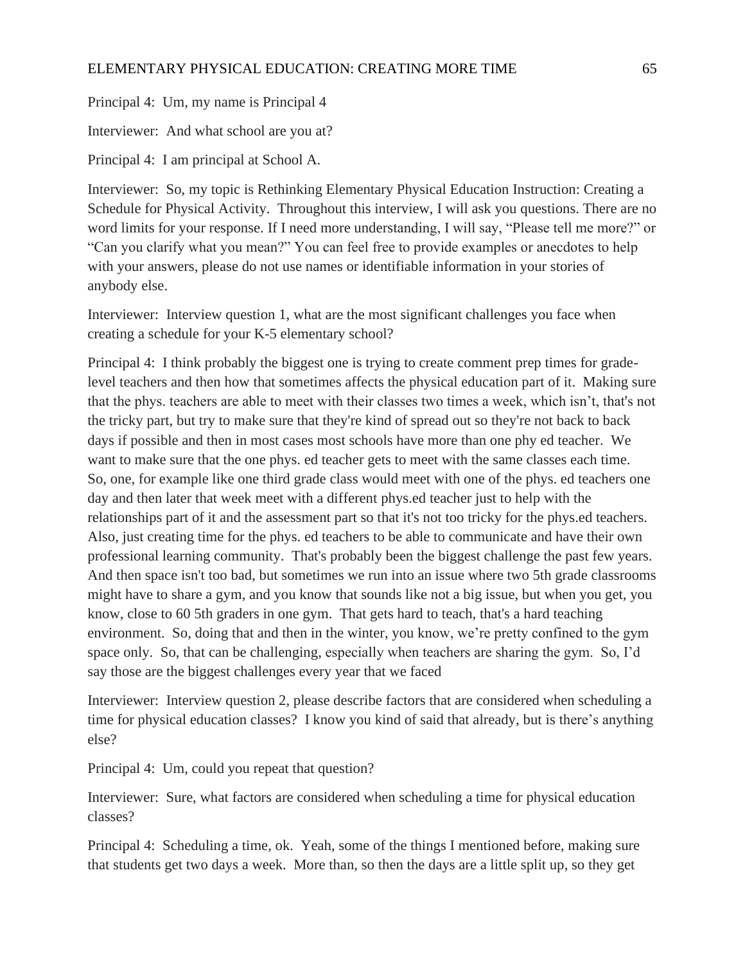Principal 4: Um, my name is Principal 4

Interviewer: And what school are you at?

Principal 4: I am principal at School A.

Interviewer: So, my topic is Rethinking Elementary Physical Education Instruction: Creating a Schedule for Physical Activity. Throughout this interview, I will ask you questions. There are no word limits for your response. If I need more understanding, I will say, "Please tell me more?" or "Can you clarify what you mean?" You can feel free to provide examples or anecdotes to help with your answers, please do not use names or identifiable information in your stories of anybody else.

Interviewer: Interview question 1, what are the most significant challenges you face when creating a schedule for your K-5 elementary school?

Principal 4: I think probably the biggest one is trying to create comment prep times for gradelevel teachers and then how that sometimes affects the physical education part of it. Making sure that the phys. teachers are able to meet with their classes two times a week, which isn't, that's not the tricky part, but try to make sure that they're kind of spread out so they're not back to back days if possible and then in most cases most schools have more than one phy ed teacher. We want to make sure that the one phys. ed teacher gets to meet with the same classes each time. So, one, for example like one third grade class would meet with one of the phys. ed teachers one day and then later that week meet with a different phys.ed teacher just to help with the relationships part of it and the assessment part so that it's not too tricky for the phys.ed teachers. Also, just creating time for the phys. ed teachers to be able to communicate and have their own professional learning community. That's probably been the biggest challenge the past few years. And then space isn't too bad, but sometimes we run into an issue where two 5th grade classrooms might have to share a gym, and you know that sounds like not a big issue, but when you get, you know, close to 60 5th graders in one gym. That gets hard to teach, that's a hard teaching environment. So, doing that and then in the winter, you know, we're pretty confined to the gym space only. So, that can be challenging, especially when teachers are sharing the gym. So, I'd say those are the biggest challenges every year that we faced

Interviewer: Interview question 2, please describe factors that are considered when scheduling a time for physical education classes? I know you kind of said that already, but is there's anything else?

Principal 4: Um, could you repeat that question?

Interviewer: Sure, what factors are considered when scheduling a time for physical education classes?

Principal 4: Scheduling a time, ok. Yeah, some of the things I mentioned before, making sure that students get two days a week. More than, so then the days are a little split up, so they get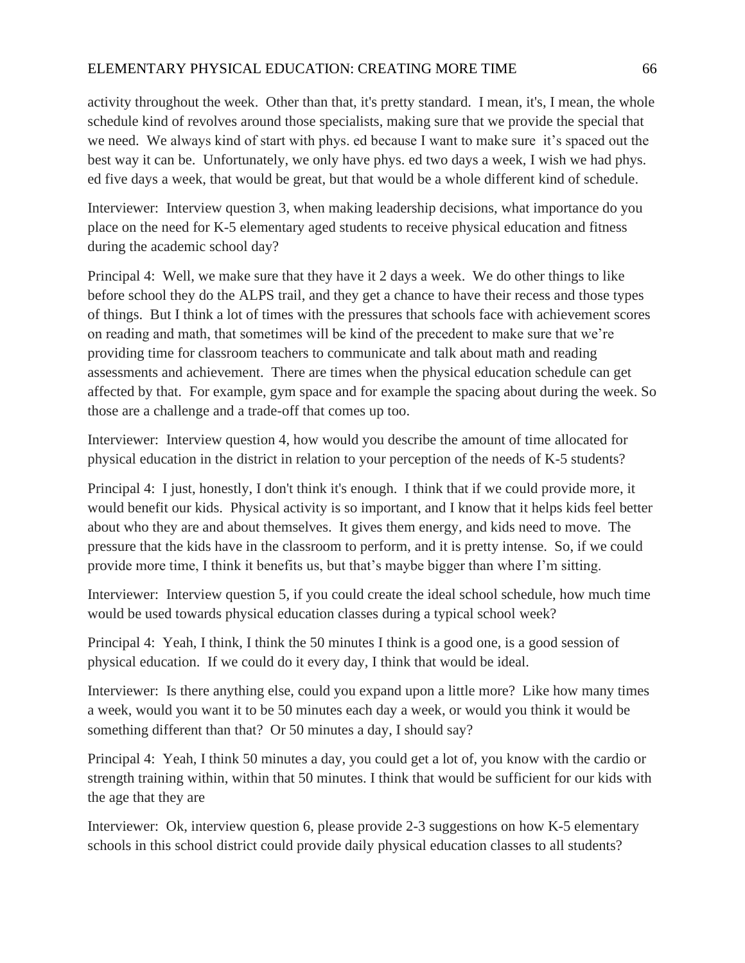activity throughout the week. Other than that, it's pretty standard. I mean, it's, I mean, the whole schedule kind of revolves around those specialists, making sure that we provide the special that we need. We always kind of start with phys. ed because I want to make sure it's spaced out the best way it can be. Unfortunately, we only have phys. ed two days a week, I wish we had phys. ed five days a week, that would be great, but that would be a whole different kind of schedule.

Interviewer: Interview question 3, when making leadership decisions, what importance do you place on the need for K-5 elementary aged students to receive physical education and fitness during the academic school day?

Principal 4: Well, we make sure that they have it 2 days a week. We do other things to like before school they do the ALPS trail, and they get a chance to have their recess and those types of things. But I think a lot of times with the pressures that schools face with achievement scores on reading and math, that sometimes will be kind of the precedent to make sure that we're providing time for classroom teachers to communicate and talk about math and reading assessments and achievement. There are times when the physical education schedule can get affected by that. For example, gym space and for example the spacing about during the week. So those are a challenge and a trade-off that comes up too.

Interviewer: Interview question 4, how would you describe the amount of time allocated for physical education in the district in relation to your perception of the needs of K-5 students?

Principal 4: I just, honestly, I don't think it's enough. I think that if we could provide more, it would benefit our kids. Physical activity is so important, and I know that it helps kids feel better about who they are and about themselves. It gives them energy, and kids need to move. The pressure that the kids have in the classroom to perform, and it is pretty intense. So, if we could provide more time, I think it benefits us, but that's maybe bigger than where I'm sitting.

Interviewer: Interview question 5, if you could create the ideal school schedule, how much time would be used towards physical education classes during a typical school week?

Principal 4: Yeah, I think, I think the 50 minutes I think is a good one, is a good session of physical education. If we could do it every day, I think that would be ideal.

Interviewer: Is there anything else, could you expand upon a little more? Like how many times a week, would you want it to be 50 minutes each day a week, or would you think it would be something different than that? Or 50 minutes a day, I should say?

Principal 4: Yeah, I think 50 minutes a day, you could get a lot of, you know with the cardio or strength training within, within that 50 minutes. I think that would be sufficient for our kids with the age that they are

Interviewer: Ok, interview question 6, please provide 2-3 suggestions on how K-5 elementary schools in this school district could provide daily physical education classes to all students?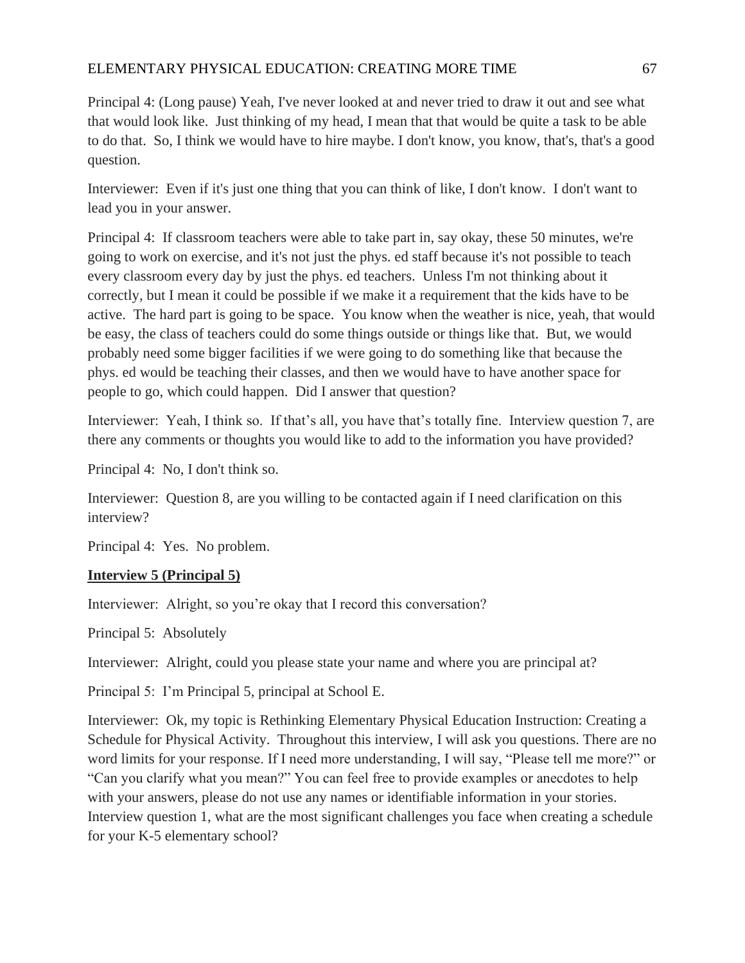Principal 4: (Long pause) Yeah, I've never looked at and never tried to draw it out and see what that would look like. Just thinking of my head, I mean that that would be quite a task to be able to do that. So, I think we would have to hire maybe. I don't know, you know, that's, that's a good question.

Interviewer: Even if it's just one thing that you can think of like, I don't know. I don't want to lead you in your answer.

Principal 4: If classroom teachers were able to take part in, say okay, these 50 minutes, we're going to work on exercise, and it's not just the phys. ed staff because it's not possible to teach every classroom every day by just the phys. ed teachers. Unless I'm not thinking about it correctly, but I mean it could be possible if we make it a requirement that the kids have to be active. The hard part is going to be space. You know when the weather is nice, yeah, that would be easy, the class of teachers could do some things outside or things like that. But, we would probably need some bigger facilities if we were going to do something like that because the phys. ed would be teaching their classes, and then we would have to have another space for people to go, which could happen. Did I answer that question?

Interviewer: Yeah, I think so. If that's all, you have that's totally fine. Interview question 7, are there any comments or thoughts you would like to add to the information you have provided?

Principal 4: No, I don't think so.

Interviewer: Question 8, are you willing to be contacted again if I need clarification on this interview?

Principal 4: Yes. No problem.

# **Interview 5 (Principal 5)**

Interviewer: Alright, so you're okay that I record this conversation?

Principal 5: Absolutely

Interviewer: Alright, could you please state your name and where you are principal at?

Principal 5: I'm Principal 5, principal at School E.

Interviewer: Ok, my topic is Rethinking Elementary Physical Education Instruction: Creating a Schedule for Physical Activity. Throughout this interview, I will ask you questions. There are no word limits for your response. If I need more understanding, I will say, "Please tell me more?" or "Can you clarify what you mean?" You can feel free to provide examples or anecdotes to help with your answers, please do not use any names or identifiable information in your stories. Interview question 1, what are the most significant challenges you face when creating a schedule for your K-5 elementary school?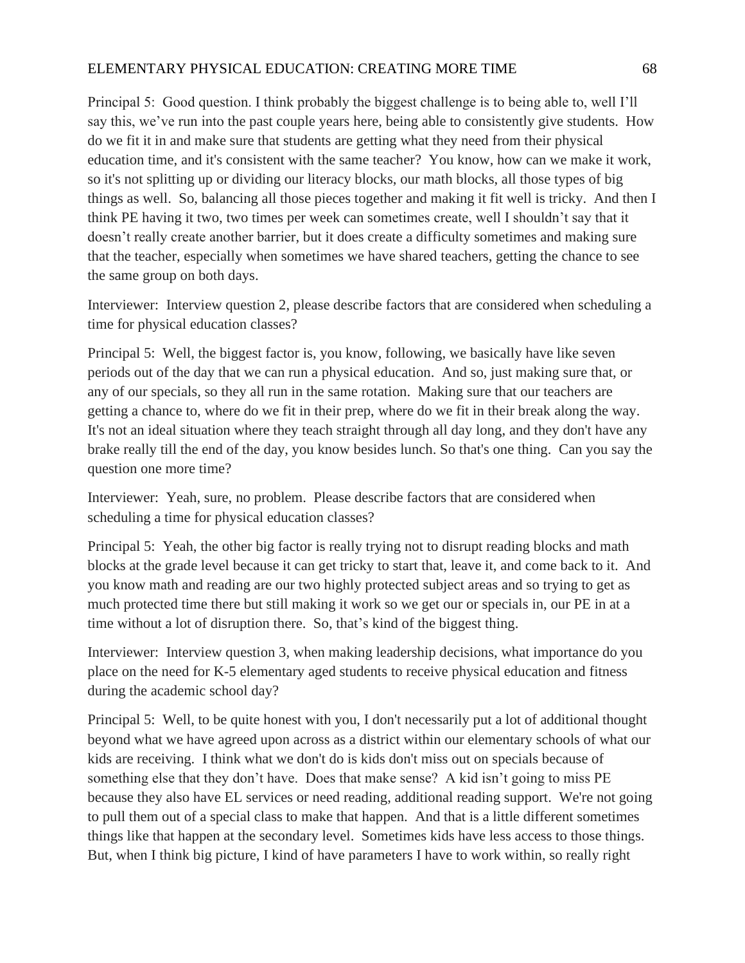## ELEMENTARY PHYSICAL EDUCATION: CREATING MORE TIME 68

Principal 5: Good question. I think probably the biggest challenge is to being able to, well I'll say this, we've run into the past couple years here, being able to consistently give students. How do we fit it in and make sure that students are getting what they need from their physical education time, and it's consistent with the same teacher? You know, how can we make it work, so it's not splitting up or dividing our literacy blocks, our math blocks, all those types of big things as well. So, balancing all those pieces together and making it fit well is tricky. And then I think PE having it two, two times per week can sometimes create, well I shouldn't say that it doesn't really create another barrier, but it does create a difficulty sometimes and making sure that the teacher, especially when sometimes we have shared teachers, getting the chance to see the same group on both days.

Interviewer: Interview question 2, please describe factors that are considered when scheduling a time for physical education classes?

Principal 5: Well, the biggest factor is, you know, following, we basically have like seven periods out of the day that we can run a physical education. And so, just making sure that, or any of our specials, so they all run in the same rotation. Making sure that our teachers are getting a chance to, where do we fit in their prep, where do we fit in their break along the way. It's not an ideal situation where they teach straight through all day long, and they don't have any brake really till the end of the day, you know besides lunch. So that's one thing. Can you say the question one more time?

Interviewer: Yeah, sure, no problem. Please describe factors that are considered when scheduling a time for physical education classes?

Principal 5: Yeah, the other big factor is really trying not to disrupt reading blocks and math blocks at the grade level because it can get tricky to start that, leave it, and come back to it. And you know math and reading are our two highly protected subject areas and so trying to get as much protected time there but still making it work so we get our or specials in, our PE in at a time without a lot of disruption there. So, that's kind of the biggest thing.

Interviewer: Interview question 3, when making leadership decisions, what importance do you place on the need for K-5 elementary aged students to receive physical education and fitness during the academic school day?

Principal 5: Well, to be quite honest with you, I don't necessarily put a lot of additional thought beyond what we have agreed upon across as a district within our elementary schools of what our kids are receiving. I think what we don't do is kids don't miss out on specials because of something else that they don't have. Does that make sense? A kid isn't going to miss PE because they also have EL services or need reading, additional reading support. We're not going to pull them out of a special class to make that happen. And that is a little different sometimes things like that happen at the secondary level. Sometimes kids have less access to those things. But, when I think big picture, I kind of have parameters I have to work within, so really right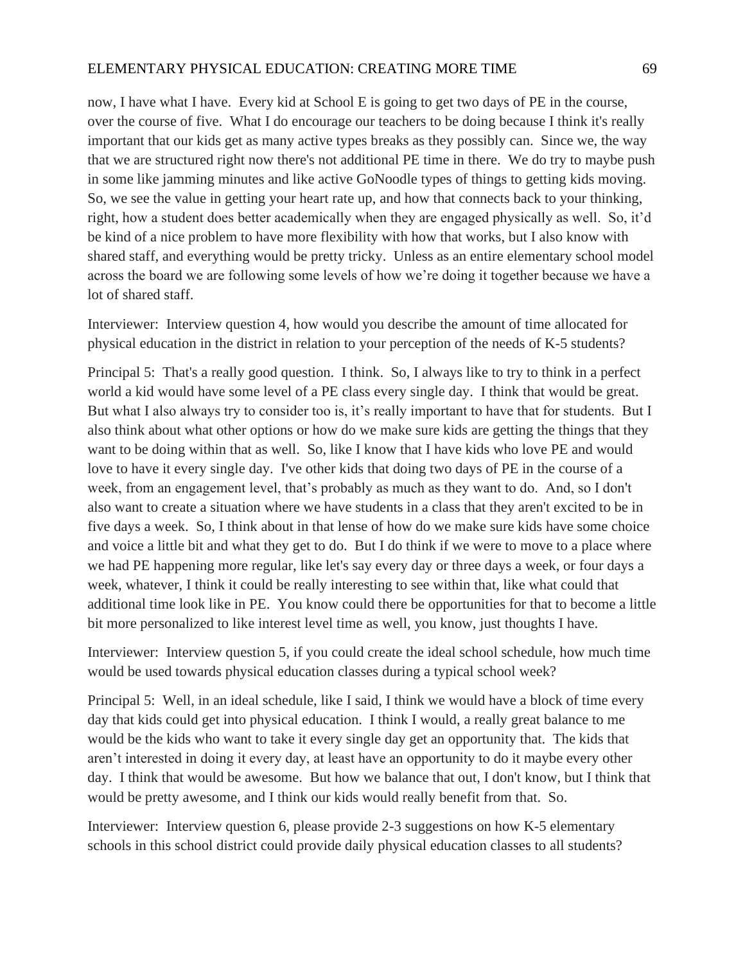now, I have what I have. Every kid at School E is going to get two days of PE in the course, over the course of five. What I do encourage our teachers to be doing because I think it's really important that our kids get as many active types breaks as they possibly can. Since we, the way that we are structured right now there's not additional PE time in there. We do try to maybe push in some like jamming minutes and like active GoNoodle types of things to getting kids moving. So, we see the value in getting your heart rate up, and how that connects back to your thinking, right, how a student does better academically when they are engaged physically as well. So, it'd be kind of a nice problem to have more flexibility with how that works, but I also know with shared staff, and everything would be pretty tricky. Unless as an entire elementary school model across the board we are following some levels of how we're doing it together because we have a lot of shared staff.

Interviewer: Interview question 4, how would you describe the amount of time allocated for physical education in the district in relation to your perception of the needs of K-5 students?

Principal 5: That's a really good question. I think. So, I always like to try to think in a perfect world a kid would have some level of a PE class every single day. I think that would be great. But what I also always try to consider too is, it's really important to have that for students. But I also think about what other options or how do we make sure kids are getting the things that they want to be doing within that as well. So, like I know that I have kids who love PE and would love to have it every single day. I've other kids that doing two days of PE in the course of a week, from an engagement level, that's probably as much as they want to do. And, so I don't also want to create a situation where we have students in a class that they aren't excited to be in five days a week. So, I think about in that lense of how do we make sure kids have some choice and voice a little bit and what they get to do. But I do think if we were to move to a place where we had PE happening more regular, like let's say every day or three days a week, or four days a week, whatever, I think it could be really interesting to see within that, like what could that additional time look like in PE. You know could there be opportunities for that to become a little bit more personalized to like interest level time as well, you know, just thoughts I have.

Interviewer: Interview question 5, if you could create the ideal school schedule, how much time would be used towards physical education classes during a typical school week?

Principal 5: Well, in an ideal schedule, like I said, I think we would have a block of time every day that kids could get into physical education. I think I would, a really great balance to me would be the kids who want to take it every single day get an opportunity that. The kids that aren't interested in doing it every day, at least have an opportunity to do it maybe every other day. I think that would be awesome. But how we balance that out, I don't know, but I think that would be pretty awesome, and I think our kids would really benefit from that. So.

Interviewer: Interview question 6, please provide 2-3 suggestions on how K-5 elementary schools in this school district could provide daily physical education classes to all students?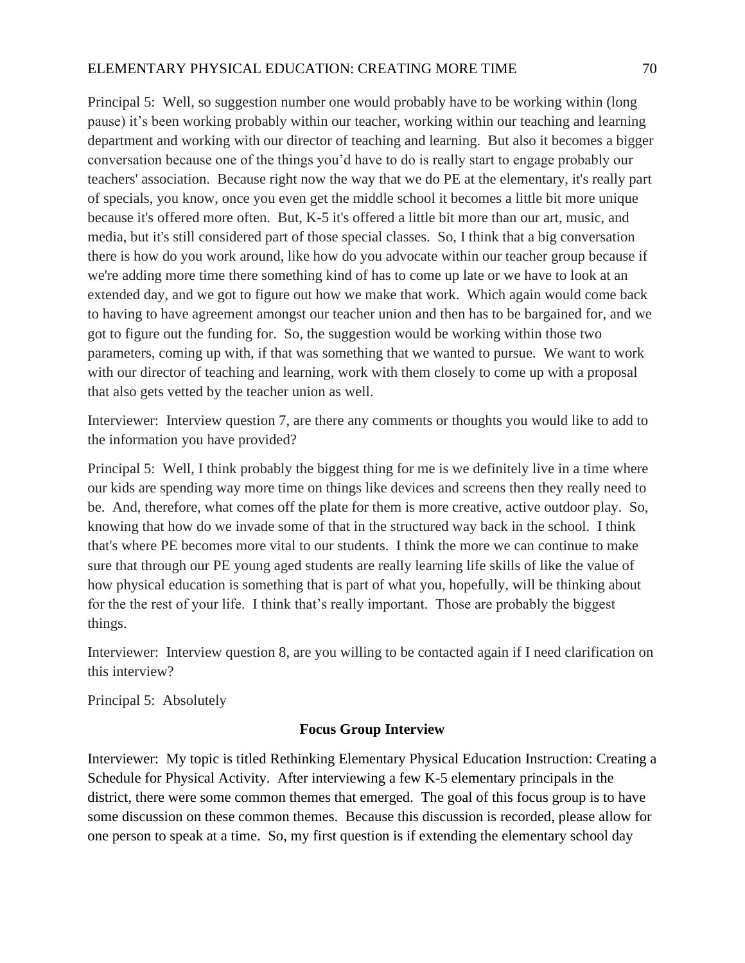## ELEMENTARY PHYSICAL EDUCATION: CREATING MORE TIME 70

Principal 5: Well, so suggestion number one would probably have to be working within (long pause) it's been working probably within our teacher, working within our teaching and learning department and working with our director of teaching and learning. But also it becomes a bigger conversation because one of the things you'd have to do is really start to engage probably our teachers' association. Because right now the way that we do PE at the elementary, it's really part of specials, you know, once you even get the middle school it becomes a little bit more unique because it's offered more often. But, K-5 it's offered a little bit more than our art, music, and media, but it's still considered part of those special classes. So, I think that a big conversation there is how do you work around, like how do you advocate within our teacher group because if we're adding more time there something kind of has to come up late or we have to look at an extended day, and we got to figure out how we make that work. Which again would come back to having to have agreement amongst our teacher union and then has to be bargained for, and we got to figure out the funding for. So, the suggestion would be working within those two parameters, coming up with, if that was something that we wanted to pursue. We want to work with our director of teaching and learning, work with them closely to come up with a proposal that also gets vetted by the teacher union as well.

Interviewer: Interview question 7, are there any comments or thoughts you would like to add to the information you have provided?

Principal 5: Well, I think probably the biggest thing for me is we definitely live in a time where our kids are spending way more time on things like devices and screens then they really need to be. And, therefore, what comes off the plate for them is more creative, active outdoor play. So, knowing that how do we invade some of that in the structured way back in the school. I think that's where PE becomes more vital to our students. I think the more we can continue to make sure that through our PE young aged students are really learning life skills of like the value of how physical education is something that is part of what you, hopefully, will be thinking about for the the rest of your life. I think that's really important. Those are probably the biggest things.

Interviewer: Interview question 8, are you willing to be contacted again if I need clarification on this interview?

Principal 5: Absolutely

## **Focus Group Interview**

Interviewer: My topic is titled Rethinking Elementary Physical Education Instruction: Creating a Schedule for Physical Activity. After interviewing a few K-5 elementary principals in the district, there were some common themes that emerged. The goal of this focus group is to have some discussion on these common themes. Because this discussion is recorded, please allow for one person to speak at a time. So, my first question is if extending the elementary school day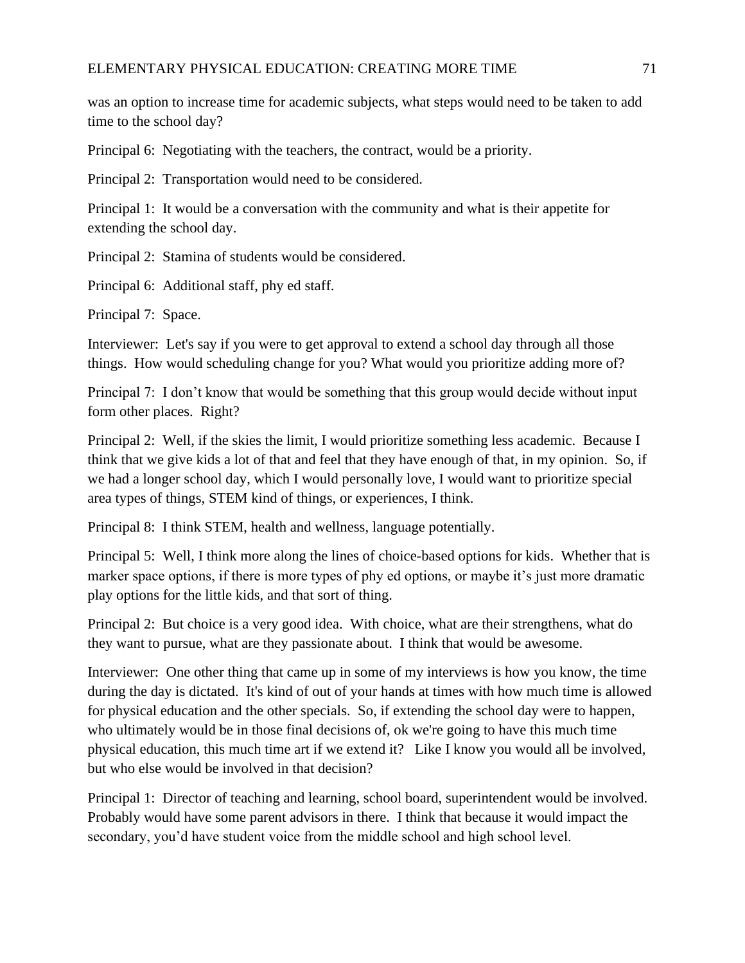was an option to increase time for academic subjects, what steps would need to be taken to add time to the school day?

Principal 6: Negotiating with the teachers, the contract, would be a priority.

Principal 2: Transportation would need to be considered.

Principal 1: It would be a conversation with the community and what is their appetite for extending the school day.

Principal 2: Stamina of students would be considered.

Principal 6: Additional staff, phy ed staff.

Principal 7: Space.

Interviewer: Let's say if you were to get approval to extend a school day through all those things. How would scheduling change for you? What would you prioritize adding more of?

Principal 7: I don't know that would be something that this group would decide without input form other places. Right?

Principal 2: Well, if the skies the limit, I would prioritize something less academic. Because I think that we give kids a lot of that and feel that they have enough of that, in my opinion. So, if we had a longer school day, which I would personally love, I would want to prioritize special area types of things, STEM kind of things, or experiences, I think.

Principal 8: I think STEM, health and wellness, language potentially.

Principal 5: Well, I think more along the lines of choice-based options for kids. Whether that is marker space options, if there is more types of phy ed options, or maybe it's just more dramatic play options for the little kids, and that sort of thing.

Principal 2: But choice is a very good idea. With choice, what are their strengthens, what do they want to pursue, what are they passionate about. I think that would be awesome.

Interviewer: One other thing that came up in some of my interviews is how you know, the time during the day is dictated. It's kind of out of your hands at times with how much time is allowed for physical education and the other specials. So, if extending the school day were to happen, who ultimately would be in those final decisions of, ok we're going to have this much time physical education, this much time art if we extend it? Like I know you would all be involved, but who else would be involved in that decision?

Principal 1: Director of teaching and learning, school board, superintendent would be involved. Probably would have some parent advisors in there. I think that because it would impact the secondary, you'd have student voice from the middle school and high school level.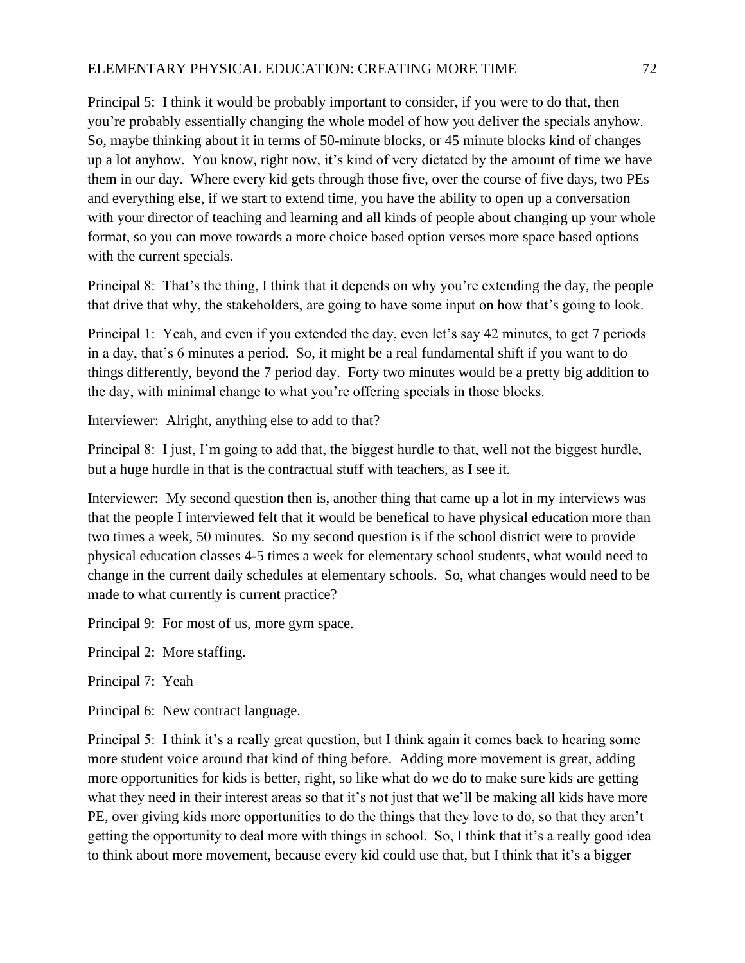## ELEMENTARY PHYSICAL EDUCATION: CREATING MORE TIME 72

Principal 5: I think it would be probably important to consider, if you were to do that, then you're probably essentially changing the whole model of how you deliver the specials anyhow. So, maybe thinking about it in terms of 50-minute blocks, or 45 minute blocks kind of changes up a lot anyhow. You know, right now, it's kind of very dictated by the amount of time we have them in our day. Where every kid gets through those five, over the course of five days, two PEs and everything else, if we start to extend time, you have the ability to open up a conversation with your director of teaching and learning and all kinds of people about changing up your whole format, so you can move towards a more choice based option verses more space based options with the current specials.

Principal 8: That's the thing, I think that it depends on why you're extending the day, the people that drive that why, the stakeholders, are going to have some input on how that's going to look.

Principal 1: Yeah, and even if you extended the day, even let's say 42 minutes, to get 7 periods in a day, that's 6 minutes a period. So, it might be a real fundamental shift if you want to do things differently, beyond the 7 period day. Forty two minutes would be a pretty big addition to the day, with minimal change to what you're offering specials in those blocks.

Interviewer: Alright, anything else to add to that?

Principal 8: I just, I'm going to add that, the biggest hurdle to that, well not the biggest hurdle, but a huge hurdle in that is the contractual stuff with teachers, as I see it.

Interviewer: My second question then is, another thing that came up a lot in my interviews was that the people I interviewed felt that it would be benefical to have physical education more than two times a week, 50 minutes. So my second question is if the school district were to provide physical education classes 4-5 times a week for elementary school students, what would need to change in the current daily schedules at elementary schools. So, what changes would need to be made to what currently is current practice?

Principal 9: For most of us, more gym space.

- Principal 2: More staffing.
- Principal 7: Yeah
- Principal 6: New contract language.

Principal 5: I think it's a really great question, but I think again it comes back to hearing some more student voice around that kind of thing before. Adding more movement is great, adding more opportunities for kids is better, right, so like what do we do to make sure kids are getting what they need in their interest areas so that it's not just that we'll be making all kids have more PE, over giving kids more opportunities to do the things that they love to do, so that they aren't getting the opportunity to deal more with things in school. So, I think that it's a really good idea to think about more movement, because every kid could use that, but I think that it's a bigger